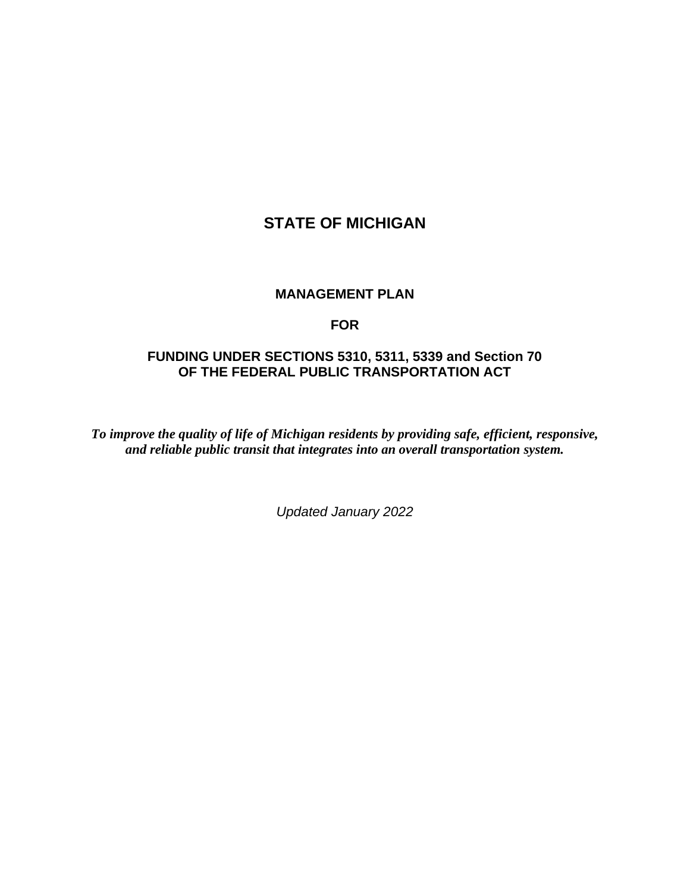# **STATE OF MICHIGAN**

#### **MANAGEMENT PLAN**

#### **FOR**

## **FUNDING UNDER SECTIONS 5310, 5311, 5339 and Section 70 OF THE FEDERAL PUBLIC TRANSPORTATION ACT**

*To improve the quality of life of Michigan residents by providing safe, efficient, responsive, and reliable public transit that integrates into an overall transportation system.*

*Updated January 2022*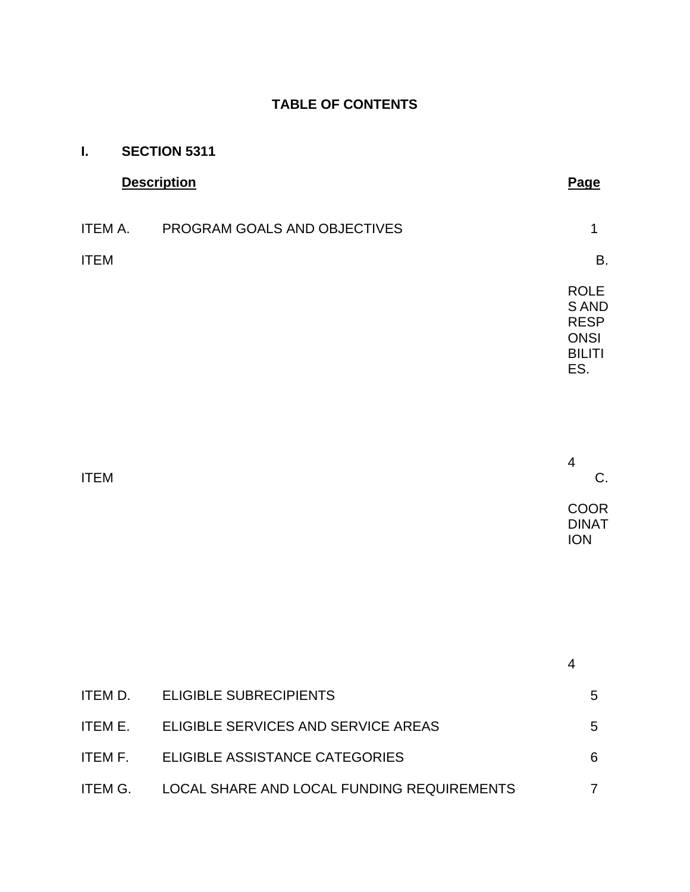## **TABLE OF CONTENTS**

| I.          | <b>SECTION 5311</b>                  |                                                                            |
|-------------|--------------------------------------|----------------------------------------------------------------------------|
|             | <b>Description</b>                   | Page                                                                       |
|             | ITEM A. PROGRAM GOALS AND OBJECTIVES | $\mathbf 1$                                                                |
| <b>ITEM</b> |                                      | <b>B.</b>                                                                  |
|             |                                      | <b>ROLE</b><br>S AND<br><b>RESP</b><br><b>ONSI</b><br><b>BILITI</b><br>ES. |
| <b>ITEM</b> |                                      | $\overline{4}$<br>C.                                                       |
|             |                                      | <b>COOR</b><br><b>DINAT</b><br><b>ION</b>                                  |
|             |                                      |                                                                            |
|             |                                      | $\overline{4}$                                                             |
|             | ITEM D. ELIGIBLE SUBRECIPIENTS       | 5                                                                          |
| ITEM E.     | ELIGIBLE SERVICES AND SERVICE AREAS  | 5                                                                          |
| ITEM F.     | ELIGIBLE ASSISTANCE CATEGORIES       | 6                                                                          |

ITEM G. LOCAL SHARE AND LOCAL FUNDING REQUIREMENTS 7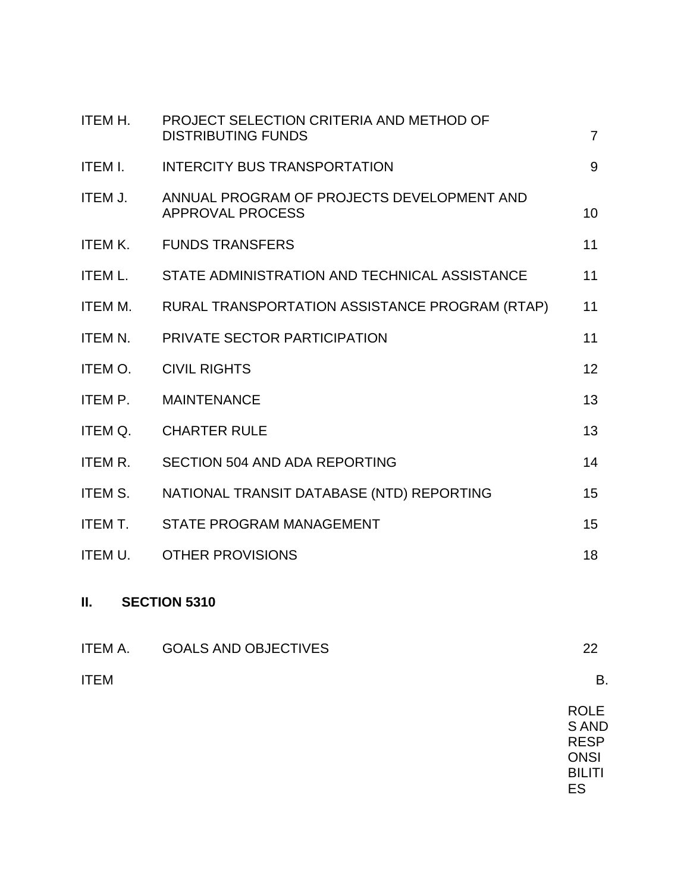| ITEM H. | PROJECT SELECTION CRITERIA AND METHOD OF<br><b>DISTRIBUTING FUNDS</b> | $\overline{7}$ |
|---------|-----------------------------------------------------------------------|----------------|
| ITEM I. | INTERCITY BUS TRANSPORTATION                                          | 9              |
| ITEM J. | ANNUAL PROGRAM OF PROJECTS DEVELOPMENT AND<br><b>APPROVAL PROCESS</b> | 10             |
|         | ITEM K. FUNDS TRANSFERS                                               | 11             |
|         | ITEM L. STATE ADMINISTRATION AND TECHNICAL ASSISTANCE                 | 11             |
| ITEM M. | RURAL TRANSPORTATION ASSISTANCE PROGRAM (RTAP)                        | 11             |
| ITEM N. | PRIVATE SECTOR PARTICIPATION                                          | 11             |
| ITEM O. | <b>CIVIL RIGHTS</b>                                                   | 12             |
| ITEM P. | <b>MAINTENANCE</b>                                                    | 13             |
| ITEM Q. | <b>CHARTER RULE</b>                                                   | 13             |
| ITEM R. | <b>SECTION 504 AND ADA REPORTING</b>                                  | 14             |
| ITEM S. | NATIONAL TRANSIT DATABASE (NTD) REPORTING                             | 15             |
| ITEM T. | <b>STATE PROGRAM MANAGEMENT</b>                                       | 15             |
| ITEM U. | <b>OTHER PROVISIONS</b>                                               | 18             |
|         |                                                                       |                |

## **II. SECTION 5310**

| ITEM A.     | <b>GOALS AND OBJECTIVES</b> | 22                   |
|-------------|-----------------------------|----------------------|
| <b>ITEM</b> |                             | В.                   |
|             |                             | $\sim$ $\sim$ $\sim$ |

ROLE S AND RESP **ONSI** BILITI ES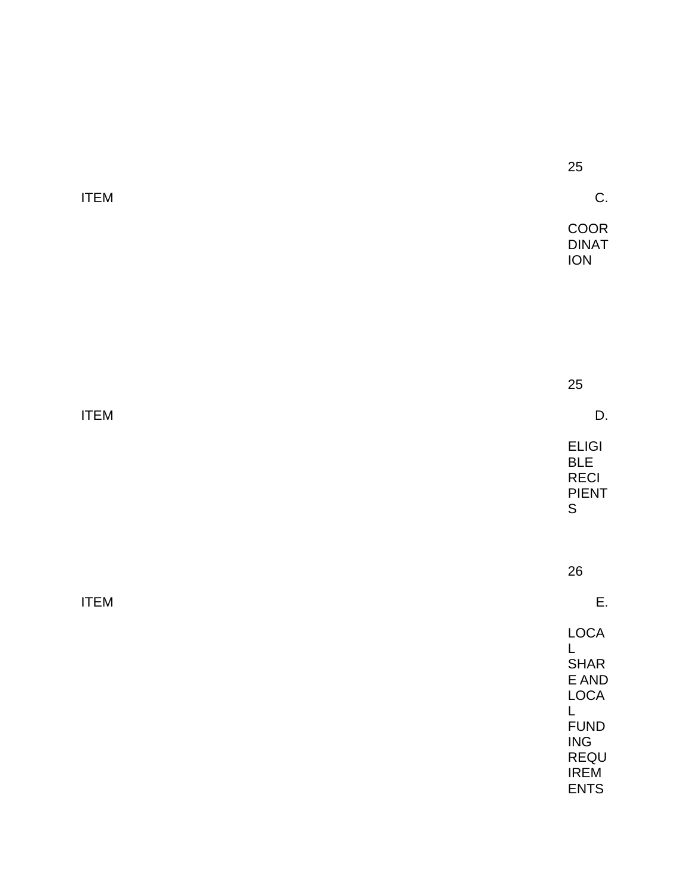|             | 25                                                                                                                   |
|-------------|----------------------------------------------------------------------------------------------------------------------|
| <b>ITEM</b> | C.                                                                                                                   |
|             | COOR<br><b>DINAT</b><br>ION                                                                                          |
|             |                                                                                                                      |
|             |                                                                                                                      |
|             |                                                                                                                      |
|             | 25                                                                                                                   |
| <b>ITEM</b> | D.                                                                                                                   |
|             | <b>ELIGI</b><br><b>BLE</b><br><b>RECI</b><br><b>PIENT</b><br>$\mathsf S$                                             |
|             |                                                                                                                      |
|             | 26                                                                                                                   |
| <b>ITEM</b> | Ε.                                                                                                                   |
|             | LOCA<br>L<br>SHAR<br>$\mathsf E$ AND<br>LOCA<br>L<br><b>FUND</b><br><b>ING</b><br>REQU<br><b>IREM</b><br><b>ENTS</b> |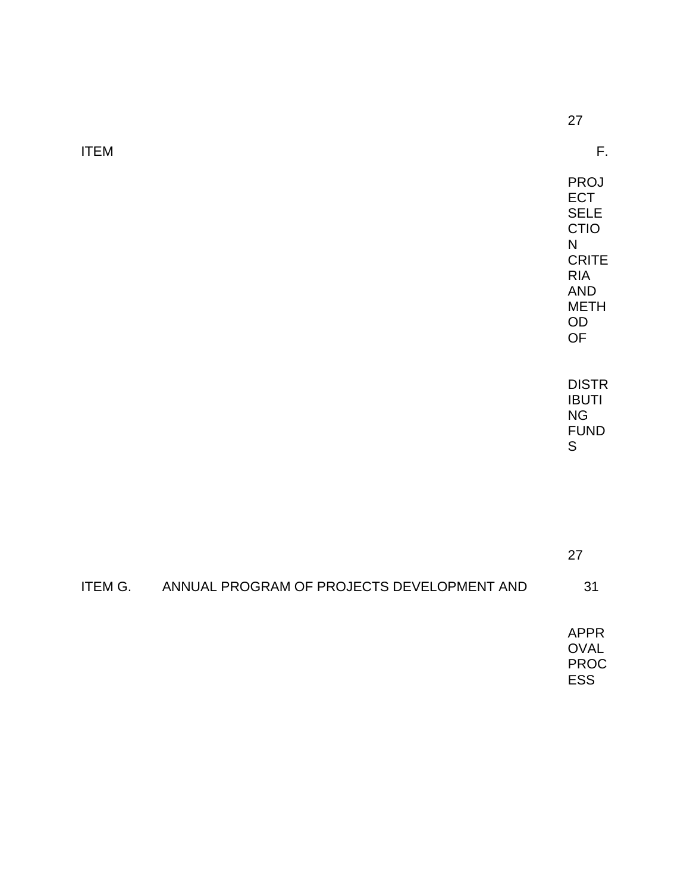ITEM F.

27

PROJ **ECT** SELE CTIO N **CRITE** RIA AND METH OD OF

DISTR IBUTI NG FUND S

27

## ITEM G. ANNUAL PROGRAM OF PROJECTS DEVELOPMENT AND 31

APPR OVAL PROC ESS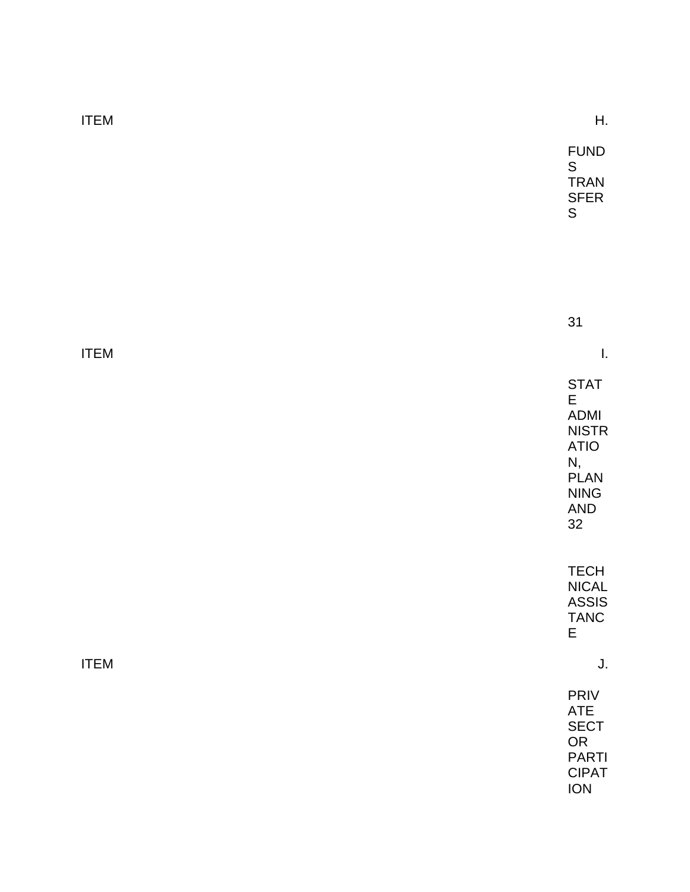| <b>ITEM</b> | Η.                                                                                                                        |
|-------------|---------------------------------------------------------------------------------------------------------------------------|
|             | <b>FUND</b><br>$\mathsf S$<br><b>TRAN</b><br><b>SFER</b><br>${\sf S}$                                                     |
|             |                                                                                                                           |
|             | 31                                                                                                                        |
| <b>ITEM</b> | I.                                                                                                                        |
|             | <b>STAT</b><br>$\mathsf E$<br><b>ADMI</b><br><b>NISTR</b><br><b>ATIO</b><br>N,<br><b>PLAN</b><br><b>NING</b><br>AND<br>32 |
|             | <b>TECH</b><br><b>NICAL</b><br><b>ASSIS</b><br><b>TANC</b><br>$\mathsf E$                                                 |
| <b>ITEM</b> | J.                                                                                                                        |
|             | PRIV<br>ATE<br><b>SECT</b><br>OR<br><b>PARTI</b><br><b>CIPAT</b><br>ION                                                   |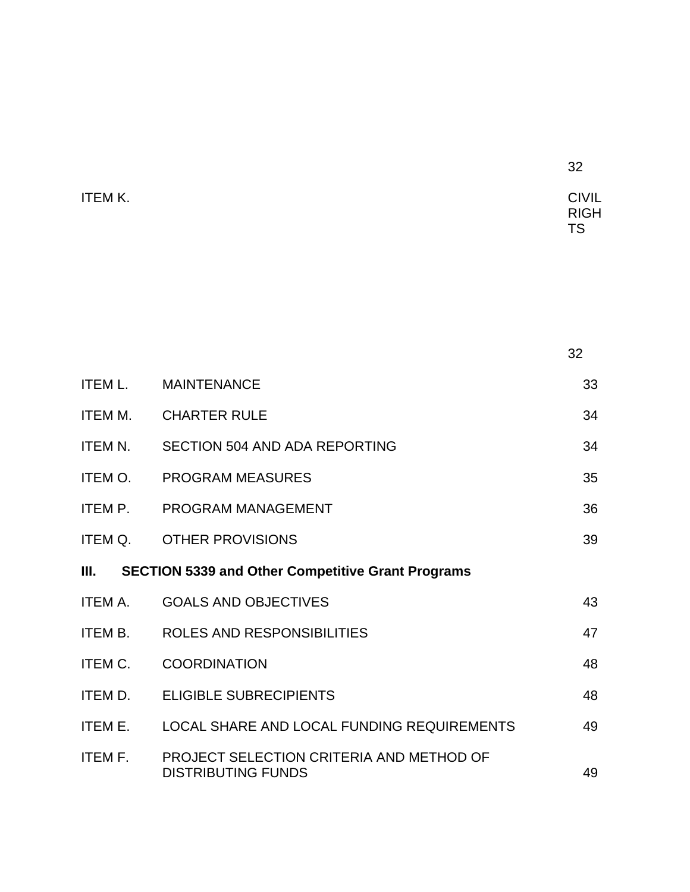| ITEM K. | <b>CIVIL</b> |
|---------|--------------|
|         | <b>RIGH</b>  |
|         | <b>TS</b>    |

|                |                                                                       | 32 |
|----------------|-----------------------------------------------------------------------|----|
| ITEM L.        | <b>MAINTENANCE</b>                                                    | 33 |
| ITEM M.        | CHARTER RULE                                                          | 34 |
|                | ITEM N. SECTION 504 AND ADA REPORTING                                 | 34 |
| ITEM O.        | PROGRAM MEASURES                                                      | 35 |
|                | ITEM P. PROGRAM MANAGEMENT                                            | 36 |
|                | ITEM Q. OTHER PROVISIONS                                              | 39 |
|                | III. SECTION 5339 and Other Competitive Grant Programs                |    |
| <b>ITEM A.</b> | <b>GOALS AND OBJECTIVES</b>                                           | 43 |
| ITEM B.        | ROLES AND RESPONSIBILITIES                                            | 47 |
| <b>ITEM C.</b> | <b>COORDINATION</b>                                                   | 48 |
| ITEM D.        | <b>ELIGIBLE SUBRECIPIENTS</b>                                         | 48 |
| ITEM E.        | LOCAL SHARE AND LOCAL FUNDING REQUIREMENTS                            | 49 |
| <b>ITEM F.</b> | PROJECT SELECTION CRITERIA AND METHOD OF<br><b>DISTRIBUTING FUNDS</b> | 49 |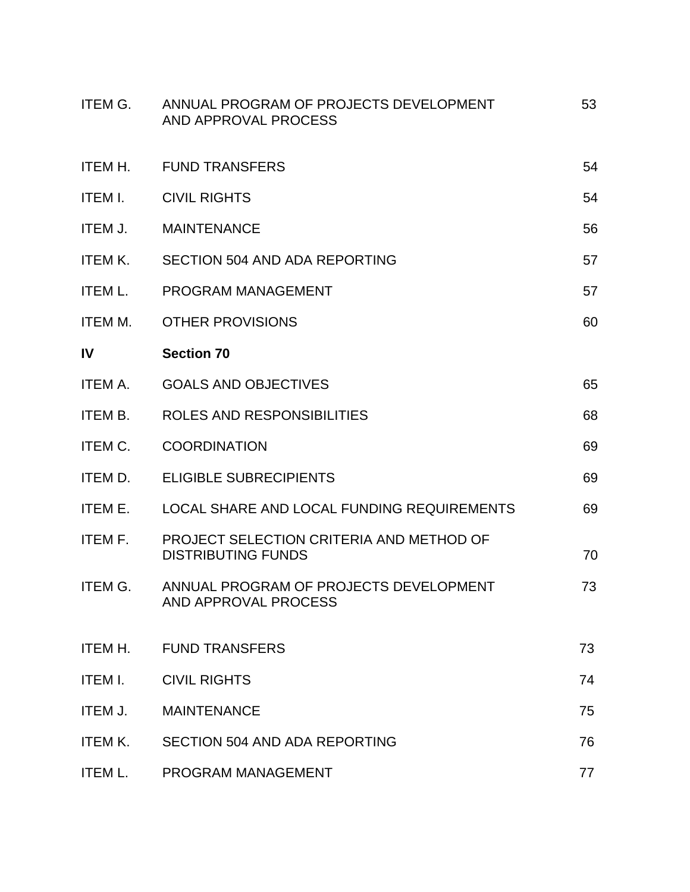| ITEM G.        | ANNUAL PROGRAM OF PROJECTS DEVELOPMENT<br>AND APPROVAL PROCESS        | 53 |
|----------------|-----------------------------------------------------------------------|----|
| ITEM H.        | <b>FUND TRANSFERS</b>                                                 | 54 |
| ITEM I.        | <b>CIVIL RIGHTS</b>                                                   | 54 |
| ITEM J.        | <b>MAINTENANCE</b>                                                    | 56 |
| ITEM K.        | SECTION 504 AND ADA REPORTING                                         | 57 |
| ITEM L.        | PROGRAM MANAGEMENT                                                    | 57 |
| ITEM M.        | <b>OTHER PROVISIONS</b>                                               | 60 |
| $\mathsf{IV}$  | <b>Section 70</b>                                                     |    |
| ITEM A.        | <b>GOALS AND OBJECTIVES</b>                                           | 65 |
| ITEM B.        | ROLES AND RESPONSIBILITIES                                            | 68 |
| <b>ITEM C.</b> | <b>COORDINATION</b>                                                   | 69 |
| ITEM D.        | <b>ELIGIBLE SUBRECIPIENTS</b>                                         | 69 |
| ITEM E.        | LOCAL SHARE AND LOCAL FUNDING REQUIREMENTS                            | 69 |
| ITEM F.        | PROJECT SELECTION CRITERIA AND METHOD OF<br><b>DISTRIBUTING FUNDS</b> | 70 |
| ITEM G.        | ANNUAL PROGRAM OF PROJECTS DEVELOPMENT<br>AND APPROVAL PROCESS        | 73 |
| ITEM H.        | <b>FUND TRANSFERS</b>                                                 | 73 |
| ITEM I.        | <b>CIVIL RIGHTS</b>                                                   | 74 |
| ITEM J.        | <b>MAINTENANCE</b>                                                    | 75 |
| <b>ITEM K.</b> | <b>SECTION 504 AND ADA REPORTING</b>                                  | 76 |
| <b>ITEM L.</b> | PROGRAM MANAGEMENT                                                    | 77 |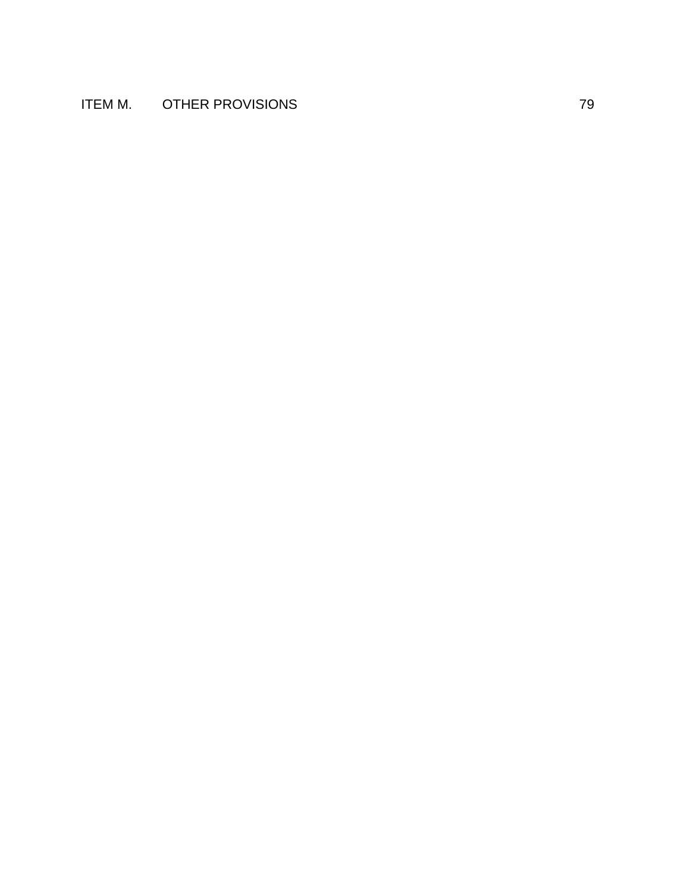## ITEM M. OTHER PROVISIONS **THERM** M. 29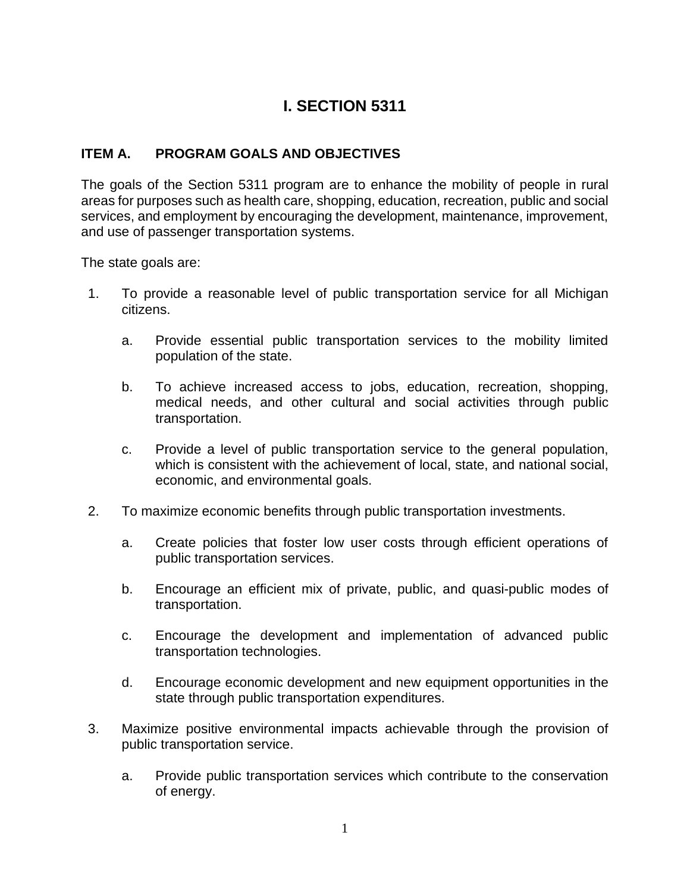# **I. SECTION 5311**

## **ITEM A. PROGRAM GOALS AND OBJECTIVES**

The goals of the Section 5311 program are to enhance the mobility of people in rural areas for purposes such as health care, shopping, education, recreation, public and social services, and employment by encouraging the development, maintenance, improvement, and use of passenger transportation systems.

The state goals are:

- 1. To provide a reasonable level of public transportation service for all Michigan citizens.
	- a. Provide essential public transportation services to the mobility limited population of the state.
	- b. To achieve increased access to jobs, education, recreation, shopping, medical needs, and other cultural and social activities through public transportation.
	- c. Provide a level of public transportation service to the general population, which is consistent with the achievement of local, state, and national social, economic, and environmental goals.
- 2. To maximize economic benefits through public transportation investments.
	- a. Create policies that foster low user costs through efficient operations of public transportation services.
	- b. Encourage an efficient mix of private, public, and quasi-public modes of transportation.
	- c. Encourage the development and implementation of advanced public transportation technologies.
	- d. Encourage economic development and new equipment opportunities in the state through public transportation expenditures.
- 3. Maximize positive environmental impacts achievable through the provision of public transportation service.
	- a. Provide public transportation services which contribute to the conservation of energy.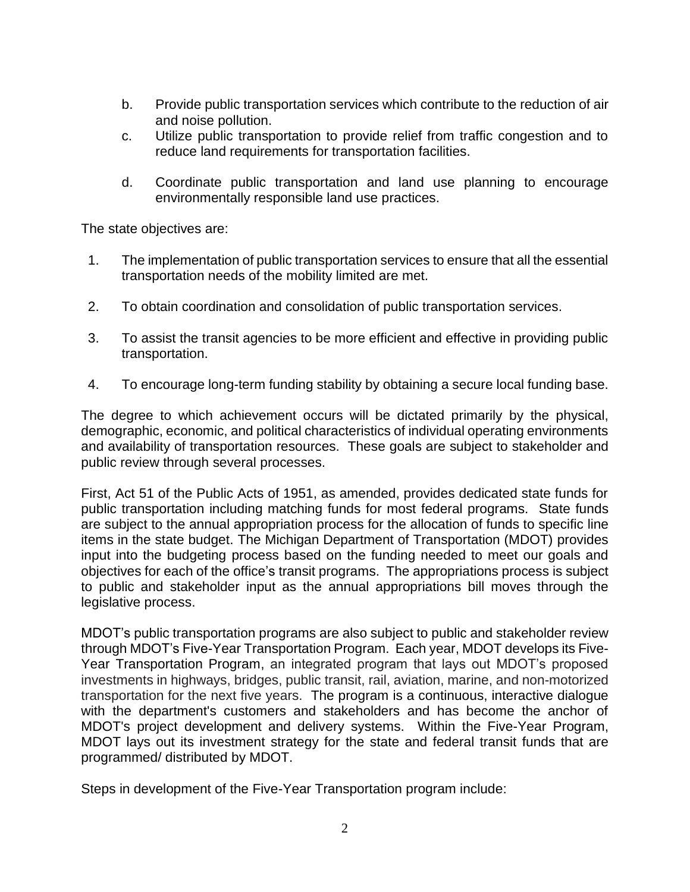- b. Provide public transportation services which contribute to the reduction of air and noise pollution.
- c. Utilize public transportation to provide relief from traffic congestion and to reduce land requirements for transportation facilities.
- d. Coordinate public transportation and land use planning to encourage environmentally responsible land use practices.

The state objectives are:

- 1. The implementation of public transportation services to ensure that all the essential transportation needs of the mobility limited are met.
- 2. To obtain coordination and consolidation of public transportation services.
- 3. To assist the transit agencies to be more efficient and effective in providing public transportation.
- 4. To encourage long-term funding stability by obtaining a secure local funding base.

The degree to which achievement occurs will be dictated primarily by the physical, demographic, economic, and political characteristics of individual operating environments and availability of transportation resources. These goals are subject to stakeholder and public review through several processes.

First, Act 51 of the Public Acts of 1951, as amended, provides dedicated state funds for public transportation including matching funds for most federal programs. State funds are subject to the annual appropriation process for the allocation of funds to specific line items in the state budget. The Michigan Department of Transportation (MDOT) provides input into the budgeting process based on the funding needed to meet our goals and objectives for each of the office's transit programs. The appropriations process is subject to public and stakeholder input as the annual appropriations bill moves through the legislative process.

MDOT's public transportation programs are also subject to public and stakeholder review through MDOT's Five-Year Transportation Program. Each year, MDOT develops its Five-Year Transportation Program, an integrated program that lays out MDOT's proposed investments in highways, bridges, public transit, rail, aviation, marine, and non-motorized transportation for the next five years. The program is a continuous, interactive dialogue with the department's customers and stakeholders and has become the anchor of MDOT's project development and delivery systems. Within the Five-Year Program, MDOT lays out its investment strategy for the state and federal transit funds that are programmed/ distributed by MDOT.

Steps in development of the Five-Year Transportation program include: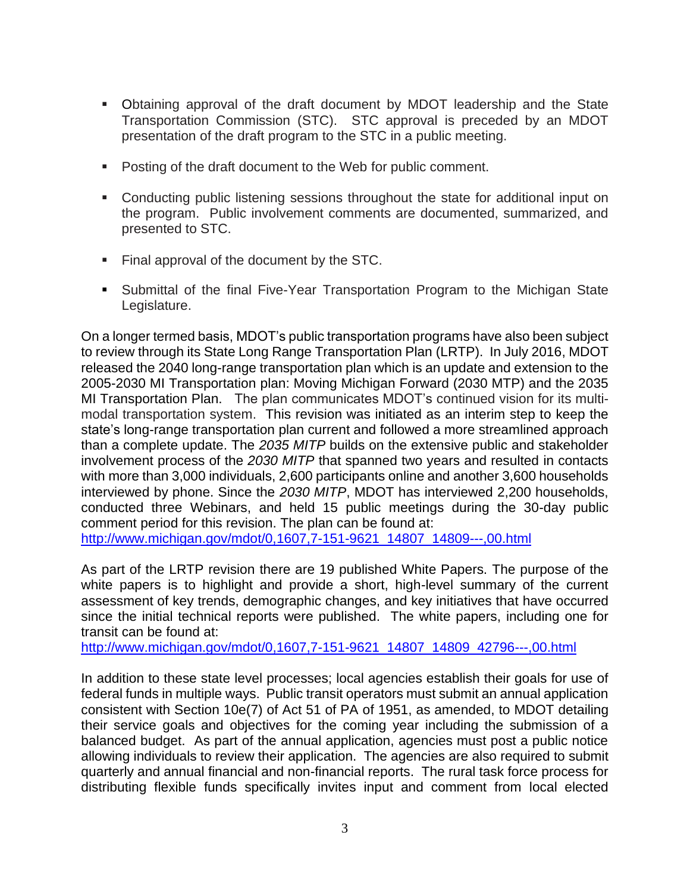- Obtaining approval of the draft document by MDOT leadership and the State Transportation Commission (STC). STC approval is preceded by an MDOT presentation of the draft program to the STC in a public meeting.
- Posting of the draft document to the Web for public comment.
- Conducting public listening sessions throughout the state for additional input on the program. Public involvement comments are documented, summarized, and presented to STC.
- Final approval of the document by the STC.
- Submittal of the final Five-Year Transportation Program to the Michigan State Legislature.

On a longer termed basis, MDOT's public transportation programs have also been subject to review through its State Long Range Transportation Plan (LRTP). In July 2016, MDOT released the 2040 long-range transportation plan which is an update and extension to the 2005-2030 MI Transportation plan: Moving Michigan Forward (2030 MTP) and the 2035 MI Transportation Plan. The plan communicates MDOT's continued vision for its multimodal transportation system. This revision was initiated as an interim step to keep the state's long-range transportation plan current and followed a more streamlined approach than a complete update. The *2035 MITP* builds on the extensive public and stakeholder involvement process of the *2030 MITP* that spanned two years and resulted in contacts with more than 3,000 individuals, 2,600 participants online and another 3,600 households interviewed by phone. Since the *2030 MITP*, MDOT has interviewed 2,200 households, conducted three Webinars, and held 15 public meetings during the 30-day public comment period for this revision. The plan can be found at: [http://www.michigan.gov/mdot/0,1607,7-151-9621\\_14807\\_14809---,00.html](http://www.michigan.gov/mdot/0,1607,7-151-9621_14807_14809---,00.html)

As part of the LRTP revision there are 19 published White Papers. The purpose of the white papers is to highlight and provide a short, high-level summary of the current assessment of key trends, demographic changes, and key initiatives that have occurred since the initial technical reports were published. The white papers, including one for transit can be found at:

[http://www.michigan.gov/mdot/0,1607,7-151-9621\\_14807\\_14809\\_42796---,00.html](http://www.michigan.gov/mdot/0,1607,7-151-9621_14807_14809_42796---,00.html)

In addition to these state level processes; local agencies establish their goals for use of federal funds in multiple ways. Public transit operators must submit an annual application consistent with Section 10e(7) of Act 51 of PA of 1951, as amended, to MDOT detailing their service goals and objectives for the coming year including the submission of a balanced budget. As part of the annual application, agencies must post a public notice allowing individuals to review their application. The agencies are also required to submit quarterly and annual financial and non-financial reports. The rural task force process for distributing flexible funds specifically invites input and comment from local elected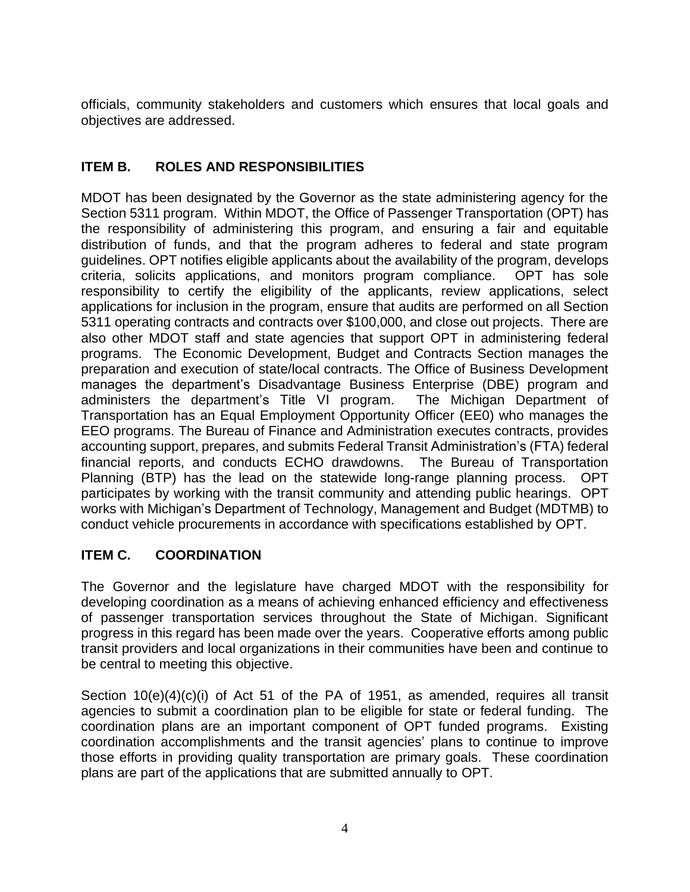officials, community stakeholders and customers which ensures that local goals and objectives are addressed.

## **ITEM B. ROLES AND RESPONSIBILITIES**

MDOT has been designated by the Governor as the state administering agency for the Section 5311 program. Within MDOT, the Office of Passenger Transportation (OPT) has the responsibility of administering this program, and ensuring a fair and equitable distribution of funds, and that the program adheres to federal and state program guidelines. OPT notifies eligible applicants about the availability of the program, develops criteria, solicits applications, and monitors program compliance. OPT has sole responsibility to certify the eligibility of the applicants, review applications, select applications for inclusion in the program, ensure that audits are performed on all Section 5311 operating contracts and contracts over \$100,000, and close out projects. There are also other MDOT staff and state agencies that support OPT in administering federal programs. The Economic Development, Budget and Contracts Section manages the preparation and execution of state/local contracts. The Office of Business Development manages the department's Disadvantage Business Enterprise (DBE) program and administers the department's Title VI program. The Michigan Department of Transportation has an Equal Employment Opportunity Officer (EE0) who manages the EEO programs. The Bureau of Finance and Administration executes contracts, provides accounting support, prepares, and submits Federal Transit Administration's (FTA) federal financial reports, and conducts ECHO drawdowns. The Bureau of Transportation Planning (BTP) has the lead on the statewide long-range planning process. OPT participates by working with the transit community and attending public hearings. OPT works with Michigan's Department of Technology, Management and Budget (MDTMB) to conduct vehicle procurements in accordance with specifications established by OPT.

## **ITEM C. COORDINATION**

The Governor and the legislature have charged MDOT with the responsibility for developing coordination as a means of achieving enhanced efficiency and effectiveness of passenger transportation services throughout the State of Michigan. Significant progress in this regard has been made over the years. Cooperative efforts among public transit providers and local organizations in their communities have been and continue to be central to meeting this objective.

Section 10(e)(4)(c)(i) of Act 51 of the PA of 1951, as amended, requires all transit agencies to submit a coordination plan to be eligible for state or federal funding. The coordination plans are an important component of OPT funded programs. Existing coordination accomplishments and the transit agencies' plans to continue to improve those efforts in providing quality transportation are primary goals. These coordination plans are part of the applications that are submitted annually to OPT.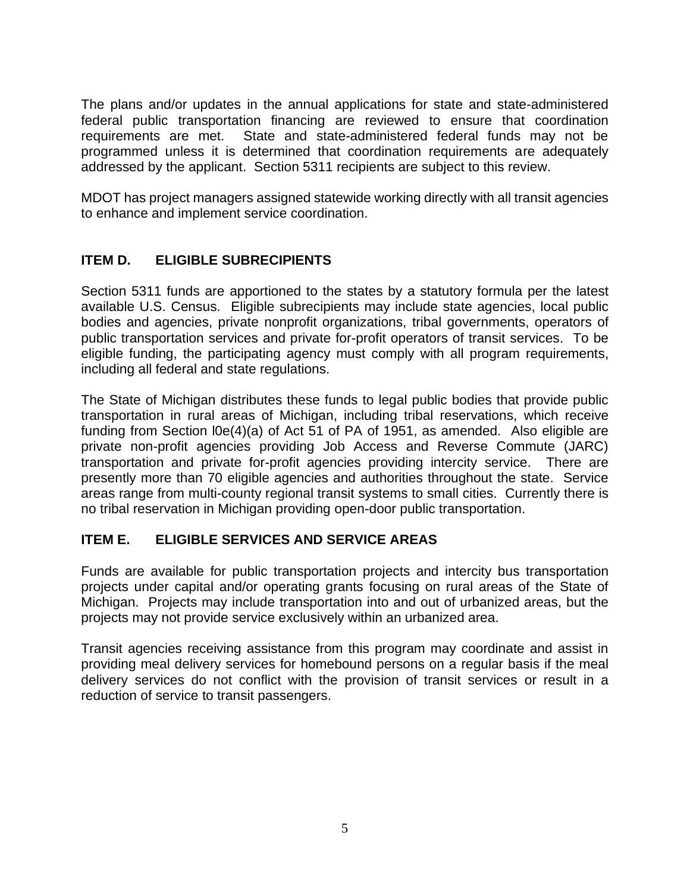The plans and/or updates in the annual applications for state and state-administered federal public transportation financing are reviewed to ensure that coordination requirements are met. State and state-administered federal funds may not be programmed unless it is determined that coordination requirements are adequately addressed by the applicant. Section 5311 recipients are subject to this review.

MDOT has project managers assigned statewide working directly with all transit agencies to enhance and implement service coordination.

## **ITEM D. ELIGIBLE SUBRECIPIENTS**

Section 5311 funds are apportioned to the states by a statutory formula per the latest available U.S. Census. Eligible subrecipients may include state agencies, local public bodies and agencies, private nonprofit organizations, tribal governments, operators of public transportation services and private for-profit operators of transit services. To be eligible funding, the participating agency must comply with all program requirements, including all federal and state regulations.

The State of Michigan distributes these funds to legal public bodies that provide public transportation in rural areas of Michigan, including tribal reservations, which receive funding from Section l0e(4)(a) of Act 51 of PA of 1951, as amended. Also eligible are private non-profit agencies providing Job Access and Reverse Commute (JARC) transportation and private for-profit agencies providing intercity service. There are presently more than 70 eligible agencies and authorities throughout the state. Service areas range from multi-county regional transit systems to small cities. Currently there is no tribal reservation in Michigan providing open-door public transportation.

## **ITEM E. ELIGIBLE SERVICES AND SERVICE AREAS**

Funds are available for public transportation projects and intercity bus transportation projects under capital and/or operating grants focusing on rural areas of the State of Michigan. Projects may include transportation into and out of urbanized areas, but the projects may not provide service exclusively within an urbanized area.

Transit agencies receiving assistance from this program may coordinate and assist in providing meal delivery services for homebound persons on a regular basis if the meal delivery services do not conflict with the provision of transit services or result in a reduction of service to transit passengers.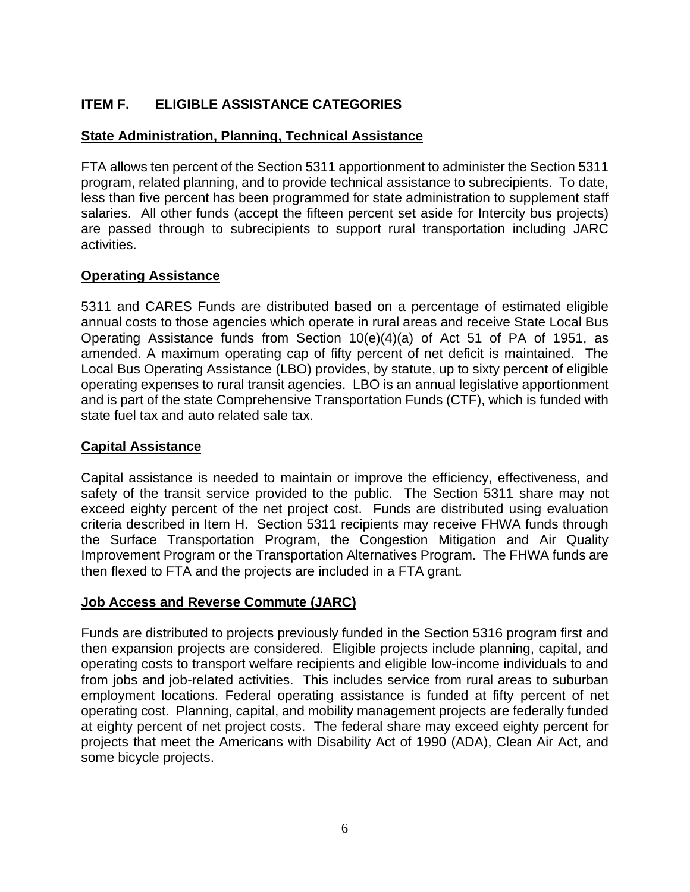## **ITEM F. ELIGIBLE ASSISTANCE CATEGORIES**

### **State Administration, Planning, Technical Assistance**

FTA allows ten percent of the Section 5311 apportionment to administer the Section 5311 program, related planning, and to provide technical assistance to subrecipients. To date, less than five percent has been programmed for state administration to supplement staff salaries. All other funds (accept the fifteen percent set aside for Intercity bus projects) are passed through to subrecipients to support rural transportation including JARC activities.

### **Operating Assistance**

5311 and CARES Funds are distributed based on a percentage of estimated eligible annual costs to those agencies which operate in rural areas and receive State Local Bus Operating Assistance funds from Section 10(e)(4)(a) of Act 51 of PA of 1951, as amended. A maximum operating cap of fifty percent of net deficit is maintained. The Local Bus Operating Assistance (LBO) provides, by statute, up to sixty percent of eligible operating expenses to rural transit agencies. LBO is an annual legislative apportionment and is part of the state Comprehensive Transportation Funds (CTF), which is funded with state fuel tax and auto related sale tax.

### **Capital Assistance**

Capital assistance is needed to maintain or improve the efficiency, effectiveness, and safety of the transit service provided to the public. The Section 5311 share may not exceed eighty percent of the net project cost. Funds are distributed using evaluation criteria described in Item H. Section 5311 recipients may receive FHWA funds through the Surface Transportation Program, the Congestion Mitigation and Air Quality Improvement Program or the Transportation Alternatives Program. The FHWA funds are then flexed to FTA and the projects are included in a FTA grant.

### **Job Access and Reverse Commute (JARC)**

Funds are distributed to projects previously funded in the Section 5316 program first and then expansion projects are considered. Eligible projects include planning, capital, and operating costs to transport welfare recipients and eligible low-income individuals to and from jobs and job-related activities. This includes service from rural areas to suburban employment locations. Federal operating assistance is funded at fifty percent of net operating cost. Planning, capital, and mobility management projects are federally funded at eighty percent of net project costs. The federal share may exceed eighty percent for projects that meet the Americans with Disability Act of 1990 (ADA), Clean Air Act, and some bicycle projects.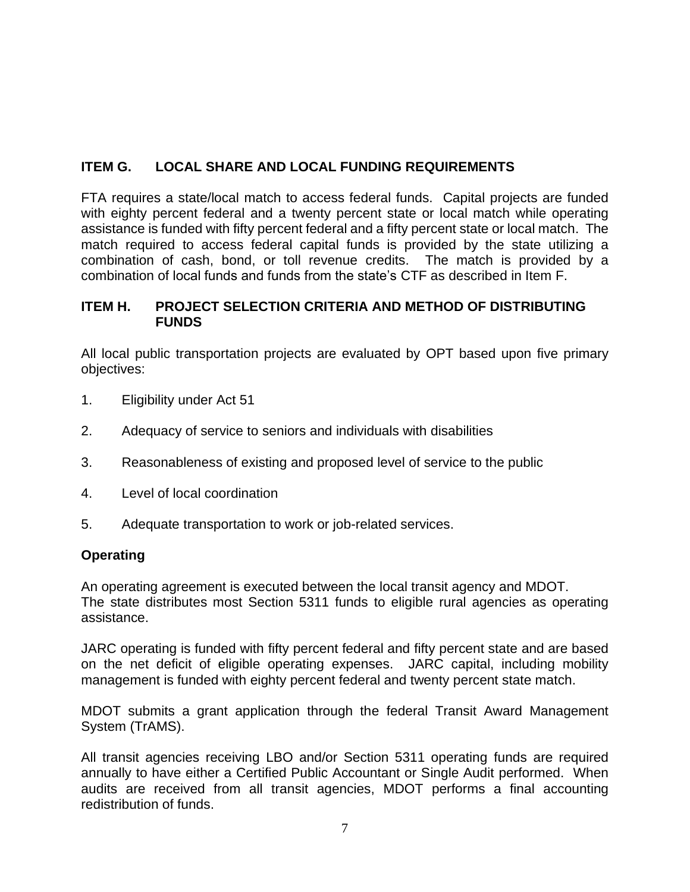## **ITEM G. LOCAL SHARE AND LOCAL FUNDING REQUIREMENTS**

FTA requires a state/local match to access federal funds. Capital projects are funded with eighty percent federal and a twenty percent state or local match while operating assistance is funded with fifty percent federal and a fifty percent state or local match.The match required to access federal capital funds is provided by the state utilizing a combination of cash, bond, or toll revenue credits. The match is provided by a combination of local funds and funds from the state's CTF as described in Item F.

### **ITEM H. PROJECT SELECTION CRITERIA AND METHOD OF DISTRIBUTING FUNDS**

All local public transportation projects are evaluated by OPT based upon five primary objectives:

- 1. Eligibility under Act 51
- 2. Adequacy of service to seniors and individuals with disabilities
- 3. Reasonableness of existing and proposed level of service to the public
- 4. Level of local coordination
- 5. Adequate transportation to work or job-related services.

### **Operating**

An operating agreement is executed between the local transit agency and MDOT. The state distributes most Section 5311 funds to eligible rural agencies as operating assistance.

JARC operating is funded with fifty percent federal and fifty percent state and are based on the net deficit of eligible operating expenses. JARC capital, including mobility management is funded with eighty percent federal and twenty percent state match.

MDOT submits a grant application through the federal Transit Award Management System (TrAMS).

All transit agencies receiving LBO and/or Section 5311 operating funds are required annually to have either a Certified Public Accountant or Single Audit performed. When audits are received from all transit agencies, MDOT performs a final accounting redistribution of funds.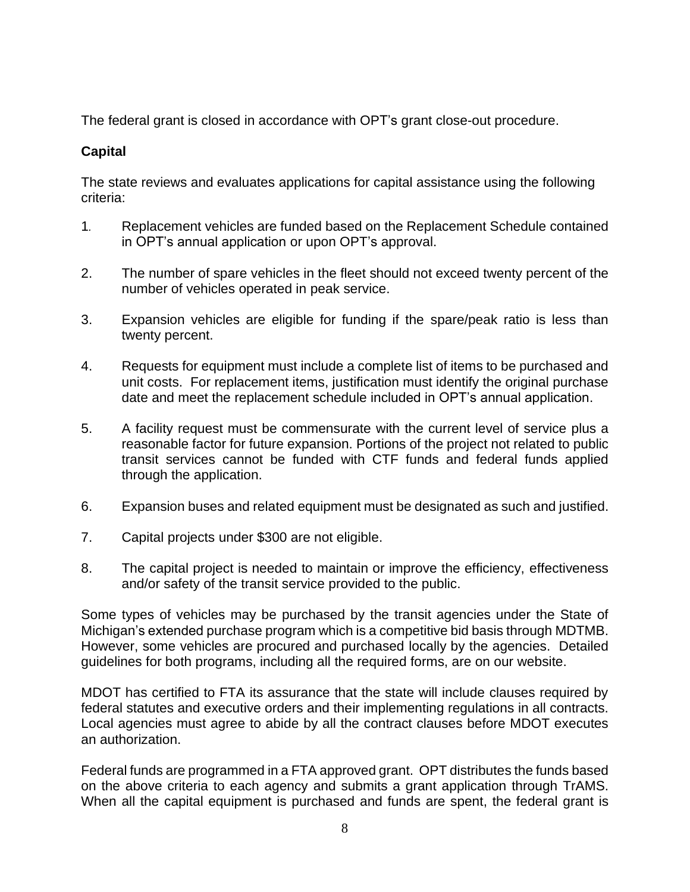The federal grant is closed in accordance with OPT's grant close-out procedure.

## **Capital**

The state reviews and evaluates applications for capital assistance using the following criteria:

- 1*.* Replacement vehicles are funded based on the Replacement Schedule contained in OPT's annual application or upon OPT's approval.
- 2. The number of spare vehicles in the fleet should not exceed twenty percent of the number of vehicles operated in peak service.
- 3. Expansion vehicles are eligible for funding if the spare/peak ratio is less than twenty percent.
- 4. Requests for equipment must include a complete list of items to be purchased and unit costs. For replacement items, justification must identify the original purchase date and meet the replacement schedule included in OPT's annual application.
- 5. A facility request must be commensurate with the current level of service plus a reasonable factor for future expansion. Portions of the project not related to public transit services cannot be funded with CTF funds and federal funds applied through the application.
- 6. Expansion buses and related equipment must be designated as such and justified.
- 7. Capital projects under \$300 are not eligible.
- 8. The capital project is needed to maintain or improve the efficiency, effectiveness and/or safety of the transit service provided to the public.

Some types of vehicles may be purchased by the transit agencies under the State of Michigan's extended purchase program which is a competitive bid basis through MDTMB. However, some vehicles are procured and purchased locally by the agencies. Detailed guidelines for both programs, including all the required forms, are on our website.

MDOT has certified to FTA its assurance that the state will include clauses required by federal statutes and executive orders and their implementing regulations in all contracts. Local agencies must agree to abide by all the contract clauses before MDOT executes an authorization.

Federal funds are programmed in a FTA approved grant. OPT distributes the funds based on the above criteria to each agency and submits a grant application through TrAMS. When all the capital equipment is purchased and funds are spent, the federal grant is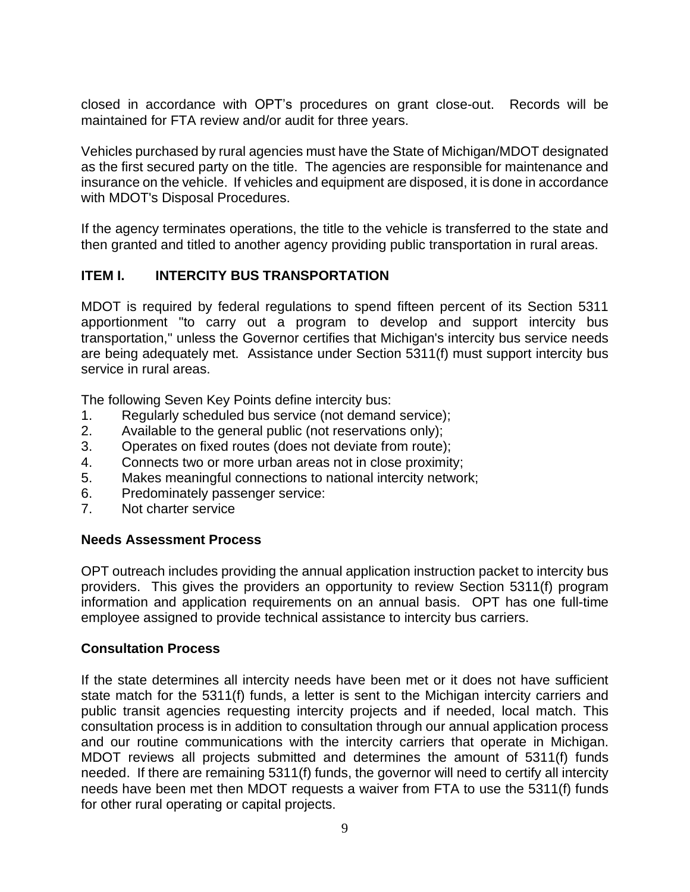closed in accordance with OPT's procedures on grant close-out. Records will be maintained for FTA review and/or audit for three years.

Vehicles purchased by rural agencies must have the State of Michigan/MDOT designated as the first secured party on the title. The agencies are responsible for maintenance and insurance on the vehicle. If vehicles and equipment are disposed, it is done in accordance with MDOT's Disposal Procedures.

If the agency terminates operations, the title to the vehicle is transferred to the state and then granted and titled to another agency providing public transportation in rural areas.

## **ITEM I. INTERCITY BUS TRANSPORTATION**

MDOT is required by federal regulations to spend fifteen percent of its Section 5311 apportionment "to carry out a program to develop and support intercity bus transportation," unless the Governor certifies that Michigan's intercity bus service needs are being adequately met. Assistance under Section 5311(f) must support intercity bus service in rural areas.

The following Seven Key Points define intercity bus:

- 1. Regularly scheduled bus service (not demand service);
- 2. Available to the general public (not reservations only);
- 3. Operates on fixed routes (does not deviate from route);
- 4. Connects two or more urban areas not in close proximity;
- 5. Makes meaningful connections to national intercity network;
- 6. Predominately passenger service:
- 7. Not charter service

### **Needs Assessment Process**

OPT outreach includes providing the annual application instruction packet to intercity bus providers. This gives the providers an opportunity to review Section 5311(f) program information and application requirements on an annual basis. OPT has one full-time employee assigned to provide technical assistance to intercity bus carriers.

## **Consultation Process**

If the state determines all intercity needs have been met or it does not have sufficient state match for the 5311(f) funds, a letter is sent to the Michigan intercity carriers and public transit agencies requesting intercity projects and if needed, local match. This consultation process is in addition to consultation through our annual application process and our routine communications with the intercity carriers that operate in Michigan. MDOT reviews all projects submitted and determines the amount of 5311(f) funds needed. If there are remaining 5311(f) funds, the governor will need to certify all intercity needs have been met then MDOT requests a waiver from FTA to use the 5311(f) funds for other rural operating or capital projects.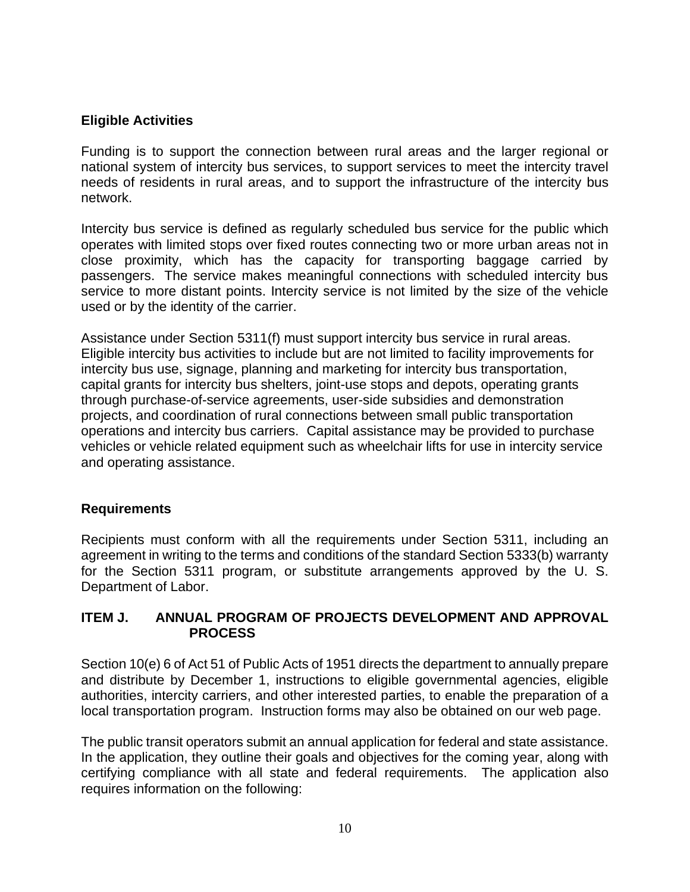### **Eligible Activities**

Funding is to support the connection between rural areas and the larger regional or national system of intercity bus services, to support services to meet the intercity travel needs of residents in rural areas, and to support the infrastructure of the intercity bus network.

Intercity bus service is defined as regularly scheduled bus service for the public which operates with limited stops over fixed routes connecting two or more urban areas not in close proximity, which has the capacity for transporting baggage carried by passengers. The service makes meaningful connections with scheduled intercity bus service to more distant points. Intercity service is not limited by the size of the vehicle used or by the identity of the carrier.

Assistance under Section 5311(f) must support intercity bus service in rural areas. Eligible intercity bus activities to include but are not limited to facility improvements for intercity bus use, signage, planning and marketing for intercity bus transportation, capital grants for intercity bus shelters, joint-use stops and depots, operating grants through purchase-of-service agreements, user-side subsidies and demonstration projects, and coordination of rural connections between small public transportation operations and intercity bus carriers. Capital assistance may be provided to purchase vehicles or vehicle related equipment such as wheelchair lifts for use in intercity service and operating assistance.

### **Requirements**

Recipients must conform with all the requirements under Section 5311, including an agreement in writing to the terms and conditions of the standard Section 5333(b) warranty for the Section 5311 program, or substitute arrangements approved by the U. S. Department of Labor.

### **ITEM J. ANNUAL PROGRAM OF PROJECTS DEVELOPMENT AND APPROVAL PROCESS**

Section 10(e) 6 of Act 51 of Public Acts of 1951 directs the department to annually prepare and distribute by December 1, instructions to eligible governmental agencies, eligible authorities, intercity carriers, and other interested parties, to enable the preparation of a local transportation program. Instruction forms may also be obtained on our web page.

The public transit operators submit an annual application for federal and state assistance. In the application, they outline their goals and objectives for the coming year, along with certifying compliance with all state and federal requirements. The application also requires information on the following: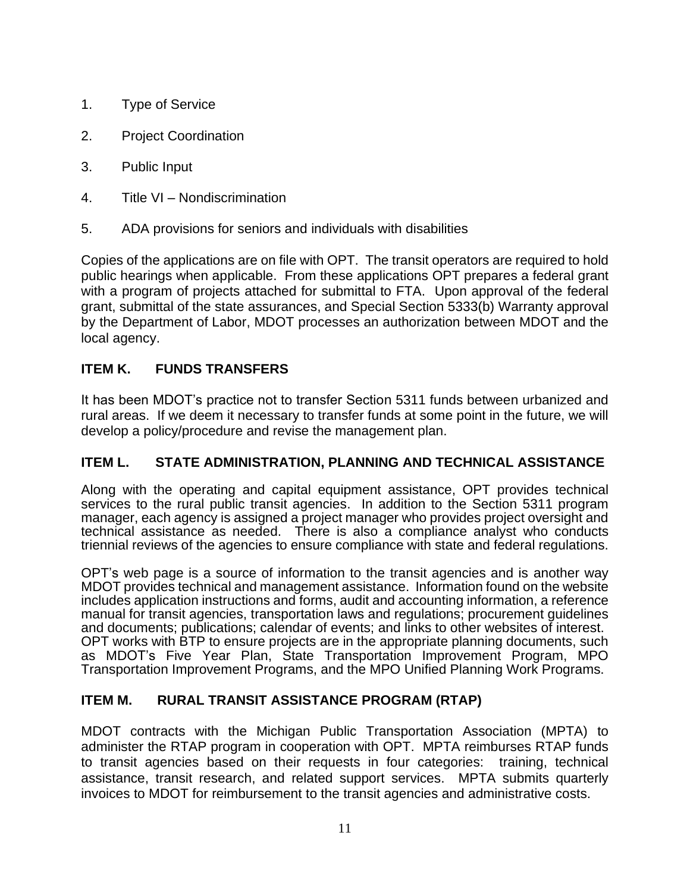- 1. Type of Service
- 2. Project Coordination
- 3. Public Input
- 4. Title VI Nondiscrimination
- 5. ADA provisions for seniors and individuals with disabilities

Copies of the applications are on file with OPT. The transit operators are required to hold public hearings when applicable. From these applications OPT prepares a federal grant with a program of projects attached for submittal to FTA. Upon approval of the federal grant, submittal of the state assurances, and Special Section 5333(b) Warranty approval by the Department of Labor, MDOT processes an authorization between MDOT and the local agency.

## **ITEM K. FUNDS TRANSFERS**

It has been MDOT's practice not to transfer Section 5311 funds between urbanized and rural areas. If we deem it necessary to transfer funds at some point in the future, we will develop a policy/procedure and revise the management plan.

## **ITEM L. STATE ADMINISTRATION, PLANNING AND TECHNICAL ASSISTANCE**

Along with the operating and capital equipment assistance, OPT provides technical services to the rural public transit agencies. In addition to the Section 5311 program manager, each agency is assigned a project manager who provides project oversight and technical assistance as needed. There is also a compliance analyst who conducts triennial reviews of the agencies to ensure compliance with state and federal regulations.

OPT's web page is a source of information to the transit agencies and is another way MDOT provides technical and management assistance. Information found on the website includes application instructions and forms, audit and accounting information, a reference manual for transit agencies, transportation laws and regulations; procurement guidelines and documents; publications; calendar of events; and links to other websites of interest. OPT works with BTP to ensure projects are in the appropriate planning documents, such as MDOT's Five Year Plan, State Transportation Improvement Program, MPO Transportation Improvement Programs, and the MPO Unified Planning Work Programs.

## **ITEM M. RURAL TRANSIT ASSISTANCE PROGRAM (RTAP)**

MDOT contracts with the Michigan Public Transportation Association (MPTA) to administer the RTAP program in cooperation with OPT. MPTA reimburses RTAP funds to transit agencies based on their requests in four categories: training, technical assistance, transit research, and related support services. MPTA submits quarterly invoices to MDOT for reimbursement to the transit agencies and administrative costs.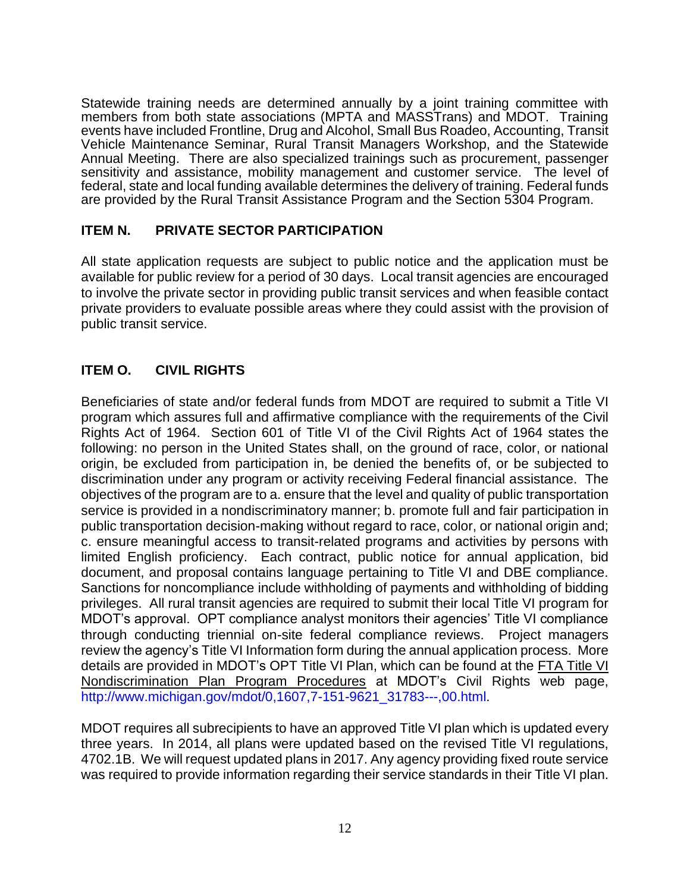Statewide training needs are determined annually by a joint training committee with members from both state associations (MPTA and MASSTrans) and MDOT. Training events have included Frontline, Drug and Alcohol, Small Bus Roadeo, Accounting, Transit Vehicle Maintenance Seminar, Rural Transit Managers Workshop, and the Statewide Annual Meeting. There are also specialized trainings such as procurement, passenger sensitivity and assistance, mobility management and customer service. The level of federal, state and local funding available determines the delivery of training. Federal funds are provided by the Rural Transit Assistance Program and the Section 5304 Program.

### **ITEM N. PRIVATE SECTOR PARTICIPATION**

All state application requests are subject to public notice and the application must be available for public review for a period of 30 days. Local transit agencies are encouraged to involve the private sector in providing public transit services and when feasible contact private providers to evaluate possible areas where they could assist with the provision of public transit service.

## **ITEM O. CIVIL RIGHTS**

Beneficiaries of state and/or federal funds from MDOT are required to submit a Title VI program which assures full and affirmative compliance with the requirements of the Civil Rights Act of 1964. Section 601 of Title VI of the Civil Rights Act of 1964 states the following: no person in the United States shall, on the ground of race, color, or national origin, be excluded from participation in, be denied the benefits of, or be subjected to discrimination under any program or activity receiving Federal financial assistance. The objectives of the program are to a. ensure that the level and quality of public transportation service is provided in a nondiscriminatory manner; b. promote full and fair participation in public transportation decision-making without regard to race, color, or national origin and; c. ensure meaningful access to transit-related programs and activities by persons with limited English proficiency. Each contract, public notice for annual application, bid document, and proposal contains language pertaining to Title VI and DBE compliance. Sanctions for noncompliance include withholding of payments and withholding of bidding privileges. All rural transit agencies are required to submit their local Title VI program for MDOT's approval. OPT compliance analyst monitors their agencies' Title VI compliance through conducting triennial on-site federal compliance reviews. Project managers review the agency's Title VI Information form during the annual application process. More details are provided in MDOT's OPT Title VI Plan, which can be found at the [FTA Title VI](http://www.michigan.gov/documents/mdot/mdot_FTA_Title_VI_Plan_Program_Procedures_362655_7.pdf?20140506112841)  [Nondiscrimination Plan Program Procedures](http://www.michigan.gov/documents/mdot/mdot_FTA_Title_VI_Plan_Program_Procedures_362655_7.pdf?20140506112841) at MDOT's Civil Rights web page, [http://www.michigan.gov/mdot/0,1607,7-151-9621\\_31783---,00.html.](http://www.michigan.gov/mdot/0,1607,7-151-9621_31783---,00.html)

MDOT requires all subrecipients to have an approved Title VI plan which is updated every three years. In 2014, all plans were updated based on the revised Title VI regulations, 4702.1B. We will request updated plans in 2017. Any agency providing fixed route service was required to provide information regarding their service standards in their Title VI plan.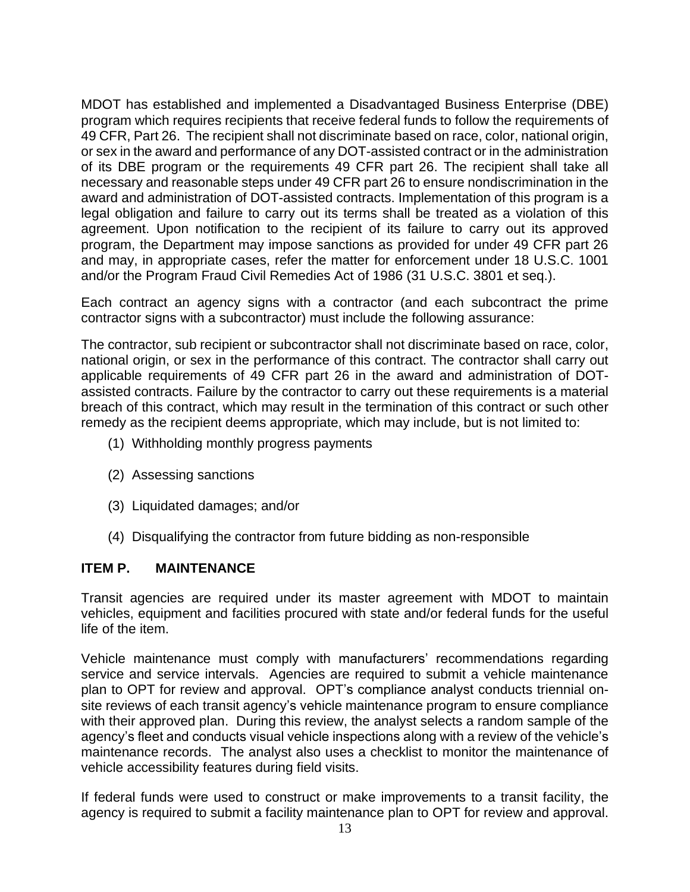MDOT has established and implemented a Disadvantaged Business Enterprise (DBE) program which requires recipients that receive federal funds to follow the requirements of 49 CFR, Part 26. The recipient shall not discriminate based on race, color, national origin, or sex in the award and performance of any DOT-assisted contract or in the administration of its DBE program or the requirements 49 CFR part 26. The recipient shall take all necessary and reasonable steps under 49 CFR part 26 to ensure nondiscrimination in the award and administration of DOT-assisted contracts. Implementation of this program is a legal obligation and failure to carry out its terms shall be treated as a violation of this agreement. Upon notification to the recipient of its failure to carry out its approved program, the Department may impose sanctions as provided for under 49 CFR part 26 and may, in appropriate cases, refer the matter for enforcement under 18 U.S.C. 1001 and/or the Program Fraud Civil Remedies Act of 1986 (31 U.S.C. 3801 et seq.).

Each contract an agency signs with a contractor (and each subcontract the prime contractor signs with a subcontractor) must include the following assurance:

The contractor, sub recipient or subcontractor shall not discriminate based on race, color, national origin, or sex in the performance of this contract. The contractor shall carry out applicable requirements of 49 CFR part 26 in the award and administration of DOTassisted contracts. Failure by the contractor to carry out these requirements is a material breach of this contract, which may result in the termination of this contract or such other remedy as the recipient deems appropriate, which may include, but is not limited to:

- (1) Withholding monthly progress payments
- (2) Assessing sanctions
- (3) Liquidated damages; and/or
- (4) Disqualifying the contractor from future bidding as non-responsible

#### **ITEM P. MAINTENANCE**

Transit agencies are required under its master agreement with MDOT to maintain vehicles, equipment and facilities procured with state and/or federal funds for the useful life of the item.

Vehicle maintenance must comply with manufacturers' recommendations regarding service and service intervals. Agencies are required to submit a vehicle maintenance plan to OPT for review and approval. OPT's compliance analyst conducts triennial onsite reviews of each transit agency's vehicle maintenance program to ensure compliance with their approved plan. During this review, the analyst selects a random sample of the agency's fleet and conducts visual vehicle inspections along with a review of the vehicle's maintenance records. The analyst also uses a checklist to monitor the maintenance of vehicle accessibility features during field visits.

If federal funds were used to construct or make improvements to a transit facility, the agency is required to submit a facility maintenance plan to OPT for review and approval.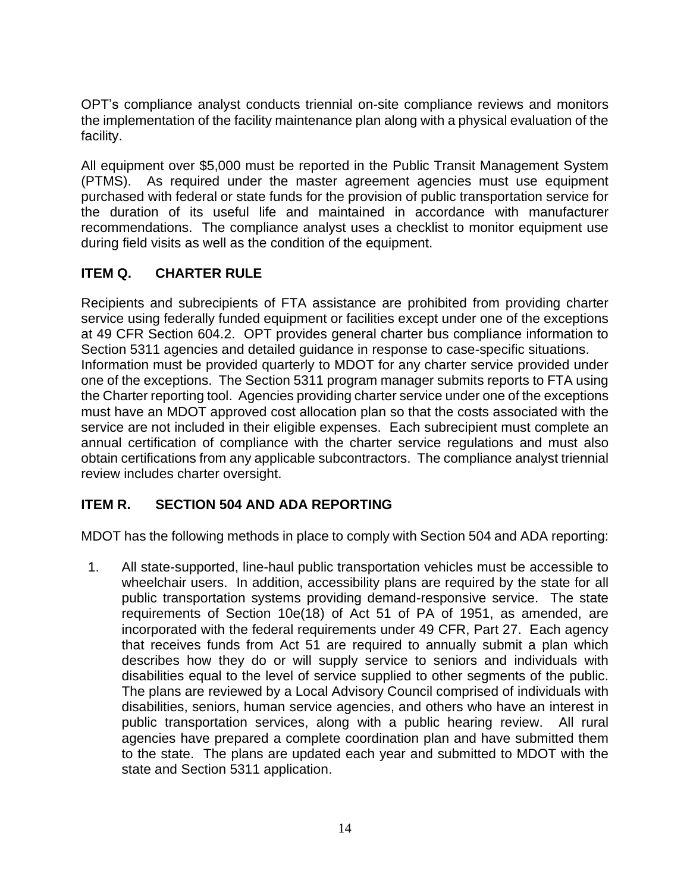OPT's compliance analyst conducts triennial on-site compliance reviews and monitors the implementation of the facility maintenance plan along with a physical evaluation of the facility.

All equipment over \$5,000 must be reported in the Public Transit Management System (PTMS). As required under the master agreement agencies must use equipment purchased with federal or state funds for the provision of public transportation service for the duration of its useful life and maintained in accordance with manufacturer recommendations. The compliance analyst uses a checklist to monitor equipment use during field visits as well as the condition of the equipment.

## **ITEM Q. CHARTER RULE**

Recipients and subrecipients of FTA assistance are prohibited from providing charter service using federally funded equipment or facilities except under one of the exceptions at 49 CFR Section 604.2. OPT provides general charter bus compliance information to Section 5311 agencies and detailed guidance in response to case-specific situations. Information must be provided quarterly to MDOT for any charter service provided under one of the exceptions. The Section 5311 program manager submits reports to FTA using the Charter reporting tool. Agencies providing charter service under one of the exceptions must have an MDOT approved cost allocation plan so that the costs associated with the service are not included in their eligible expenses. Each subrecipient must complete an annual certification of compliance with the charter service regulations and must also obtain certifications from any applicable subcontractors. The compliance analyst triennial review includes charter oversight.

## **ITEM R. SECTION 504 AND ADA REPORTING**

MDOT has the following methods in place to comply with Section 504 and ADA reporting:

1. All state-supported, line-haul public transportation vehicles must be accessible to wheelchair users. In addition, accessibility plans are required by the state for all public transportation systems providing demand-responsive service. The state requirements of Section 10e(18) of Act 51 of PA of 1951, as amended, are incorporated with the federal requirements under 49 CFR, Part 27. Each agency that receives funds from Act 51 are required to annually submit a plan which describes how they do or will supply service to seniors and individuals with disabilities equal to the level of service supplied to other segments of the public. The plans are reviewed by a Local Advisory Council comprised of individuals with disabilities, seniors, human service agencies, and others who have an interest in public transportation services, along with a public hearing review. All rural agencies have prepared a complete coordination plan and have submitted them to the state. The plans are updated each year and submitted to MDOT with the state and Section 5311 application.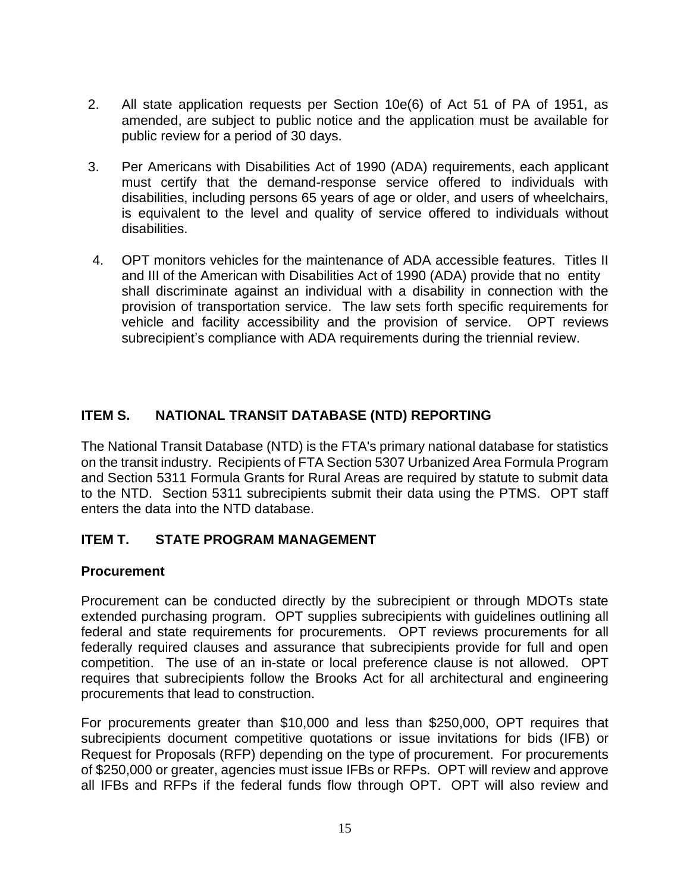- 2. All state application requests per Section 10e(6) of Act 51 of PA of 1951, as amended, are subject to public notice and the application must be available for public review for a period of 30 days.
- 3. Per Americans with Disabilities Act of 1990 (ADA) requirements, each applicant must certify that the demand-response service offered to individuals with disabilities, including persons 65 years of age or older, and users of wheelchairs, is equivalent to the level and quality of service offered to individuals without disabilities.
- 4. OPT monitors vehicles for the maintenance of ADA accessible features. Titles II and III of the American with Disabilities Act of 1990 (ADA) provide that no entity shall discriminate against an individual with a disability in connection with the provision of transportation service. The law sets forth specific requirements for vehicle and facility accessibility and the provision of service. OPT reviews subrecipient's compliance with ADA requirements during the triennial review.

## **ITEM S. NATIONAL TRANSIT DATABASE (NTD) REPORTING**

The National Transit Database (NTD) is the FTA's primary national database for statistics on the transit industry. Recipients of FTA Section 5307 Urbanized Area Formula Program and Section 5311 Formula Grants for Rural Areas are required by statute to submit data to the NTD. Section 5311 subrecipients submit their data using the PTMS. OPT staff enters the data into the NTD database.

## **ITEM T. STATE PROGRAM MANAGEMENT**

### **Procurement**

Procurement can be conducted directly by the subrecipient or through MDOTs state extended purchasing program. OPT supplies subrecipients with guidelines outlining all federal and state requirements for procurements. OPT reviews procurements for all federally required clauses and assurance that subrecipients provide for full and open competition. The use of an in-state or local preference clause is not allowed. OPT requires that subrecipients follow the Brooks Act for all architectural and engineering procurements that lead to construction.

For procurements greater than \$10,000 and less than \$250,000, OPT requires that subrecipients document competitive quotations or issue invitations for bids (IFB) or Request for Proposals (RFP) depending on the type of procurement. For procurements of \$250,000 or greater, agencies must issue IFBs or RFPs. OPT will review and approve all IFBs and RFPs if the federal funds flow through OPT. OPT will also review and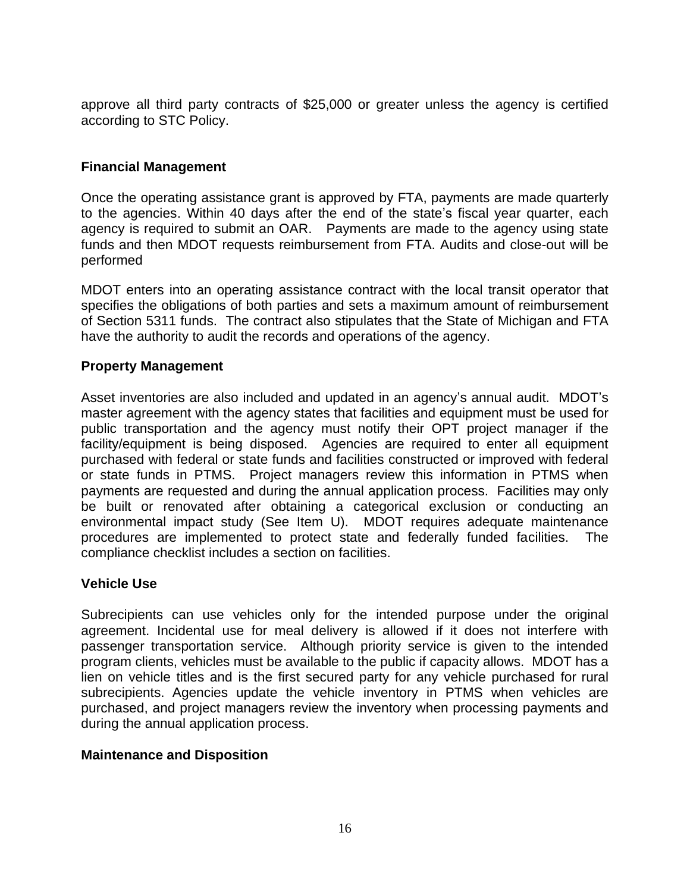approve all third party contracts of \$25,000 or greater unless the agency is certified according to STC Policy.

### **Financial Management**

Once the operating assistance grant is approved by FTA, payments are made quarterly to the agencies. Within 40 days after the end of the state's fiscal year quarter, each agency is required to submit an OAR. Payments are made to the agency using state funds and then MDOT requests reimbursement from FTA. Audits and close-out will be performed

MDOT enters into an operating assistance contract with the local transit operator that specifies the obligations of both parties and sets a maximum amount of reimbursement of Section 5311 funds. The contract also stipulates that the State of Michigan and FTA have the authority to audit the records and operations of the agency.

### **Property Management**

Asset inventories are also included and updated in an agency's annual audit. MDOT's master agreement with the agency states that facilities and equipment must be used for public transportation and the agency must notify their OPT project manager if the facility/equipment is being disposed. Agencies are required to enter all equipment purchased with federal or state funds and facilities constructed or improved with federal or state funds in PTMS. Project managers review this information in PTMS when payments are requested and during the annual application process. Facilities may only be built or renovated after obtaining a categorical exclusion or conducting an environmental impact study (See Item U). MDOT requires adequate maintenance procedures are implemented to protect state and federally funded facilities. The compliance checklist includes a section on facilities.

### **Vehicle Use**

Subrecipients can use vehicles only for the intended purpose under the original agreement. Incidental use for meal delivery is allowed if it does not interfere with passenger transportation service. Although priority service is given to the intended program clients, vehicles must be available to the public if capacity allows. MDOT has a lien on vehicle titles and is the first secured party for any vehicle purchased for rural subrecipients. Agencies update the vehicle inventory in PTMS when vehicles are purchased, and project managers review the inventory when processing payments and during the annual application process.

### **Maintenance and Disposition**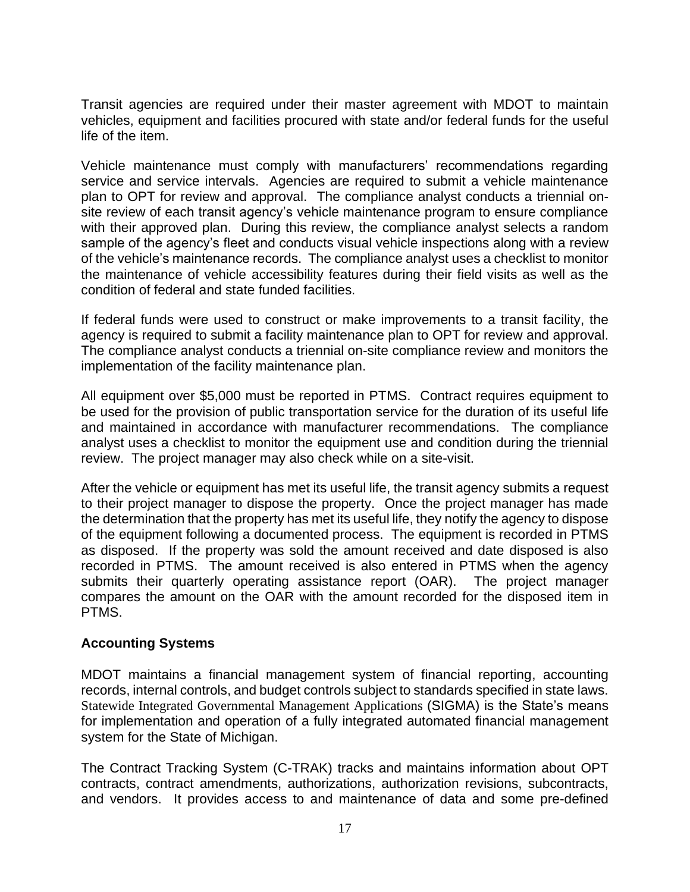Transit agencies are required under their master agreement with MDOT to maintain vehicles, equipment and facilities procured with state and/or federal funds for the useful life of the item.

Vehicle maintenance must comply with manufacturers' recommendations regarding service and service intervals. Agencies are required to submit a vehicle maintenance plan to OPT for review and approval. The compliance analyst conducts a triennial onsite review of each transit agency's vehicle maintenance program to ensure compliance with their approved plan. During this review, the compliance analyst selects a random sample of the agency's fleet and conducts visual vehicle inspections along with a review of the vehicle's maintenance records. The compliance analyst uses a checklist to monitor the maintenance of vehicle accessibility features during their field visits as well as the condition of federal and state funded facilities.

If federal funds were used to construct or make improvements to a transit facility, the agency is required to submit a facility maintenance plan to OPT for review and approval. The compliance analyst conducts a triennial on-site compliance review and monitors the implementation of the facility maintenance plan.

All equipment over \$5,000 must be reported in PTMS. Contract requires equipment to be used for the provision of public transportation service for the duration of its useful life and maintained in accordance with manufacturer recommendations. The compliance analyst uses a checklist to monitor the equipment use and condition during the triennial review. The project manager may also check while on a site-visit.

After the vehicle or equipment has met its useful life, the transit agency submits a request to their project manager to dispose the property. Once the project manager has made the determination that the property has met its useful life, they notify the agency to dispose of the equipment following a documented process. The equipment is recorded in PTMS as disposed. If the property was sold the amount received and date disposed is also recorded in PTMS. The amount received is also entered in PTMS when the agency submits their quarterly operating assistance report (OAR). The project manager compares the amount on the OAR with the amount recorded for the disposed item in PTMS.

## **Accounting Systems**

MDOT maintains a financial management system of financial reporting, accounting records, internal controls, and budget controls subject to standards specified in state laws. Statewide Integrated Governmental Management Applications (SIGMA) is the State's means for implementation and operation of a fully integrated automated financial management system for the State of Michigan.

The Contract Tracking System (C-TRAK) tracks and maintains information about OPT contracts, contract amendments, authorizations, authorization revisions, subcontracts, and vendors. It provides access to and maintenance of data and some pre-defined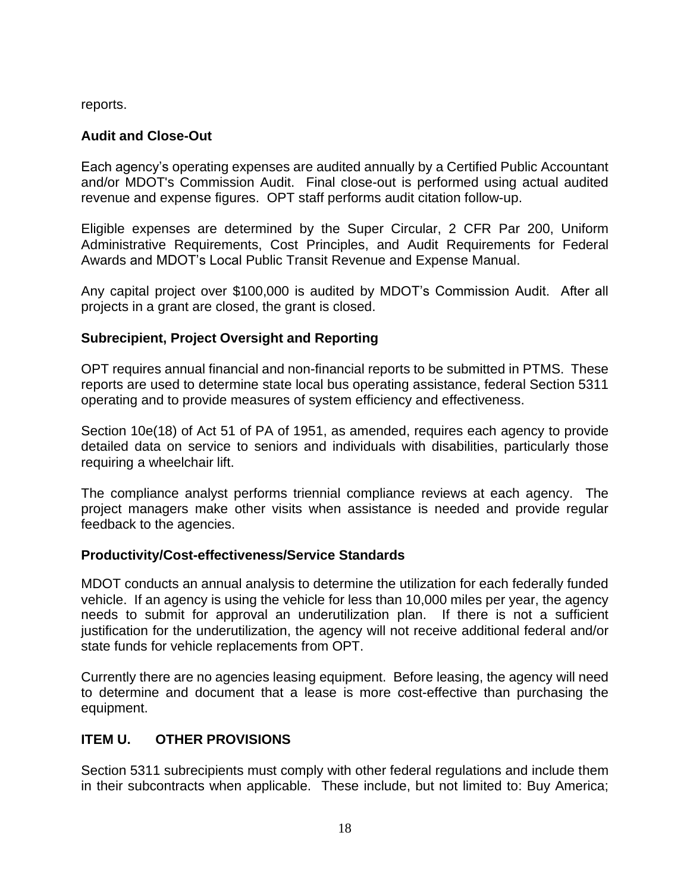reports.

## **Audit and Close-Out**

Each agency's operating expenses are audited annually by a Certified Public Accountant and/or MDOT's Commission Audit. Final close-out is performed using actual audited revenue and expense figures. OPT staff performs audit citation follow-up.

Eligible expenses are determined by the Super Circular, 2 CFR Par 200, Uniform Administrative Requirements, Cost Principles, and Audit Requirements for Federal Awards and MDOT's Local Public Transit Revenue and Expense Manual.

Any capital project over \$100,000 is audited by MDOT's Commission Audit. After all projects in a grant are closed, the grant is closed.

## **Subrecipient, Project Oversight and Reporting**

OPT requires annual financial and non-financial reports to be submitted in PTMS. These reports are used to determine state local bus operating assistance, federal Section 5311 operating and to provide measures of system efficiency and effectiveness.

Section 10e(18) of Act 51 of PA of 1951, as amended, requires each agency to provide detailed data on service to seniors and individuals with disabilities, particularly those requiring a wheelchair lift.

The compliance analyst performs triennial compliance reviews at each agency. The project managers make other visits when assistance is needed and provide regular feedback to the agencies.

## **Productivity/Cost-effectiveness/Service Standards**

MDOT conducts an annual analysis to determine the utilization for each federally funded vehicle. If an agency is using the vehicle for less than 10,000 miles per year, the agency needs to submit for approval an underutilization plan. If there is not a sufficient justification for the underutilization, the agency will not receive additional federal and/or state funds for vehicle replacements from OPT.

Currently there are no agencies leasing equipment. Before leasing, the agency will need to determine and document that a lease is more cost-effective than purchasing the equipment.

## **ITEM U. OTHER PROVISIONS**

Section 5311 subrecipients must comply with other federal regulations and include them in their subcontracts when applicable. These include, but not limited to: Buy America;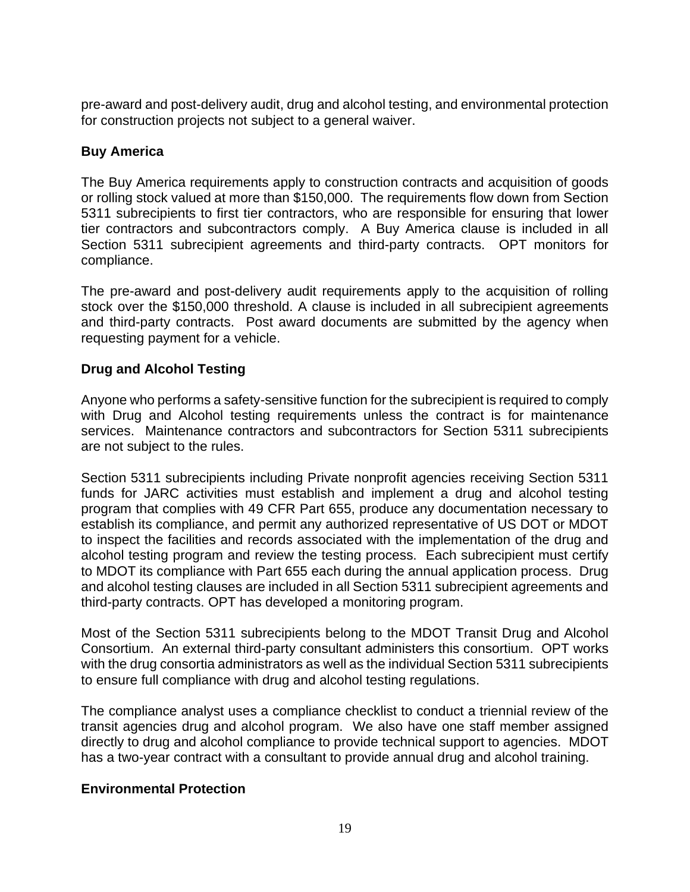pre-award and post-delivery audit, drug and alcohol testing, and environmental protection for construction projects not subject to a general waiver.

### **Buy America**

The Buy America requirements apply to construction contracts and acquisition of goods or rolling stock valued at more than \$150,000. The requirements flow down from Section 5311 subrecipients to first tier contractors, who are responsible for ensuring that lower tier contractors and subcontractors comply. A Buy America clause is included in all Section 5311 subrecipient agreements and third-party contracts. OPT monitors for compliance.

The pre-award and post-delivery audit requirements apply to the acquisition of rolling stock over the \$150,000 threshold. A clause is included in all subrecipient agreements and third-party contracts. Post award documents are submitted by the agency when requesting payment for a vehicle.

## **Drug and Alcohol Testing**

Anyone who performs a safety-sensitive function for the subrecipient is required to comply with Drug and Alcohol testing requirements unless the contract is for maintenance services. Maintenance contractors and subcontractors for Section 5311 subrecipients are not subject to the rules.

Section 5311 subrecipients including Private nonprofit agencies receiving Section 5311 funds for JARC activities must establish and implement a drug and alcohol testing program that complies with 49 CFR Part 655, produce any documentation necessary to establish its compliance, and permit any authorized representative of US DOT or MDOT to inspect the facilities and records associated with the implementation of the drug and alcohol testing program and review the testing process. Each subrecipient must certify to MDOT its compliance with Part 655 each during the annual application process. Drug and alcohol testing clauses are included in all Section 5311 subrecipient agreements and third-party contracts. OPT has developed a monitoring program.

Most of the Section 5311 subrecipients belong to the MDOT Transit Drug and Alcohol Consortium. An external third-party consultant administers this consortium. OPT works with the drug consortia administrators as well as the individual Section 5311 subrecipients to ensure full compliance with drug and alcohol testing regulations.

The compliance analyst uses a compliance checklist to conduct a triennial review of the transit agencies drug and alcohol program. We also have one staff member assigned directly to drug and alcohol compliance to provide technical support to agencies. MDOT has a two-year contract with a consultant to provide annual drug and alcohol training.

### **Environmental Protection**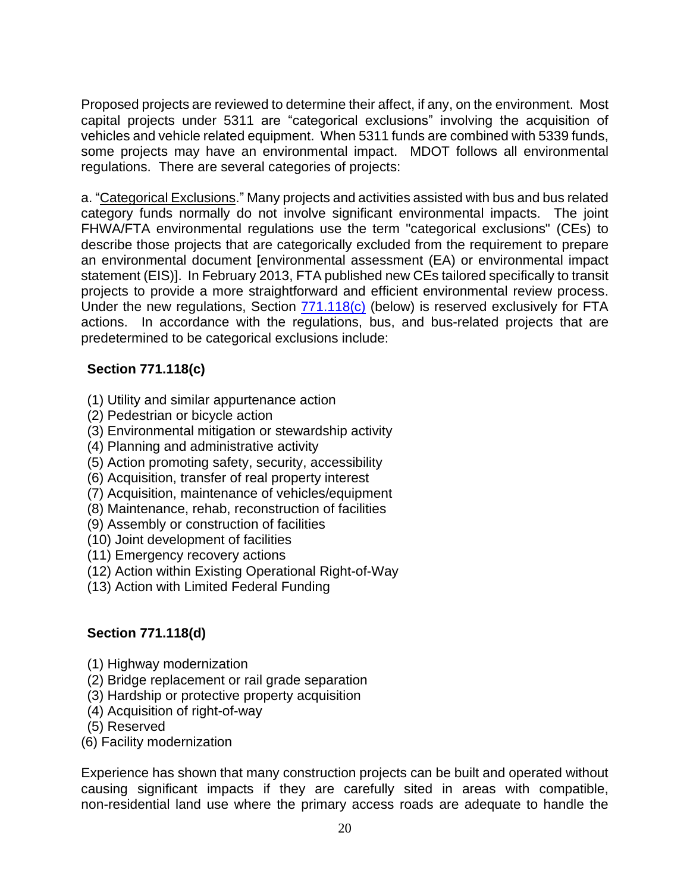Proposed projects are reviewed to determine their affect, if any, on the environment. Most capital projects under 5311 are "categorical exclusions" involving the acquisition of vehicles and vehicle related equipment. When 5311 funds are combined with 5339 funds, some projects may have an environmental impact. MDOT follows all environmental regulations. There are several categories of projects:

a. "Categorical Exclusions." Many projects and activities assisted with bus and bus related category funds normally do not involve significant environmental impacts. The joint FHWA/FTA environmental regulations use the term "categorical exclusions" (CEs) to describe those projects that are categorically excluded from the requirement to prepare an environmental document [environmental assessment (EA) or environmental impact statement (EIS)]. In February 2013, FTA published new CEs tailored specifically to transit projects to provide a more straightforward and efficient environmental review process. Under the new regulations, Section  $771.118(c)$  (below) is reserved exclusively for FTA actions. In accordance with the regulations, bus, and bus-related projects that are predetermined to be categorical exclusions include:

## **Section 771.118(c)**

- (1) Utility and similar appurtenance action
- (2) Pedestrian or bicycle action
- (3) Environmental mitigation or stewardship activity
- (4) Planning and administrative activity
- (5) Action promoting safety, security, accessibility
- (6) Acquisition, transfer of real property interest
- (7) Acquisition, maintenance of vehicles/equipment
- (8) Maintenance, rehab, reconstruction of facilities
- (9) Assembly or construction of facilities
- (10) Joint development of facilities
- (11) Emergency recovery actions
- (12) Action within Existing Operational Right-of-Way
- (13) Action with Limited Federal Funding

## **Section 771.118(d)**

- (1) Highway modernization
- (2) Bridge replacement or rail grade separation
- (3) Hardship or protective property acquisition
- (4) Acquisition of right-of-way
- (5) Reserved
- (6) Facility modernization

Experience has shown that many construction projects can be built and operated without causing significant impacts if they are carefully sited in areas with compatible, non-residential land use where the primary access roads are adequate to handle the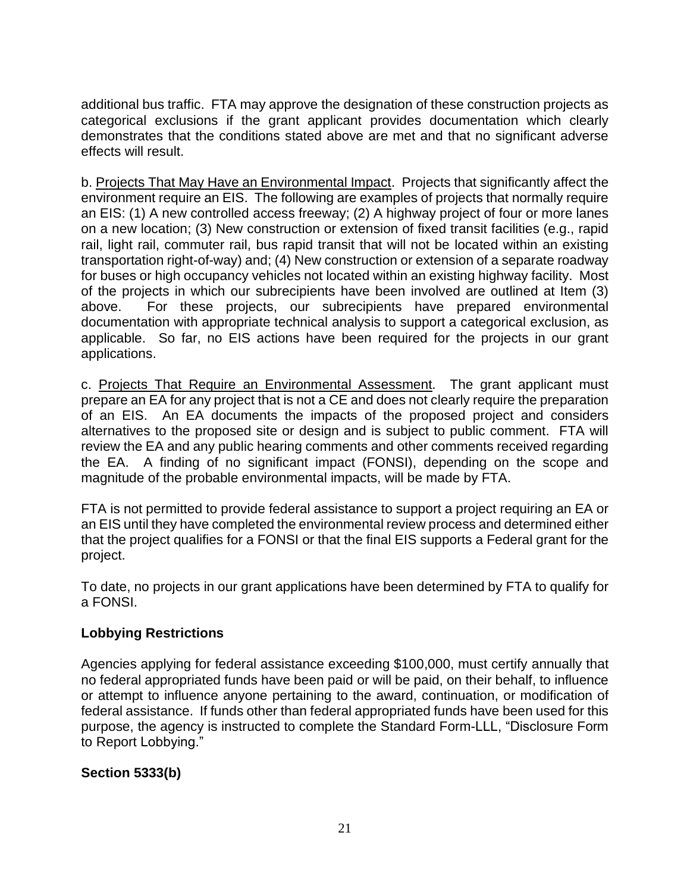additional bus traffic. FTA may approve the designation of these construction projects as categorical exclusions if the grant applicant provides documentation which clearly demonstrates that the conditions stated above are met and that no significant adverse effects will result.

b. Projects That May Have an Environmental Impact. Projects that significantly affect the environment require an EIS. The following are examples of projects that normally require an EIS: (1) A new controlled access freeway; (2) A highway project of four or more lanes on a new location; (3) New construction or extension of fixed transit facilities (e.g., rapid rail, light rail, commuter rail, bus rapid transit that will not be located within an existing transportation right-of-way) and; (4) New construction or extension of a separate roadway for buses or high occupancy vehicles not located within an existing highway facility. Most of the projects in which our subrecipients have been involved are outlined at Item (3) above. For these projects, our subrecipients have prepared environmental documentation with appropriate technical analysis to support a categorical exclusion, as applicable. So far, no EIS actions have been required for the projects in our grant applications.

c. Projects That Require an Environmental Assessment. The grant applicant must prepare an EA for any project that is not a CE and does not clearly require the preparation of an EIS. An EA documents the impacts of the proposed project and considers alternatives to the proposed site or design and is subject to public comment. FTA will review the EA and any public hearing comments and other comments received regarding the EA. A finding of no significant impact (FONSI), depending on the scope and magnitude of the probable environmental impacts, will be made by FTA.

FTA is not permitted to provide federal assistance to support a project requiring an EA or an EIS until they have completed the environmental review process and determined either that the project qualifies for a FONSI or that the final EIS supports a Federal grant for the project.

To date, no projects in our grant applications have been determined by FTA to qualify for a FONSI.

## **Lobbying Restrictions**

Agencies applying for federal assistance exceeding \$100,000, must certify annually that no federal appropriated funds have been paid or will be paid, on their behalf, to influence or attempt to influence anyone pertaining to the award, continuation, or modification of federal assistance. If funds other than federal appropriated funds have been used for this purpose, the agency is instructed to complete the Standard Form-LLL, "Disclosure Form to Report Lobbying."

## **Section 5333(b)**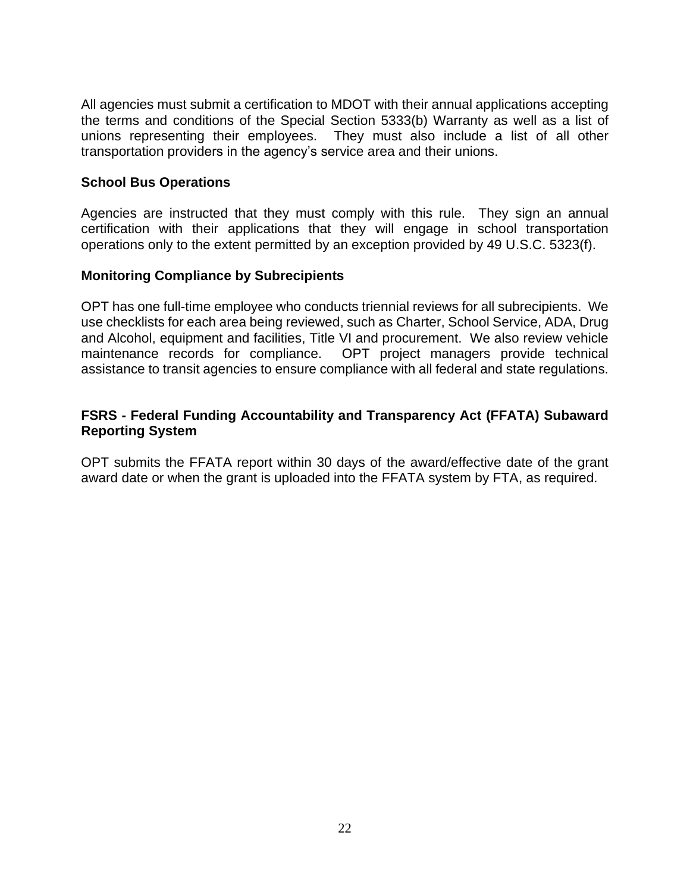All agencies must submit a certification to MDOT with their annual applications accepting the terms and conditions of the Special Section 5333(b) Warranty as well as a list of unions representing their employees. They must also include a list of all other transportation providers in the agency's service area and their unions.

### **School Bus Operations**

Agencies are instructed that they must comply with this rule. They sign an annual certification with their applications that they will engage in school transportation operations only to the extent permitted by an exception provided by 49 U.S.C. 5323(f).

### **Monitoring Compliance by Subrecipients**

OPT has one full-time employee who conducts triennial reviews for all subrecipients. We use checklists for each area being reviewed, such as Charter, School Service, ADA, Drug and Alcohol, equipment and facilities, Title VI and procurement. We also review vehicle maintenance records for compliance. OPT project managers provide technical assistance to transit agencies to ensure compliance with all federal and state regulations.

### **FSRS - [Federal Funding Accountability and Transparency Act \(FFATA\) Subaward](https://gcc02.safelinks.protection.outlook.com/?url=https%3A%2F%2Fwww.fsrs.gov%2Findex%3F&data=05%7C01%7CBrushA%40michigan.gov%7C2ce302bd56c549119b2508da373134f5%7Cd5fb7087377742ad966a892ef47225d1%7C0%7C0%7C637882981716182416%7CUnknown%7CTWFpbGZsb3d8eyJWIjoiMC4wLjAwMDAiLCJQIjoiV2luMzIiLCJBTiI6Ik1haWwiLCJXVCI6Mn0%3D%7C3000%7C%7C%7C&sdata=nOFCUITdxlXmx5jdnIpT%2BJAE924ZiCfJbwZWsVtbaVw%3D&reserved=0)  [Reporting System](https://gcc02.safelinks.protection.outlook.com/?url=https%3A%2F%2Fwww.fsrs.gov%2Findex%3F&data=05%7C01%7CBrushA%40michigan.gov%7C2ce302bd56c549119b2508da373134f5%7Cd5fb7087377742ad966a892ef47225d1%7C0%7C0%7C637882981716182416%7CUnknown%7CTWFpbGZsb3d8eyJWIjoiMC4wLjAwMDAiLCJQIjoiV2luMzIiLCJBTiI6Ik1haWwiLCJXVCI6Mn0%3D%7C3000%7C%7C%7C&sdata=nOFCUITdxlXmx5jdnIpT%2BJAE924ZiCfJbwZWsVtbaVw%3D&reserved=0)**

OPT submits the FFATA report within 30 days of the award/effective date of the grant award date or when the grant is uploaded into the FFATA system by FTA, as required.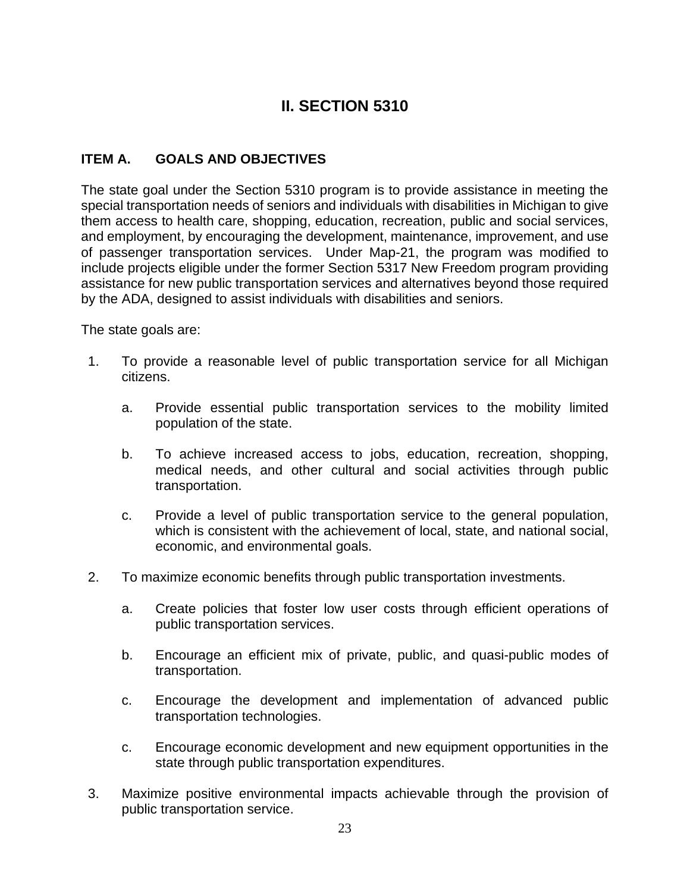# **II. SECTION 5310**

## **ITEM A. GOALS AND OBJECTIVES**

The state goal under the Section 5310 program is to provide assistance in meeting the special transportation needs of seniors and individuals with disabilities in Michigan to give them access to health care, shopping, education, recreation, public and social services, and employment, by encouraging the development, maintenance, improvement, and use of passenger transportation services. Under Map-21, the program was modified to include projects eligible under the former Section 5317 New Freedom program providing assistance for new public transportation services and alternatives beyond those required by the ADA, designed to assist individuals with disabilities and seniors.

The state goals are:

- 1. To provide a reasonable level of public transportation service for all Michigan citizens.
	- a. Provide essential public transportation services to the mobility limited population of the state.
	- b. To achieve increased access to jobs, education, recreation, shopping, medical needs, and other cultural and social activities through public transportation.
	- c. Provide a level of public transportation service to the general population, which is consistent with the achievement of local, state, and national social, economic, and environmental goals.
- 2. To maximize economic benefits through public transportation investments.
	- a. Create policies that foster low user costs through efficient operations of public transportation services.
	- b. Encourage an efficient mix of private, public, and quasi-public modes of transportation.
	- c. Encourage the development and implementation of advanced public transportation technologies.
	- c. Encourage economic development and new equipment opportunities in the state through public transportation expenditures.
- 3. Maximize positive environmental impacts achievable through the provision of public transportation service.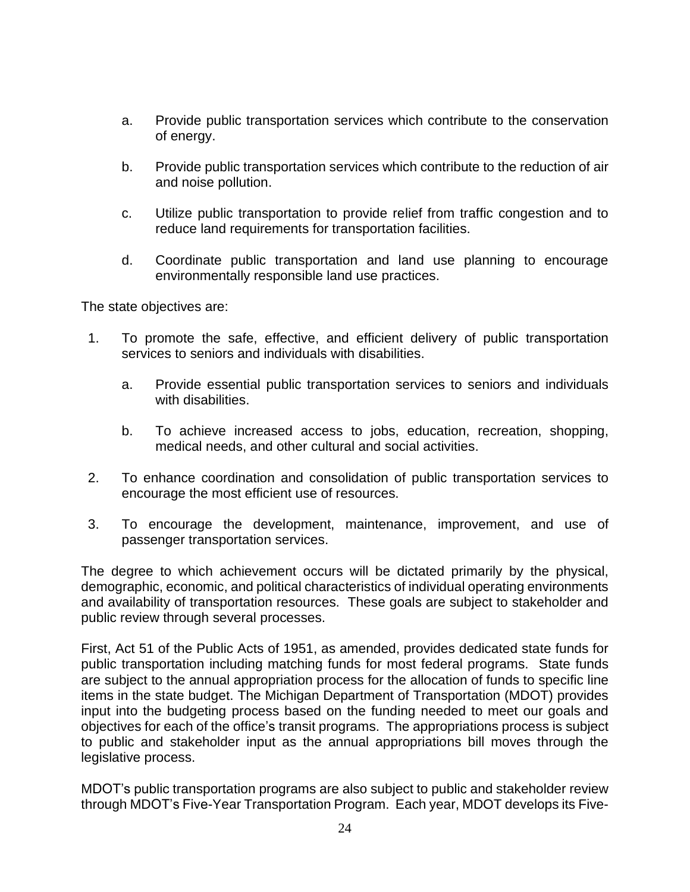- a. Provide public transportation services which contribute to the conservation of energy.
- b. Provide public transportation services which contribute to the reduction of air and noise pollution.
- c. Utilize public transportation to provide relief from traffic congestion and to reduce land requirements for transportation facilities.
- d. Coordinate public transportation and land use planning to encourage environmentally responsible land use practices.

The state objectives are:

- 1. To promote the safe, effective, and efficient delivery of public transportation services to seniors and individuals with disabilities.
	- a. Provide essential public transportation services to seniors and individuals with disabilities.
	- b. To achieve increased access to jobs, education, recreation, shopping, medical needs, and other cultural and social activities.
- 2. To enhance coordination and consolidation of public transportation services to encourage the most efficient use of resources.
- 3. To encourage the development, maintenance, improvement, and use of passenger transportation services.

The degree to which achievement occurs will be dictated primarily by the physical, demographic, economic, and political characteristics of individual operating environments and availability of transportation resources. These goals are subject to stakeholder and public review through several processes.

First, Act 51 of the Public Acts of 1951, as amended, provides dedicated state funds for public transportation including matching funds for most federal programs. State funds are subject to the annual appropriation process for the allocation of funds to specific line items in the state budget. The Michigan Department of Transportation (MDOT) provides input into the budgeting process based on the funding needed to meet our goals and objectives for each of the office's transit programs. The appropriations process is subject to public and stakeholder input as the annual appropriations bill moves through the legislative process.

MDOT's public transportation programs are also subject to public and stakeholder review through MDOT's Five-Year Transportation Program. Each year, MDOT develops its Five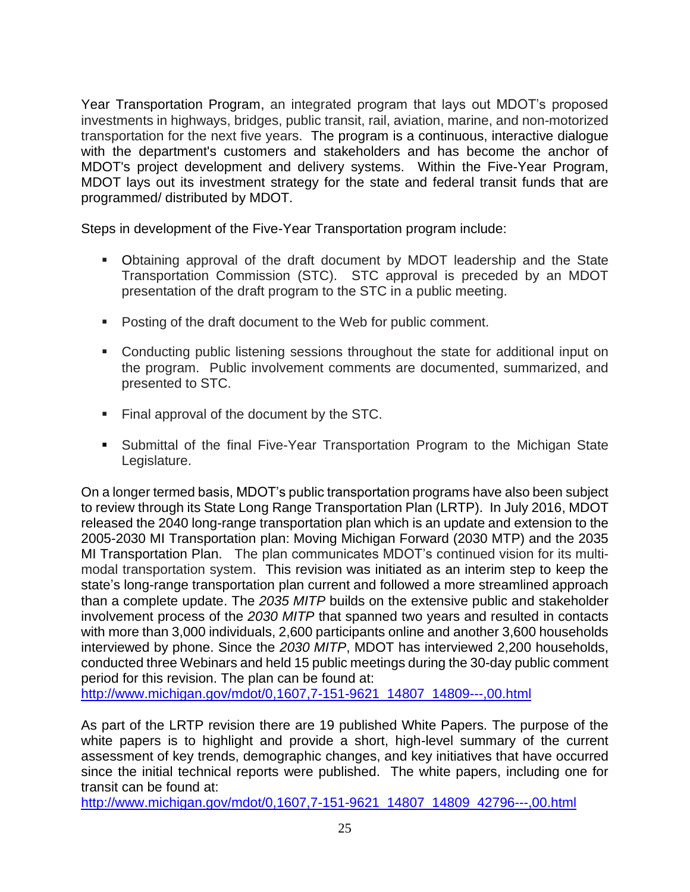Year Transportation Program, an integrated program that lays out MDOT's proposed investments in highways, bridges, public transit, rail, aviation, marine, and non-motorized transportation for the next five years. The program is a continuous, interactive dialogue with the department's customers and stakeholders and has become the anchor of MDOT's project development and delivery systems. Within the Five-Year Program, MDOT lays out its investment strategy for the state and federal transit funds that are programmed/ distributed by MDOT.

Steps in development of the Five-Year Transportation program include:

- Obtaining approval of the draft document by MDOT leadership and the State Transportation Commission (STC). STC approval is preceded by an MDOT presentation of the draft program to the STC in a public meeting.
- Posting of the draft document to the Web for public comment.
- Conducting public listening sessions throughout the state for additional input on the program. Public involvement comments are documented, summarized, and presented to STC.
- Final approval of the document by the STC.
- Submittal of the final Five-Year Transportation Program to the Michigan State Legislature.

On a longer termed basis, MDOT's public transportation programs have also been subject to review through its State Long Range Transportation Plan (LRTP). In July 2016, MDOT released the 2040 long-range transportation plan which is an update and extension to the 2005-2030 MI Transportation plan: Moving Michigan Forward (2030 MTP) and the 2035 MI Transportation Plan. The plan communicates MDOT's continued vision for its multimodal transportation system. This revision was initiated as an interim step to keep the state's long-range transportation plan current and followed a more streamlined approach than a complete update. The *2035 MITP* builds on the extensive public and stakeholder involvement process of the *2030 MITP* that spanned two years and resulted in contacts with more than 3,000 individuals, 2,600 participants online and another 3,600 households interviewed by phone. Since the *2030 MITP*, MDOT has interviewed 2,200 households, conducted three Webinars and held 15 public meetings during the 30-day public comment period for this revision. The plan can be found at:

[http://www.michigan.gov/mdot/0,1607,7-151-9621\\_14807\\_14809---,00.html](http://www.michigan.gov/mdot/0,1607,7-151-9621_14807_14809---,00.html)

As part of the LRTP revision there are 19 published White Papers. The purpose of the white papers is to highlight and provide a short, high-level summary of the current assessment of key trends, demographic changes, and key initiatives that have occurred since the initial technical reports were published. The white papers, including one for transit can be found at:

[http://www.michigan.gov/mdot/0,1607,7-151-9621\\_14807\\_14809\\_42796---,00.html](http://www.michigan.gov/mdot/0,1607,7-151-9621_14807_14809_42796---,00.html)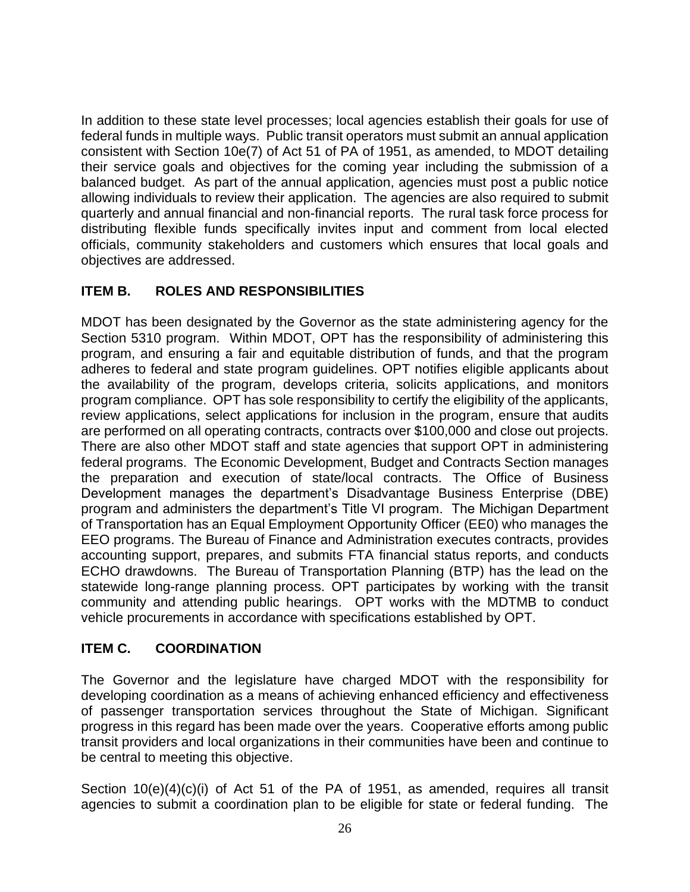In addition to these state level processes; local agencies establish their goals for use of federal funds in multiple ways. Public transit operators must submit an annual application consistent with Section 10e(7) of Act 51 of PA of 1951, as amended, to MDOT detailing their service goals and objectives for the coming year including the submission of a balanced budget. As part of the annual application, agencies must post a public notice allowing individuals to review their application. The agencies are also required to submit quarterly and annual financial and non-financial reports. The rural task force process for distributing flexible funds specifically invites input and comment from local elected officials, community stakeholders and customers which ensures that local goals and objectives are addressed.

## **ITEM B. ROLES AND RESPONSIBILITIES**

MDOT has been designated by the Governor as the state administering agency for the Section 5310 program. Within MDOT, OPT has the responsibility of administering this program, and ensuring a fair and equitable distribution of funds, and that the program adheres to federal and state program guidelines. OPT notifies eligible applicants about the availability of the program, develops criteria, solicits applications, and monitors program compliance. OPT has sole responsibility to certify the eligibility of the applicants, review applications, select applications for inclusion in the program, ensure that audits are performed on all operating contracts, contracts over \$100,000 and close out projects. There are also other MDOT staff and state agencies that support OPT in administering federal programs. The Economic Development, Budget and Contracts Section manages the preparation and execution of state/local contracts. The Office of Business Development manages the department's Disadvantage Business Enterprise (DBE) program and administers the department's Title VI program. The Michigan Department of Transportation has an Equal Employment Opportunity Officer (EE0) who manages the EEO programs. The Bureau of Finance and Administration executes contracts, provides accounting support, prepares, and submits FTA financial status reports, and conducts ECHO drawdowns. The Bureau of Transportation Planning (BTP) has the lead on the statewide long-range planning process. OPT participates by working with the transit community and attending public hearings. OPT works with the MDTMB to conduct vehicle procurements in accordance with specifications established by OPT.

## **ITEM C. COORDINATION**

The Governor and the legislature have charged MDOT with the responsibility for developing coordination as a means of achieving enhanced efficiency and effectiveness of passenger transportation services throughout the State of Michigan. Significant progress in this regard has been made over the years. Cooperative efforts among public transit providers and local organizations in their communities have been and continue to be central to meeting this objective.

Section 10(e)(4)(c)(i) of Act 51 of the PA of 1951, as amended, requires all transit agencies to submit a coordination plan to be eligible for state or federal funding. The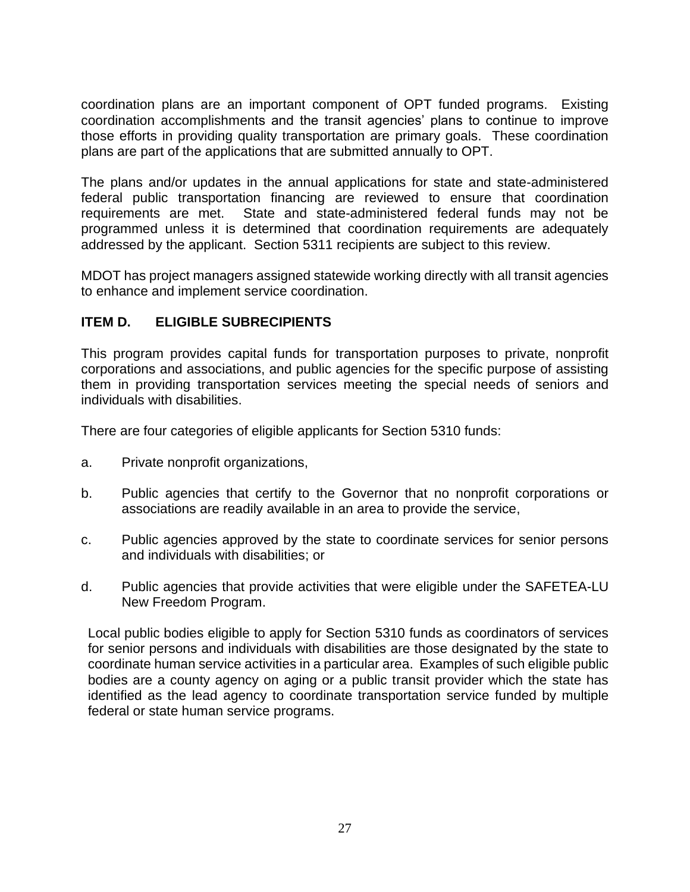coordination plans are an important component of OPT funded programs. Existing coordination accomplishments and the transit agencies' plans to continue to improve those efforts in providing quality transportation are primary goals. These coordination plans are part of the applications that are submitted annually to OPT.

The plans and/or updates in the annual applications for state and state-administered federal public transportation financing are reviewed to ensure that coordination requirements are met. State and state-administered federal funds may not be programmed unless it is determined that coordination requirements are adequately addressed by the applicant. Section 5311 recipients are subject to this review.

MDOT has project managers assigned statewide working directly with all transit agencies to enhance and implement service coordination.

## **ITEM D. ELIGIBLE SUBRECIPIENTS**

This program provides capital funds for transportation purposes to private, nonprofit corporations and associations, and public agencies for the specific purpose of assisting them in providing transportation services meeting the special needs of seniors and individuals with disabilities.

There are four categories of eligible applicants for Section 5310 funds:

- a. Private nonprofit organizations,
- b. Public agencies that certify to the Governor that no nonprofit corporations or associations are readily available in an area to provide the service,
- c. Public agencies approved by the state to coordinate services for senior persons and individuals with disabilities; or
- d. Public agencies that provide activities that were eligible under the SAFETEA-LU New Freedom Program.

Local public bodies eligible to apply for Section 5310 funds as coordinators of services for senior persons and individuals with disabilities are those designated by the state to coordinate human service activities in a particular area. Examples of such eligible public bodies are a county agency on aging or a public transit provider which the state has identified as the lead agency to coordinate transportation service funded by multiple federal or state human service programs.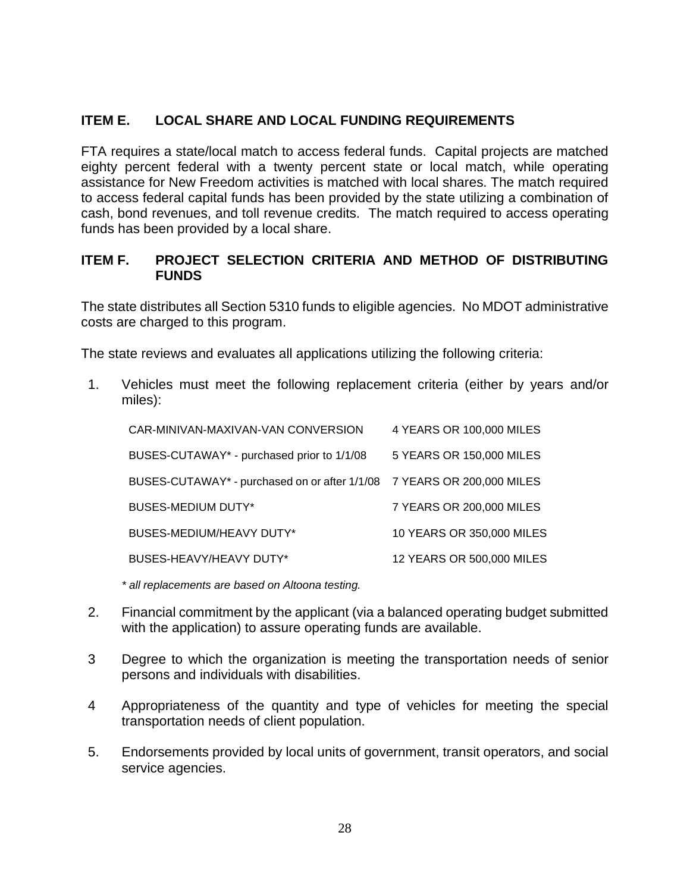# **ITEM E. LOCAL SHARE AND LOCAL FUNDING REQUIREMENTS**

FTA requires a state/local match to access federal funds. Capital projects are matched eighty percent federal with a twenty percent state or local match, while operating assistance for New Freedom activities is matched with local shares. The match required to access federal capital funds has been provided by the state utilizing a combination of cash, bond revenues, and toll revenue credits. The match required to access operating funds has been provided by a local share.

# **ITEM F. PROJECT SELECTION CRITERIA AND METHOD OF DISTRIBUTING FUNDS**

The state distributes all Section 5310 funds to eligible agencies. No MDOT administrative costs are charged to this program.

The state reviews and evaluates all applications utilizing the following criteria:

1. Vehicles must meet the following replacement criteria (either by years and/or miles):

| CAR-MINIVAN-MAXIVAN-VAN CONVERSION                                     | 4 YEARS OR 100,000 MILES  |
|------------------------------------------------------------------------|---------------------------|
| BUSES-CUTAWAY* - purchased prior to 1/1/08                             | 5 YEARS OR 150,000 MILES  |
| BUSES-CUTAWAY* - purchased on or after 1/1/08 7 YEARS OR 200,000 MILES |                           |
| <b>BUSES-MEDIUM DUTY*</b>                                              | 7 YEARS OR 200,000 MILES  |
| BUSES-MEDIUM/HEAVY DUTY*                                               | 10 YEARS OR 350,000 MILES |
| BUSES-HEAVY/HEAVY DUTY*                                                | 12 YEARS OR 500,000 MILES |
|                                                                        |                           |

*\* all replacements are based on Altoona testing.*

- 2. Financial commitment by the applicant (via a balanced operating budget submitted with the application) to assure operating funds are available.
- 3 Degree to which the organization is meeting the transportation needs of senior persons and individuals with disabilities.
- 4 Appropriateness of the quantity and type of vehicles for meeting the special transportation needs of client population.
- 5. Endorsements provided by local units of government, transit operators, and social service agencies.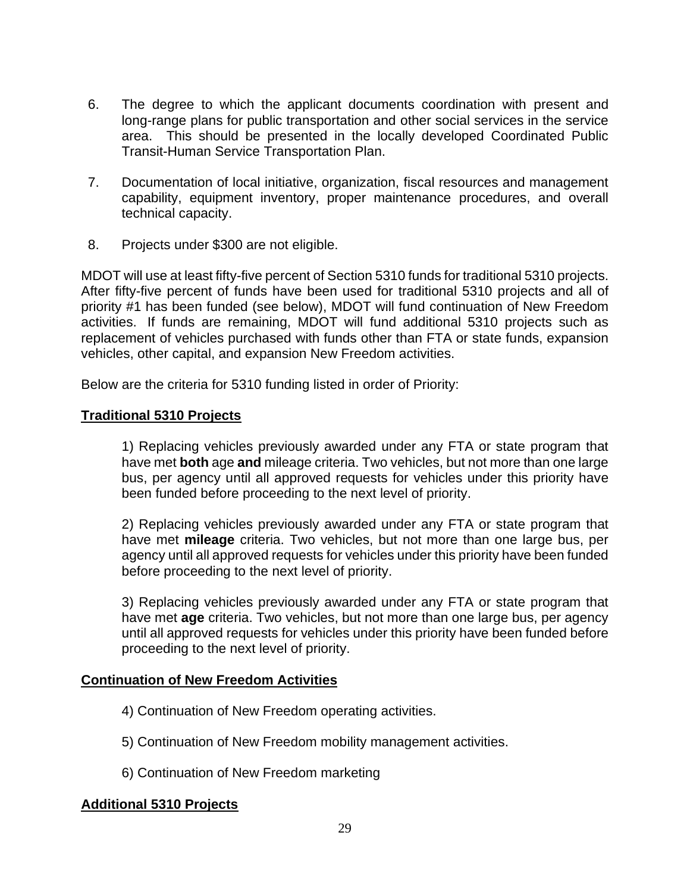- 6. The degree to which the applicant documents coordination with present and long-range plans for public transportation and other social services in the service area. This should be presented in the locally developed Coordinated Public Transit-Human Service Transportation Plan.
- 7. Documentation of local initiative, organization, fiscal resources and management capability, equipment inventory, proper maintenance procedures, and overall technical capacity.
- 8. Projects under \$300 are not eligible.

MDOT will use at least fifty-five percent of Section 5310 funds for traditional 5310 projects. After fifty-five percent of funds have been used for traditional 5310 projects and all of priority #1 has been funded (see below), MDOT will fund continuation of New Freedom activities. If funds are remaining, MDOT will fund additional 5310 projects such as replacement of vehicles purchased with funds other than FTA or state funds, expansion vehicles, other capital, and expansion New Freedom activities.

Below are the criteria for 5310 funding listed in order of Priority:

#### **Traditional 5310 Projects**

1) Replacing vehicles previously awarded under any FTA or state program that have met **both** age **and** mileage criteria. Two vehicles, but not more than one large bus, per agency until all approved requests for vehicles under this priority have been funded before proceeding to the next level of priority.

2) Replacing vehicles previously awarded under any FTA or state program that have met **mileage** criteria. Two vehicles, but not more than one large bus, per agency until all approved requests for vehicles under this priority have been funded before proceeding to the next level of priority.

3) Replacing vehicles previously awarded under any FTA or state program that have met **age** criteria. Two vehicles, but not more than one large bus, per agency until all approved requests for vehicles under this priority have been funded before proceeding to the next level of priority.

#### **Continuation of New Freedom Activities**

- 4) Continuation of New Freedom operating activities.
- 5) Continuation of New Freedom mobility management activities.
- 6) Continuation of New Freedom marketing

#### **Additional 5310 Projects**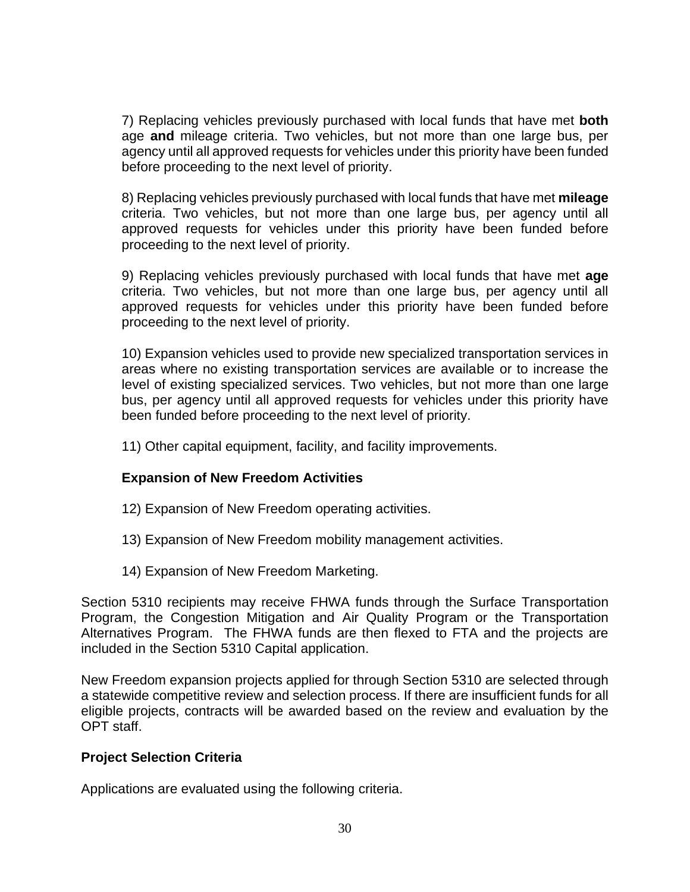7) Replacing vehicles previously purchased with local funds that have met **both**  age **and** mileage criteria. Two vehicles, but not more than one large bus, per agency until all approved requests for vehicles under this priority have been funded before proceeding to the next level of priority.

8) Replacing vehicles previously purchased with local funds that have met **mileage** criteria. Two vehicles, but not more than one large bus, per agency until all approved requests for vehicles under this priority have been funded before proceeding to the next level of priority.

9) Replacing vehicles previously purchased with local funds that have met **age** criteria. Two vehicles, but not more than one large bus, per agency until all approved requests for vehicles under this priority have been funded before proceeding to the next level of priority.

10) Expansion vehicles used to provide new specialized transportation services in areas where no existing transportation services are available or to increase the level of existing specialized services. Two vehicles, but not more than one large bus, per agency until all approved requests for vehicles under this priority have been funded before proceeding to the next level of priority.

11) Other capital equipment, facility, and facility improvements.

#### **Expansion of New Freedom Activities**

- 12) Expansion of New Freedom operating activities.
- 13) Expansion of New Freedom mobility management activities.
- 14) Expansion of New Freedom Marketing.

Section 5310 recipients may receive FHWA funds through the Surface Transportation Program, the Congestion Mitigation and Air Quality Program or the Transportation Alternatives Program. The FHWA funds are then flexed to FTA and the projects are included in the Section 5310 Capital application.

New Freedom expansion projects applied for through Section 5310 are selected through a statewide competitive review and selection process. If there are insufficient funds for all eligible projects, contracts will be awarded based on the review and evaluation by the OPT staff.

#### **Project Selection Criteria**

Applications are evaluated using the following criteria.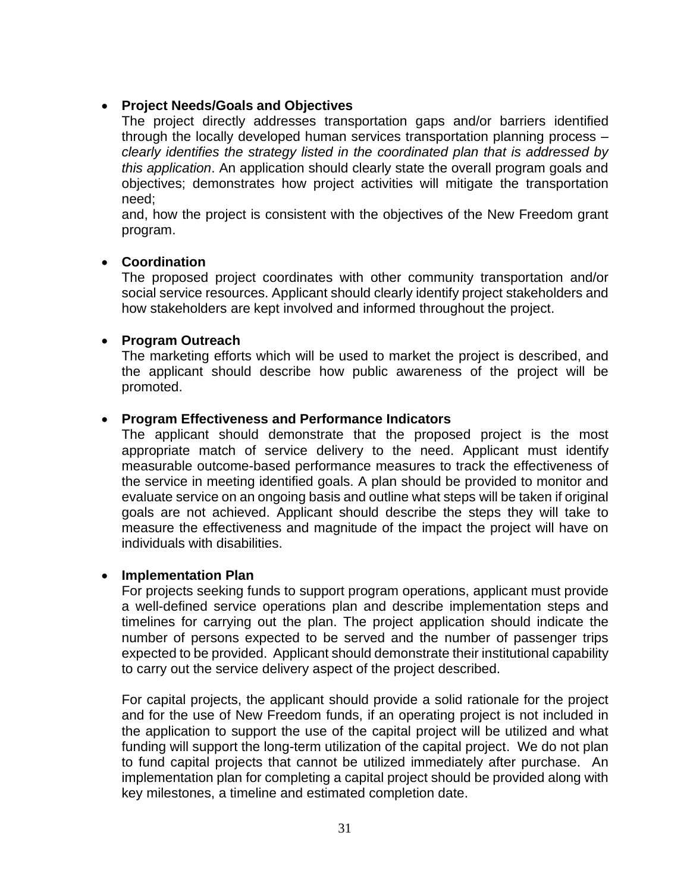## • **Project Needs/Goals and Objectives**

The project directly addresses transportation gaps and/or barriers identified through the locally developed human services transportation planning process – *clearly identifies the strategy listed in the coordinated plan that is addressed by this application*. An application should clearly state the overall program goals and objectives; demonstrates how project activities will mitigate the transportation need;

and, how the project is consistent with the objectives of the New Freedom grant program.

#### • **Coordination**

The proposed project coordinates with other community transportation and/or social service resources. Applicant should clearly identify project stakeholders and how stakeholders are kept involved and informed throughout the project.

#### • **Program Outreach**

The marketing efforts which will be used to market the project is described, and the applicant should describe how public awareness of the project will be promoted.

#### • **Program Effectiveness and Performance Indicators**

The applicant should demonstrate that the proposed project is the most appropriate match of service delivery to the need. Applicant must identify measurable outcome-based performance measures to track the effectiveness of the service in meeting identified goals. A plan should be provided to monitor and evaluate service on an ongoing basis and outline what steps will be taken if original goals are not achieved. Applicant should describe the steps they will take to measure the effectiveness and magnitude of the impact the project will have on individuals with disabilities.

#### • **Implementation Plan**

For projects seeking funds to support program operations, applicant must provide a well-defined service operations plan and describe implementation steps and timelines for carrying out the plan. The project application should indicate the number of persons expected to be served and the number of passenger trips expected to be provided. Applicant should demonstrate their institutional capability to carry out the service delivery aspect of the project described.

For capital projects, the applicant should provide a solid rationale for the project and for the use of New Freedom funds, if an operating project is not included in the application to support the use of the capital project will be utilized and what funding will support the long-term utilization of the capital project. We do not plan to fund capital projects that cannot be utilized immediately after purchase. An implementation plan for completing a capital project should be provided along with key milestones, a timeline and estimated completion date.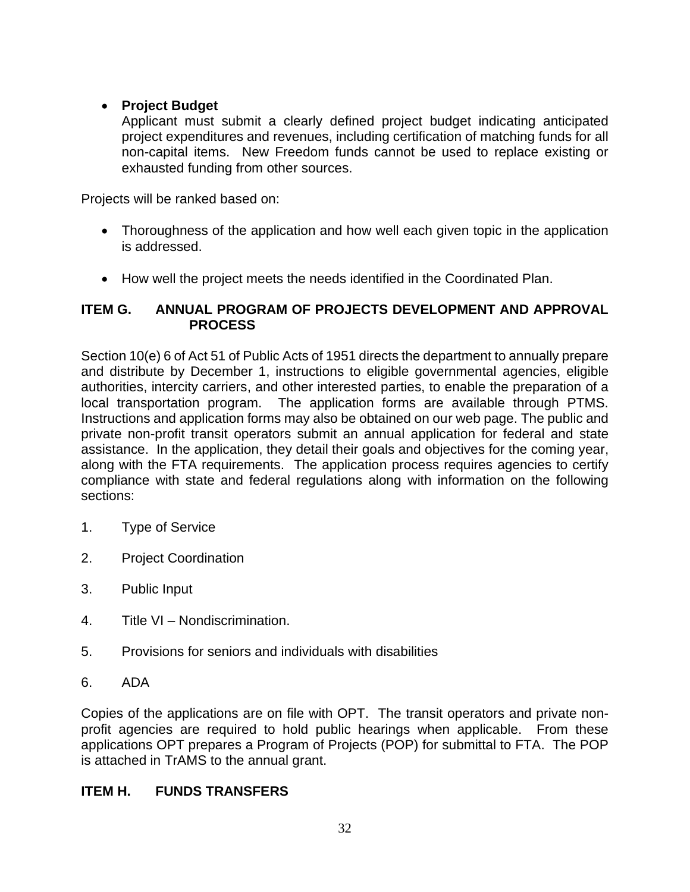# • **Project Budget**

Applicant must submit a clearly defined project budget indicating anticipated project expenditures and revenues, including certification of matching funds for all non-capital items. New Freedom funds cannot be used to replace existing or exhausted funding from other sources.

Projects will be ranked based on:

- Thoroughness of the application and how well each given topic in the application is addressed.
- How well the project meets the needs identified in the Coordinated Plan.

# **ITEM G. ANNUAL PROGRAM OF PROJECTS DEVELOPMENT AND APPROVAL PROCESS**

Section 10(e) 6 of Act 51 of Public Acts of 1951 directs the department to annually prepare and distribute by December 1, instructions to eligible governmental agencies, eligible authorities, intercity carriers, and other interested parties, to enable the preparation of a local transportation program. The application forms are available through PTMS. Instructions and application forms may also be obtained on our web page. The public and private non-profit transit operators submit an annual application for federal and state assistance. In the application, they detail their goals and objectives for the coming year, along with the FTA requirements. The application process requires agencies to certify compliance with state and federal regulations along with information on the following sections:

- 1. Type of Service
- 2. Project Coordination
- 3. Public Input
- 4. Title VI Nondiscrimination.
- 5. Provisions for seniors and individuals with disabilities
- 6. ADA

Copies of the applications are on file with OPT. The transit operators and private nonprofit agencies are required to hold public hearings when applicable. From these applications OPT prepares a Program of Projects (POP) for submittal to FTA. The POP is attached in TrAMS to the annual grant.

# **ITEM H. FUNDS TRANSFERS**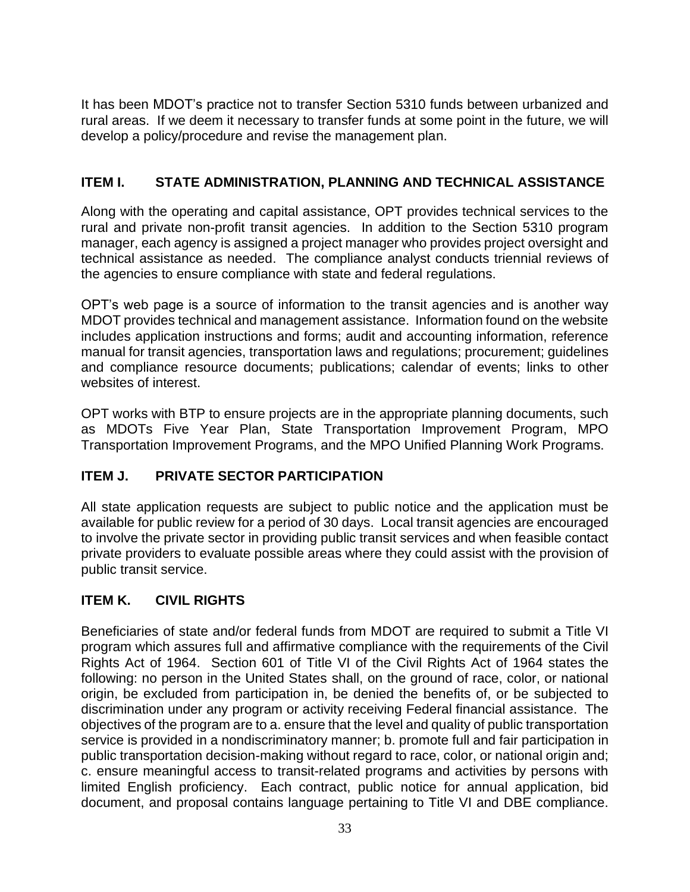It has been MDOT's practice not to transfer Section 5310 funds between urbanized and rural areas. If we deem it necessary to transfer funds at some point in the future, we will develop a policy/procedure and revise the management plan.

# **ITEM I. STATE ADMINISTRATION, PLANNING AND TECHNICAL ASSISTANCE**

Along with the operating and capital assistance, OPT provides technical services to the rural and private non-profit transit agencies. In addition to the Section 5310 program manager, each agency is assigned a project manager who provides project oversight and technical assistance as needed. The compliance analyst conducts triennial reviews of the agencies to ensure compliance with state and federal regulations.

OPT's web page is a source of information to the transit agencies and is another way MDOT provides technical and management assistance. Information found on the website includes application instructions and forms; audit and accounting information, reference manual for transit agencies, transportation laws and regulations; procurement; guidelines and compliance resource documents; publications; calendar of events; links to other websites of interest.

OPT works with BTP to ensure projects are in the appropriate planning documents, such as MDOTs Five Year Plan, State Transportation Improvement Program, MPO Transportation Improvement Programs, and the MPO Unified Planning Work Programs.

# **ITEM J. PRIVATE SECTOR PARTICIPATION**

All state application requests are subject to public notice and the application must be available for public review for a period of 30 days. Local transit agencies are encouraged to involve the private sector in providing public transit services and when feasible contact private providers to evaluate possible areas where they could assist with the provision of public transit service.

# **ITEM K. CIVIL RIGHTS**

Beneficiaries of state and/or federal funds from MDOT are required to submit a Title VI program which assures full and affirmative compliance with the requirements of the Civil Rights Act of 1964. Section 601 of Title VI of the Civil Rights Act of 1964 states the following: no person in the United States shall, on the ground of race, color, or national origin, be excluded from participation in, be denied the benefits of, or be subjected to discrimination under any program or activity receiving Federal financial assistance. The objectives of the program are to a. ensure that the level and quality of public transportation service is provided in a nondiscriminatory manner; b. promote full and fair participation in public transportation decision-making without regard to race, color, or national origin and; c. ensure meaningful access to transit-related programs and activities by persons with limited English proficiency. Each contract, public notice for annual application, bid document, and proposal contains language pertaining to Title VI and DBE compliance.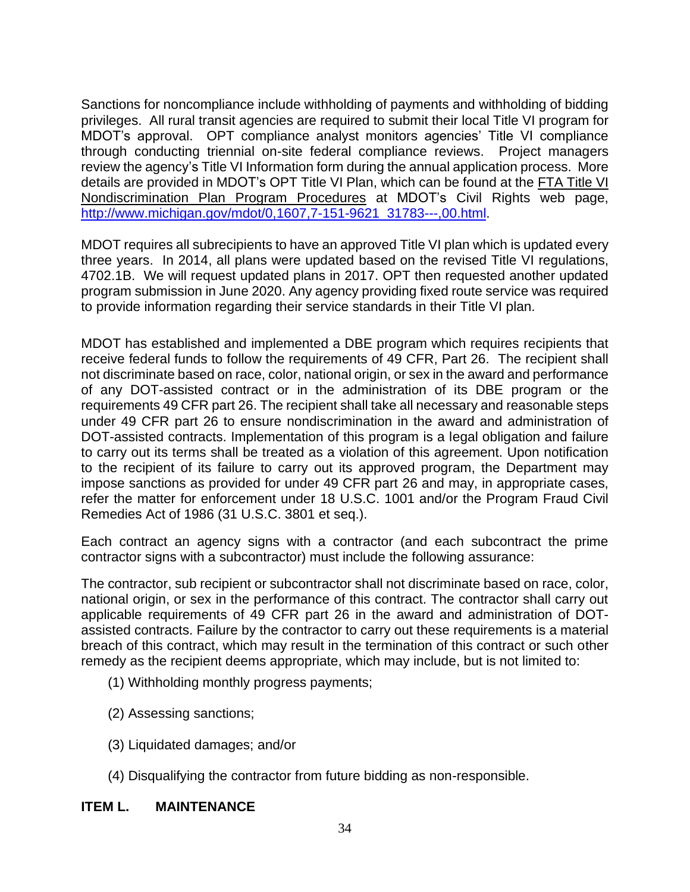Sanctions for noncompliance include withholding of payments and withholding of bidding privileges. All rural transit agencies are required to submit their local Title VI program for MDOT's approval. OPT compliance analyst monitors agencies' Title VI compliance through conducting triennial on-site federal compliance reviews. Project managers review the agency's Title VI Information form during the annual application process. More details are provided in MDOT's OPT Title VI Plan, which can be found at the [FTA Title](http://www.michigan.gov/documents/mdot/mdot_FTA_Title_VI_Plan_Program_Procedures_362655_7.pdf?20140506112841) VI [Nondiscrimination Plan Program Procedures](http://www.michigan.gov/documents/mdot/mdot_FTA_Title_VI_Plan_Program_Procedures_362655_7.pdf?20140506112841) at MDOT's Civil Rights web page, [http://www.michigan.gov/mdot/0,1607,7-151-9621\\_31783---,00.html.](http://www.michigan.gov/mdot/0,1607,7-151-9621_31783---,00.html)

MDOT requires all subrecipients to have an approved Title VI plan which is updated every three years. In 2014, all plans were updated based on the revised Title VI regulations, 4702.1B. We will request updated plans in 2017. OPT then requested another updated program submission in June 2020. Any agency providing fixed route service was required to provide information regarding their service standards in their Title VI plan.

MDOT has established and implemented a DBE program which requires recipients that receive federal funds to follow the requirements of 49 CFR, Part 26. The recipient shall not discriminate based on race, color, national origin, or sex in the award and performance of any DOT-assisted contract or in the administration of its DBE program or the requirements 49 CFR part 26. The recipient shall take all necessary and reasonable steps under 49 CFR part 26 to ensure nondiscrimination in the award and administration of DOT-assisted contracts. Implementation of this program is a legal obligation and failure to carry out its terms shall be treated as a violation of this agreement. Upon notification to the recipient of its failure to carry out its approved program, the Department may impose sanctions as provided for under 49 CFR part 26 and may, in appropriate cases, refer the matter for enforcement under 18 U.S.C. 1001 and/or the Program Fraud Civil Remedies Act of 1986 (31 U.S.C. 3801 et seq.).

Each contract an agency signs with a contractor (and each subcontract the prime contractor signs with a subcontractor) must include the following assurance:

The contractor, sub recipient or subcontractor shall not discriminate based on race, color, national origin, or sex in the performance of this contract. The contractor shall carry out applicable requirements of 49 CFR part 26 in the award and administration of DOTassisted contracts. Failure by the contractor to carry out these requirements is a material breach of this contract, which may result in the termination of this contract or such other remedy as the recipient deems appropriate, which may include, but is not limited to:

- (1) Withholding monthly progress payments;
- (2) Assessing sanctions;
- (3) Liquidated damages; and/or
- (4) Disqualifying the contractor from future bidding as non-responsible.

#### **ITEM L. MAINTENANCE**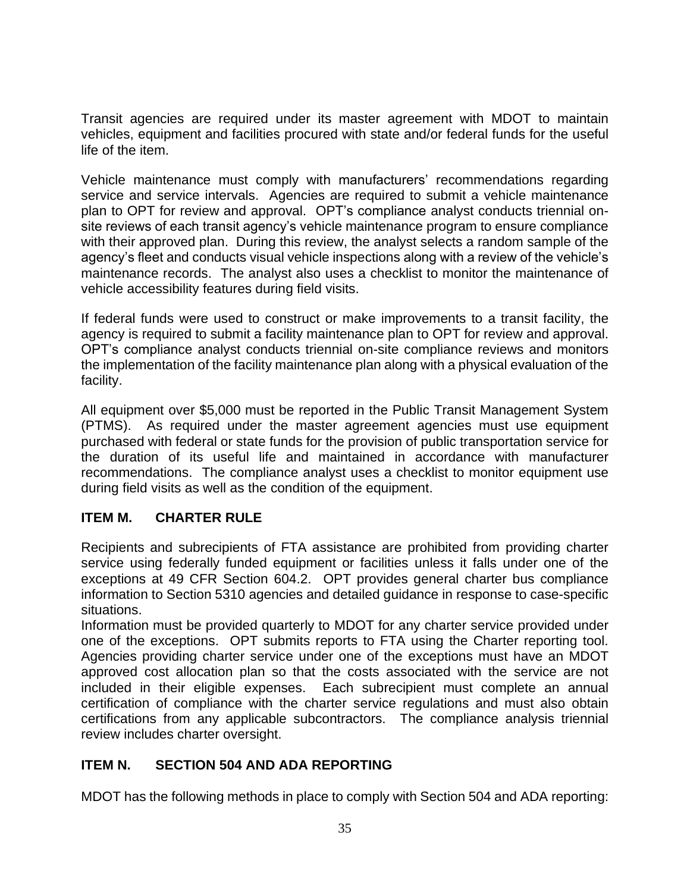Transit agencies are required under its master agreement with MDOT to maintain vehicles, equipment and facilities procured with state and/or federal funds for the useful life of the item.

Vehicle maintenance must comply with manufacturers' recommendations regarding service and service intervals. Agencies are required to submit a vehicle maintenance plan to OPT for review and approval. OPT's compliance analyst conducts triennial onsite reviews of each transit agency's vehicle maintenance program to ensure compliance with their approved plan. During this review, the analyst selects a random sample of the agency's fleet and conducts visual vehicle inspections along with a review of the vehicle's maintenance records. The analyst also uses a checklist to monitor the maintenance of vehicle accessibility features during field visits.

If federal funds were used to construct or make improvements to a transit facility, the agency is required to submit a facility maintenance plan to OPT for review and approval. OPT's compliance analyst conducts triennial on-site compliance reviews and monitors the implementation of the facility maintenance plan along with a physical evaluation of the facility.

All equipment over \$5,000 must be reported in the Public Transit Management System (PTMS). As required under the master agreement agencies must use equipment purchased with federal or state funds for the provision of public transportation service for the duration of its useful life and maintained in accordance with manufacturer recommendations. The compliance analyst uses a checklist to monitor equipment use during field visits as well as the condition of the equipment.

# **ITEM M. CHARTER RULE**

Recipients and subrecipients of FTA assistance are prohibited from providing charter service using federally funded equipment or facilities unless it falls under one of the exceptions at 49 CFR Section 604.2. OPT provides general charter bus compliance information to Section 5310 agencies and detailed guidance in response to case-specific situations.

Information must be provided quarterly to MDOT for any charter service provided under one of the exceptions. OPT submits reports to FTA using the Charter reporting tool. Agencies providing charter service under one of the exceptions must have an MDOT approved cost allocation plan so that the costs associated with the service are not included in their eligible expenses. Each subrecipient must complete an annual certification of compliance with the charter service regulations and must also obtain certifications from any applicable subcontractors. The compliance analysis triennial review includes charter oversight.

# **ITEM N. SECTION 504 AND ADA REPORTING**

MDOT has the following methods in place to comply with Section 504 and ADA reporting: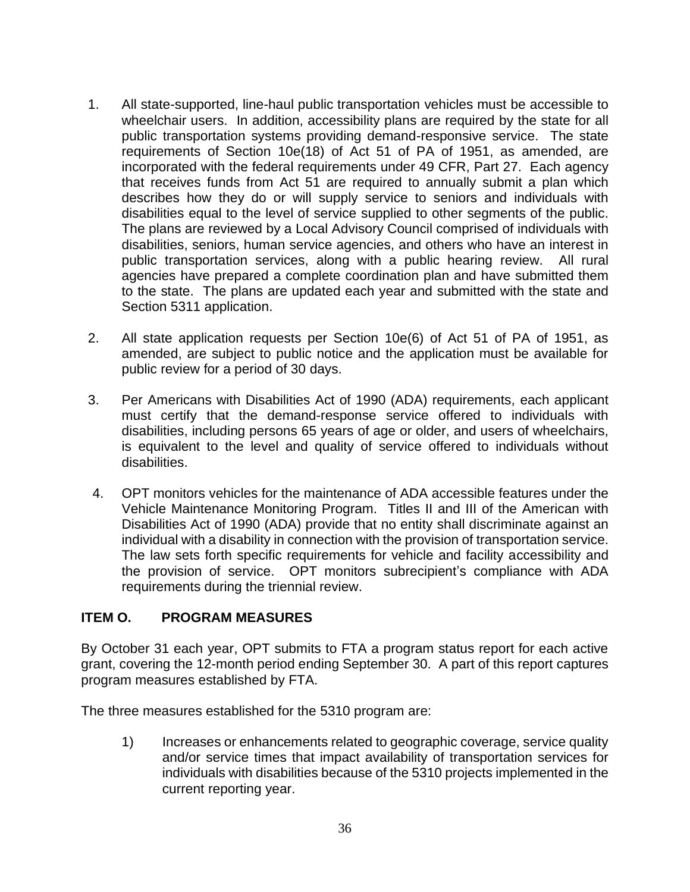- 1. All state-supported, line-haul public transportation vehicles must be accessible to wheelchair users. In addition, accessibility plans are required by the state for all public transportation systems providing demand-responsive service. The state requirements of Section 10e(18) of Act 51 of PA of 1951, as amended, are incorporated with the federal requirements under 49 CFR, Part 27. Each agency that receives funds from Act 51 are required to annually submit a plan which describes how they do or will supply service to seniors and individuals with disabilities equal to the level of service supplied to other segments of the public. The plans are reviewed by a Local Advisory Council comprised of individuals with disabilities, seniors, human service agencies, and others who have an interest in public transportation services, along with a public hearing review. All rural agencies have prepared a complete coordination plan and have submitted them to the state. The plans are updated each year and submitted with the state and Section 5311 application.
- 2. All state application requests per Section 10e(6) of Act 51 of PA of 1951, as amended, are subject to public notice and the application must be available for public review for a period of 30 days.
- 3. Per Americans with Disabilities Act of 1990 (ADA) requirements, each applicant must certify that the demand-response service offered to individuals with disabilities, including persons 65 years of age or older, and users of wheelchairs, is equivalent to the level and quality of service offered to individuals without disabilities.
- 4. OPT monitors vehicles for the maintenance of ADA accessible features under the Vehicle Maintenance Monitoring Program. Titles II and III of the American with Disabilities Act of 1990 (ADA) provide that no entity shall discriminate against an individual with a disability in connection with the provision of transportation service. The law sets forth specific requirements for vehicle and facility accessibility and the provision of service. OPT monitors subrecipient's compliance with ADA requirements during the triennial review.

# **ITEM O. PROGRAM MEASURES**

By October 31 each year, OPT submits to FTA a program status report for each active grant, covering the 12-month period ending September 30. A part of this report captures program measures established by FTA.

The three measures established for the 5310 program are:

1) Increases or enhancements related to geographic coverage, service quality and/or service times that impact availability of transportation services for individuals with disabilities because of the 5310 projects implemented in the current reporting year.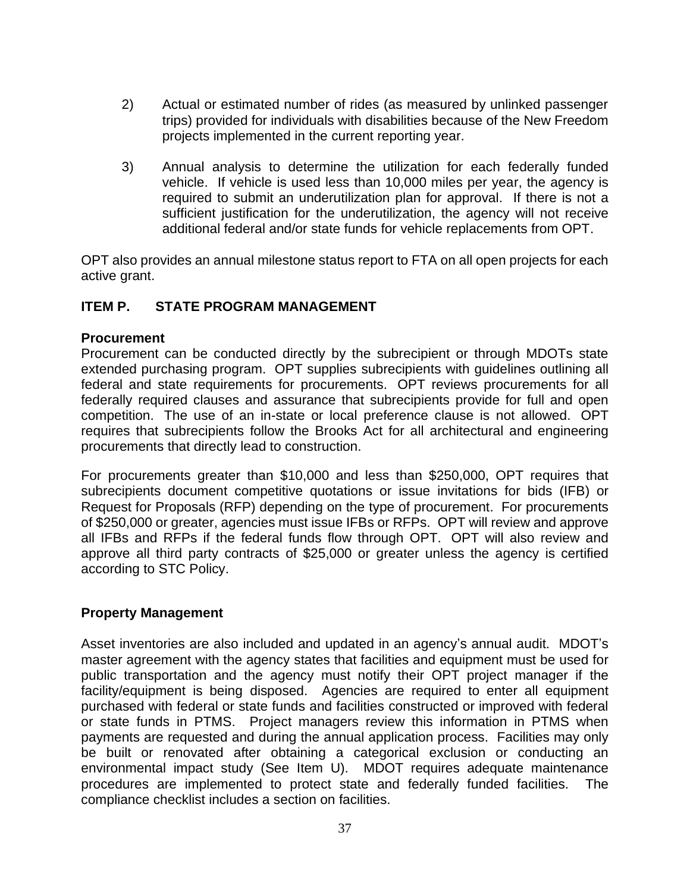- 2) Actual or estimated number of rides (as measured by unlinked passenger trips) provided for individuals with disabilities because of the New Freedom projects implemented in the current reporting year.
- 3) Annual analysis to determine the utilization for each federally funded vehicle. If vehicle is used less than 10,000 miles per year, the agency is required to submit an underutilization plan for approval. If there is not a sufficient justification for the underutilization, the agency will not receive additional federal and/or state funds for vehicle replacements from OPT.

OPT also provides an annual milestone status report to FTA on all open projects for each active grant.

## **ITEM P. STATE PROGRAM MANAGEMENT**

#### **Procurement**

Procurement can be conducted directly by the subrecipient or through MDOTs state extended purchasing program. OPT supplies subrecipients with guidelines outlining all federal and state requirements for procurements. OPT reviews procurements for all federally required clauses and assurance that subrecipients provide for full and open competition. The use of an in-state or local preference clause is not allowed. OPT requires that subrecipients follow the Brooks Act for all architectural and engineering procurements that directly lead to construction.

For procurements greater than \$10,000 and less than \$250,000, OPT requires that subrecipients document competitive quotations or issue invitations for bids (IFB) or Request for Proposals (RFP) depending on the type of procurement. For procurements of \$250,000 or greater, agencies must issue IFBs or RFPs. OPT will review and approve all IFBs and RFPs if the federal funds flow through OPT. OPT will also review and approve all third party contracts of \$25,000 or greater unless the agency is certified according to STC Policy.

#### **Property Management**

Asset inventories are also included and updated in an agency's annual audit. MDOT's master agreement with the agency states that facilities and equipment must be used for public transportation and the agency must notify their OPT project manager if the facility/equipment is being disposed. Agencies are required to enter all equipment purchased with federal or state funds and facilities constructed or improved with federal or state funds in PTMS. Project managers review this information in PTMS when payments are requested and during the annual application process. Facilities may only be built or renovated after obtaining a categorical exclusion or conducting an environmental impact study (See Item U). MDOT requires adequate maintenance procedures are implemented to protect state and federally funded facilities. The compliance checklist includes a section on facilities.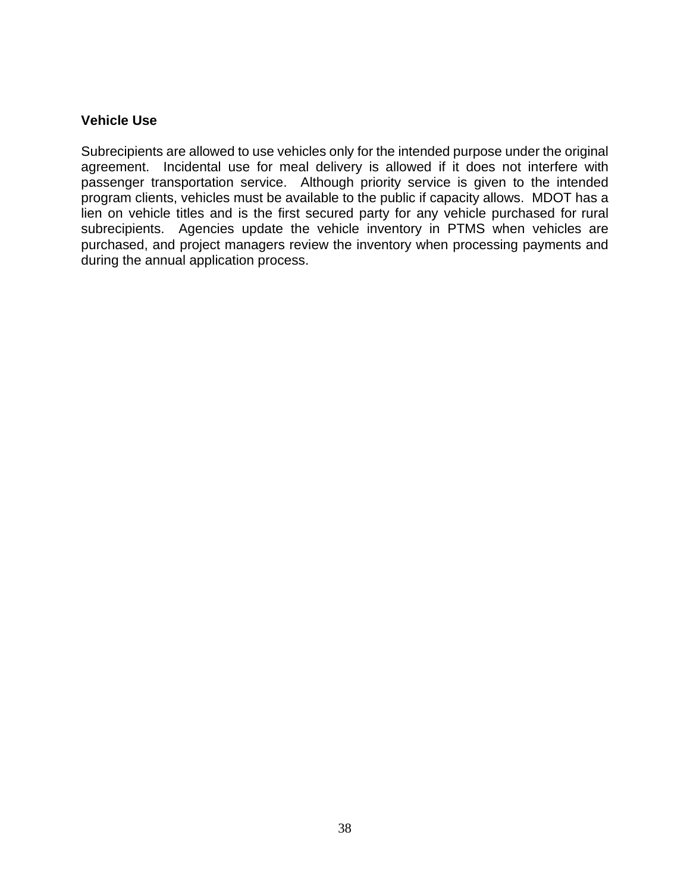#### **Vehicle Use**

Subrecipients are allowed to use vehicles only for the intended purpose under the original agreement. Incidental use for meal delivery is allowed if it does not interfere with passenger transportation service. Although priority service is given to the intended program clients, vehicles must be available to the public if capacity allows. MDOT has a lien on vehicle titles and is the first secured party for any vehicle purchased for rural subrecipients. Agencies update the vehicle inventory in PTMS when vehicles are purchased, and project managers review the inventory when processing payments and during the annual application process.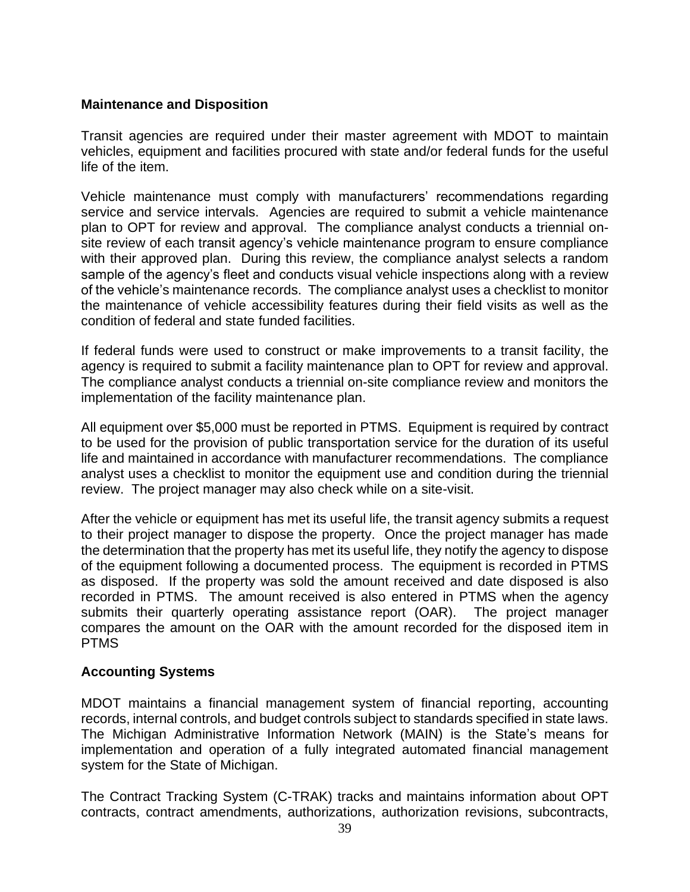#### **Maintenance and Disposition**

Transit agencies are required under their master agreement with MDOT to maintain vehicles, equipment and facilities procured with state and/or federal funds for the useful life of the item.

Vehicle maintenance must comply with manufacturers' recommendations regarding service and service intervals. Agencies are required to submit a vehicle maintenance plan to OPT for review and approval. The compliance analyst conducts a triennial onsite review of each transit agency's vehicle maintenance program to ensure compliance with their approved plan. During this review, the compliance analyst selects a random sample of the agency's fleet and conducts visual vehicle inspections along with a review of the vehicle's maintenance records. The compliance analyst uses a checklist to monitor the maintenance of vehicle accessibility features during their field visits as well as the condition of federal and state funded facilities.

If federal funds were used to construct or make improvements to a transit facility, the agency is required to submit a facility maintenance plan to OPT for review and approval. The compliance analyst conducts a triennial on-site compliance review and monitors the implementation of the facility maintenance plan.

All equipment over \$5,000 must be reported in PTMS. Equipment is required by contract to be used for the provision of public transportation service for the duration of its useful life and maintained in accordance with manufacturer recommendations. The compliance analyst uses a checklist to monitor the equipment use and condition during the triennial review. The project manager may also check while on a site-visit.

After the vehicle or equipment has met its useful life, the transit agency submits a request to their project manager to dispose the property. Once the project manager has made the determination that the property has met its useful life, they notify the agency to dispose of the equipment following a documented process. The equipment is recorded in PTMS as disposed. If the property was sold the amount received and date disposed is also recorded in PTMS. The amount received is also entered in PTMS when the agency submits their quarterly operating assistance report (OAR). The project manager compares the amount on the OAR with the amount recorded for the disposed item in PTMS

#### **Accounting Systems**

MDOT maintains a financial management system of financial reporting, accounting records, internal controls, and budget controls subject to standards specified in state laws. The Michigan Administrative Information Network (MAIN) is the State's means for implementation and operation of a fully integrated automated financial management system for the State of Michigan.

The Contract Tracking System (C-TRAK) tracks and maintains information about OPT contracts, contract amendments, authorizations, authorization revisions, subcontracts,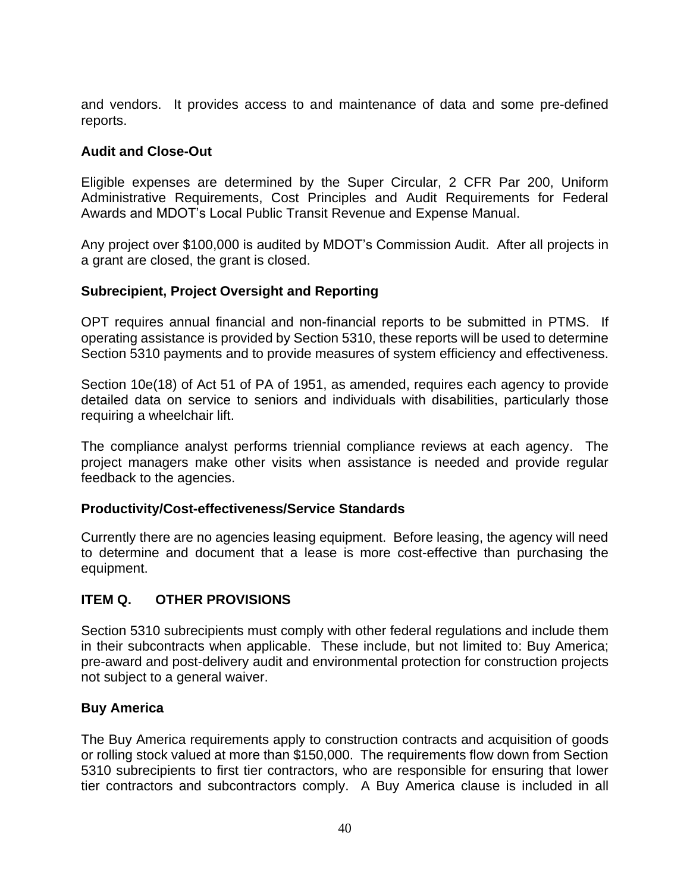and vendors. It provides access to and maintenance of data and some pre-defined reports.

# **Audit and Close-Out**

Eligible expenses are determined by the Super Circular, 2 CFR Par 200, Uniform Administrative Requirements, Cost Principles and Audit Requirements for Federal Awards and MDOT's Local Public Transit Revenue and Expense Manual.

Any project over \$100,000 is audited by MDOT's Commission Audit. After all projects in a grant are closed, the grant is closed.

## **Subrecipient, Project Oversight and Reporting**

OPT requires annual financial and non-financial reports to be submitted in PTMS. If operating assistance is provided by Section 5310, these reports will be used to determine Section 5310 payments and to provide measures of system efficiency and effectiveness.

Section 10e(18) of Act 51 of PA of 1951, as amended, requires each agency to provide detailed data on service to seniors and individuals with disabilities, particularly those requiring a wheelchair lift.

The compliance analyst performs triennial compliance reviews at each agency. The project managers make other visits when assistance is needed and provide regular feedback to the agencies.

#### **Productivity/Cost-effectiveness/Service Standards**

Currently there are no agencies leasing equipment. Before leasing, the agency will need to determine and document that a lease is more cost-effective than purchasing the equipment.

# **ITEM Q. OTHER PROVISIONS**

Section 5310 subrecipients must comply with other federal regulations and include them in their subcontracts when applicable. These include, but not limited to: Buy America; pre-award and post-delivery audit and environmental protection for construction projects not subject to a general waiver.

#### **Buy America**

The Buy America requirements apply to construction contracts and acquisition of goods or rolling stock valued at more than \$150,000. The requirements flow down from Section 5310 subrecipients to first tier contractors, who are responsible for ensuring that lower tier contractors and subcontractors comply. A Buy America clause is included in all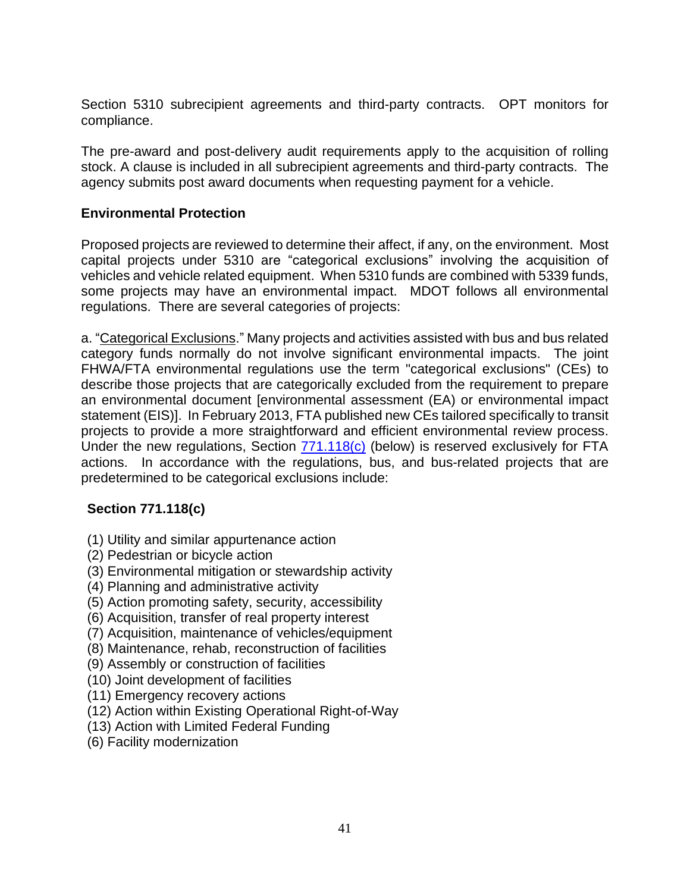Section 5310 subrecipient agreements and third-party contracts. OPT monitors for compliance.

The pre-award and post-delivery audit requirements apply to the acquisition of rolling stock. A clause is included in all subrecipient agreements and third-party contracts. The agency submits post award documents when requesting payment for a vehicle.

# **Environmental Protection**

Proposed projects are reviewed to determine their affect, if any, on the environment. Most capital projects under 5310 are "categorical exclusions" involving the acquisition of vehicles and vehicle related equipment. When 5310 funds are combined with 5339 funds, some projects may have an environmental impact. MDOT follows all environmental regulations. There are several categories of projects:

a. "Categorical Exclusions." Many projects and activities assisted with bus and bus related category funds normally do not involve significant environmental impacts. The joint FHWA/FTA environmental regulations use the term "categorical exclusions" (CEs) to describe those projects that are categorically excluded from the requirement to prepare an environmental document [environmental assessment (EA) or environmental impact statement (EIS)]. In February 2013, FTA published new CEs tailored specifically to transit projects to provide a more straightforward and efficient environmental review process. Under the new regulations, Section [771.118\(c\)](https://www.transit.dot.gov/sites/fta.dot.gov/files/docs/Section%20118%20Guidance-June%202016.pdf) (below) is reserved exclusively for FTA actions. In accordance with the regulations, bus, and bus-related projects that are predetermined to be categorical exclusions include:

#### **Section 771.118(c)**

- (1) Utility and similar appurtenance action
- (2) Pedestrian or bicycle action
- (3) Environmental mitigation or stewardship activity
- (4) Planning and administrative activity
- (5) Action promoting safety, security, accessibility
- (6) Acquisition, transfer of real property interest
- (7) Acquisition, maintenance of vehicles/equipment
- (8) Maintenance, rehab, reconstruction of facilities
- (9) Assembly or construction of facilities
- (10) Joint development of facilities
- (11) Emergency recovery actions
- (12) Action within Existing Operational Right-of-Way
- (13) Action with Limited Federal Funding
- (6) Facility modernization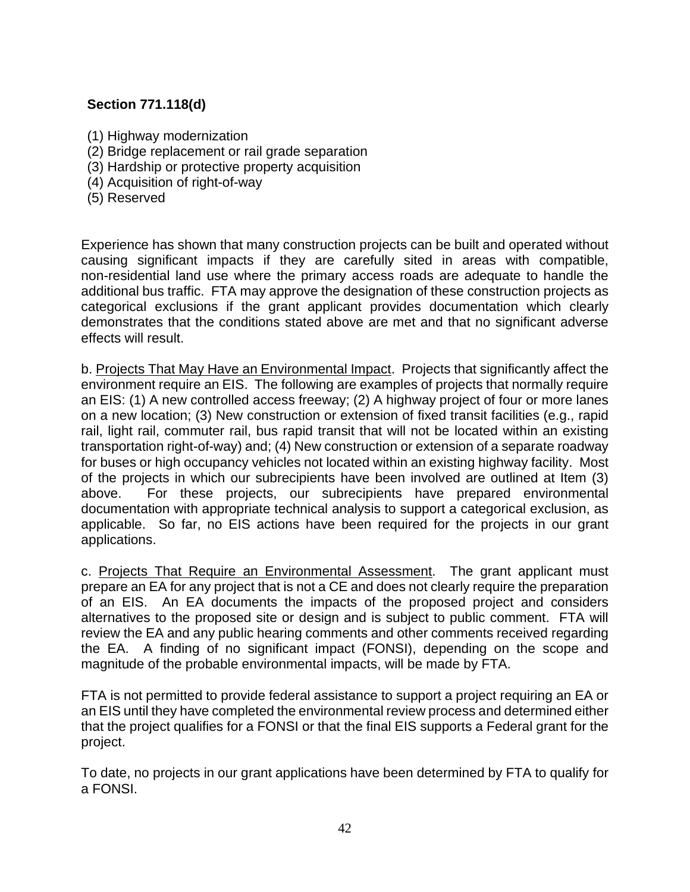# **Section 771.118(d)**

- (1) Highway modernization
- (2) Bridge replacement or rail grade separation
- (3) Hardship or protective property acquisition
- (4) Acquisition of right-of-way
- (5) Reserved

Experience has shown that many construction projects can be built and operated without causing significant impacts if they are carefully sited in areas with compatible, non-residential land use where the primary access roads are adequate to handle the additional bus traffic. FTA may approve the designation of these construction projects as categorical exclusions if the grant applicant provides documentation which clearly demonstrates that the conditions stated above are met and that no significant adverse effects will result.

b. Projects That May Have an Environmental Impact. Projects that significantly affect the environment require an EIS. The following are examples of projects that normally require an EIS: (1) A new controlled access freeway; (2) A highway project of four or more lanes on a new location; (3) New construction or extension of fixed transit facilities (e.g., rapid rail, light rail, commuter rail, bus rapid transit that will not be located within an existing transportation right-of-way) and; (4) New construction or extension of a separate roadway for buses or high occupancy vehicles not located within an existing highway facility. Most of the projects in which our subrecipients have been involved are outlined at Item (3) above. For these projects, our subrecipients have prepared environmental documentation with appropriate technical analysis to support a categorical exclusion, as applicable. So far, no EIS actions have been required for the projects in our grant applications.

c. Projects That Require an Environmental Assessment. The grant applicant must prepare an EA for any project that is not a CE and does not clearly require the preparation of an EIS. An EA documents the impacts of the proposed project and considers alternatives to the proposed site or design and is subject to public comment. FTA will review the EA and any public hearing comments and other comments received regarding the EA. A finding of no significant impact (FONSI), depending on the scope and magnitude of the probable environmental impacts, will be made by FTA.

FTA is not permitted to provide federal assistance to support a project requiring an EA or an EIS until they have completed the environmental review process and determined either that the project qualifies for a FONSI or that the final EIS supports a Federal grant for the project.

To date, no projects in our grant applications have been determined by FTA to qualify for a FONSI.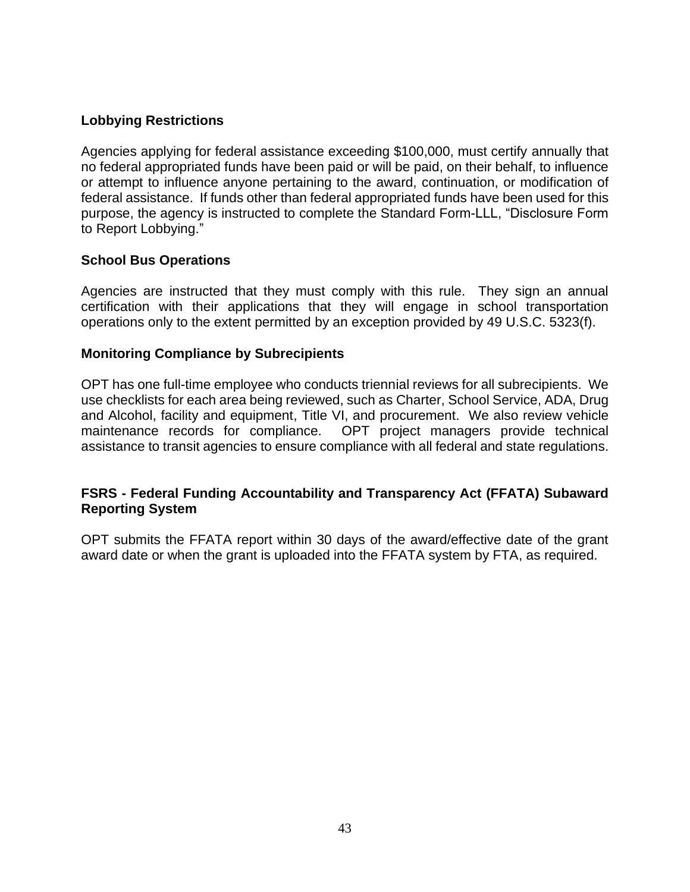## **Lobbying Restrictions**

Agencies applying for federal assistance exceeding \$100,000, must certify annually that no federal appropriated funds have been paid or will be paid, on their behalf, to influence or attempt to influence anyone pertaining to the award, continuation, or modification of federal assistance. If funds other than federal appropriated funds have been used for this purpose, the agency is instructed to complete the Standard Form-LLL, "Disclosure Form to Report Lobbying."

## **School Bus Operations**

Agencies are instructed that they must comply with this rule. They sign an annual certification with their applications that they will engage in school transportation operations only to the extent permitted by an exception provided by 49 U.S.C. 5323(f).

#### **Monitoring Compliance by Subrecipients**

OPT has one full-time employee who conducts triennial reviews for all subrecipients. We use checklists for each area being reviewed, such as Charter, School Service, ADA, Drug and Alcohol, facility and equipment, Title VI, and procurement. We also review vehicle maintenance records for compliance. OPT project managers provide technical assistance to transit agencies to ensure compliance with all federal and state regulations.

#### **FSRS - [Federal Funding Accountability and Transparency Act \(FFATA\) Subaward](https://gcc02.safelinks.protection.outlook.com/?url=https%3A%2F%2Fwww.fsrs.gov%2Findex%3F&data=05%7C01%7CBrushA%40michigan.gov%7C2ce302bd56c549119b2508da373134f5%7Cd5fb7087377742ad966a892ef47225d1%7C0%7C0%7C637882981716182416%7CUnknown%7CTWFpbGZsb3d8eyJWIjoiMC4wLjAwMDAiLCJQIjoiV2luMzIiLCJBTiI6Ik1haWwiLCJXVCI6Mn0%3D%7C3000%7C%7C%7C&sdata=nOFCUITdxlXmx5jdnIpT%2BJAE924ZiCfJbwZWsVtbaVw%3D&reserved=0)  [Reporting System](https://gcc02.safelinks.protection.outlook.com/?url=https%3A%2F%2Fwww.fsrs.gov%2Findex%3F&data=05%7C01%7CBrushA%40michigan.gov%7C2ce302bd56c549119b2508da373134f5%7Cd5fb7087377742ad966a892ef47225d1%7C0%7C0%7C637882981716182416%7CUnknown%7CTWFpbGZsb3d8eyJWIjoiMC4wLjAwMDAiLCJQIjoiV2luMzIiLCJBTiI6Ik1haWwiLCJXVCI6Mn0%3D%7C3000%7C%7C%7C&sdata=nOFCUITdxlXmx5jdnIpT%2BJAE924ZiCfJbwZWsVtbaVw%3D&reserved=0)**

OPT submits the FFATA report within 30 days of the award/effective date of the grant award date or when the grant is uploaded into the FFATA system by FTA, as required.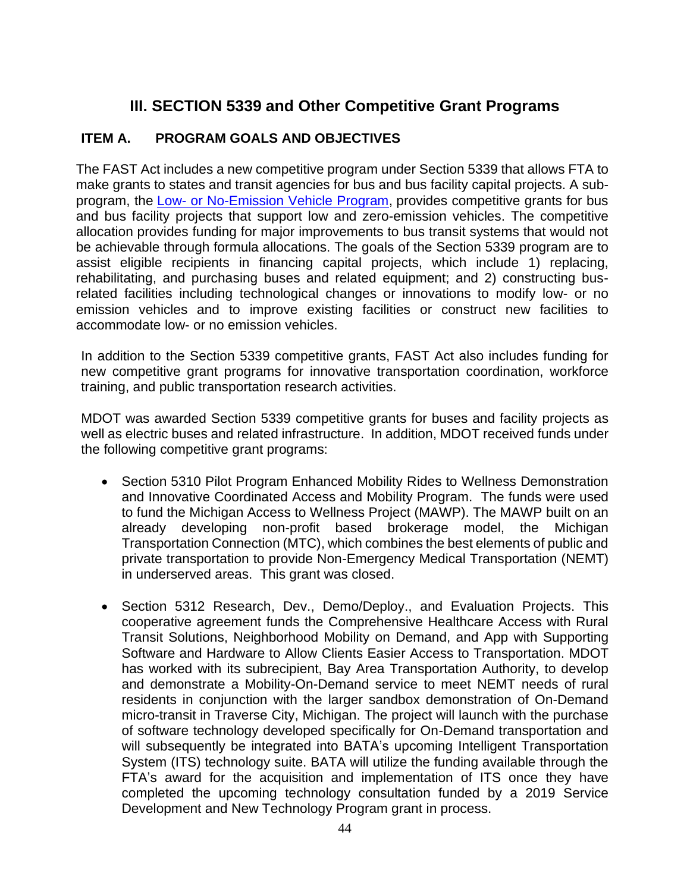# **III. SECTION 5339 and Other Competitive Grant Programs**

# **ITEM A. PROGRAM GOALS AND OBJECTIVES**

The FAST Act includes a new competitive program under Section 5339 that allows FTA to make grants to states and transit agencies for bus and bus facility capital projects. A subprogram, the Low- [or No-Emission Vehicle Program,](https://www.transit.dot.gov/funding/grants/low-or-no-emission-vehicle-program-5339c) provides competitive grants for bus and bus facility projects that support low and zero-emission vehicles. The competitive allocation provides funding for major improvements to bus transit systems that would not be achievable through formula allocations. The goals of the Section 5339 program are to assist eligible recipients in financing capital projects, which include 1) replacing, rehabilitating, and purchasing buses and related equipment; and 2) constructing busrelated facilities including technological changes or innovations to modify low- or no emission vehicles and to improve existing facilities or construct new facilities to accommodate low- or no emission vehicles.

In addition to the Section 5339 competitive grants, FAST Act also includes funding for new competitive grant programs for innovative transportation coordination, workforce training, and public transportation research activities.

MDOT was awarded Section 5339 competitive grants for buses and facility projects as well as electric buses and related infrastructure. In addition, MDOT received funds under the following competitive grant programs:

- Section 5310 Pilot Program Enhanced Mobility Rides to Wellness Demonstration and Innovative Coordinated Access and Mobility Program. The funds were used to fund the Michigan Access to Wellness Project (MAWP). The MAWP built on an already developing non-profit based brokerage model, the Michigan Transportation Connection (MTC), which combines the best elements of public and private transportation to provide Non-Emergency Medical Transportation (NEMT) in underserved areas. This grant was closed.
- Section 5312 Research, Dev., Demo/Deploy., and Evaluation Projects. This cooperative agreement funds the Comprehensive Healthcare Access with Rural Transit Solutions, Neighborhood Mobility on Demand, and App with Supporting Software and Hardware to Allow Clients Easier Access to Transportation. MDOT has worked with its subrecipient, Bay Area Transportation Authority, to develop and demonstrate a Mobility-On-Demand service to meet NEMT needs of rural residents in conjunction with the larger sandbox demonstration of On-Demand micro-transit in Traverse City, Michigan. The project will launch with the purchase of software technology developed specifically for On-Demand transportation and will subsequently be integrated into BATA's upcoming Intelligent Transportation System (ITS) technology suite. BATA will utilize the funding available through the FTA's award for the acquisition and implementation of ITS once they have completed the upcoming technology consultation funded by a 2019 Service Development and New Technology Program grant in process.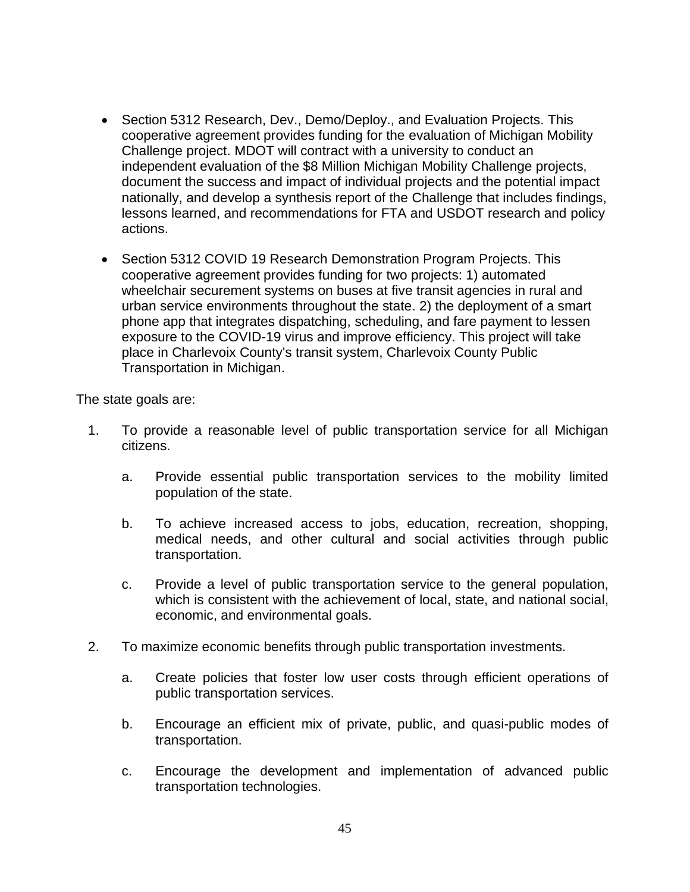- Section 5312 Research, Dev., Demo/Deploy., and Evaluation Projects. This cooperative agreement provides funding for the evaluation of Michigan Mobility Challenge project. MDOT will contract with a university to conduct an independent evaluation of the \$8 Million Michigan Mobility Challenge projects, document the success and impact of individual projects and the potential impact nationally, and develop a synthesis report of the Challenge that includes findings, lessons learned, and recommendations for FTA and USDOT research and policy actions.
- Section 5312 COVID 19 Research Demonstration Program Projects. This cooperative agreement provides funding for two projects: 1) automated wheelchair securement systems on buses at five transit agencies in rural and urban service environments throughout the state. 2) the deployment of a smart phone app that integrates dispatching, scheduling, and fare payment to lessen exposure to the COVID-19 virus and improve efficiency. This project will take place in Charlevoix County's transit system, Charlevoix County Public Transportation in Michigan.

The state goals are:

- 1. To provide a reasonable level of public transportation service for all Michigan citizens.
	- a. Provide essential public transportation services to the mobility limited population of the state.
	- b. To achieve increased access to jobs, education, recreation, shopping, medical needs, and other cultural and social activities through public transportation.
	- c. Provide a level of public transportation service to the general population, which is consistent with the achievement of local, state, and national social, economic, and environmental goals.
- 2. To maximize economic benefits through public transportation investments.
	- a. Create policies that foster low user costs through efficient operations of public transportation services.
	- b. Encourage an efficient mix of private, public, and quasi-public modes of transportation.
	- c. Encourage the development and implementation of advanced public transportation technologies.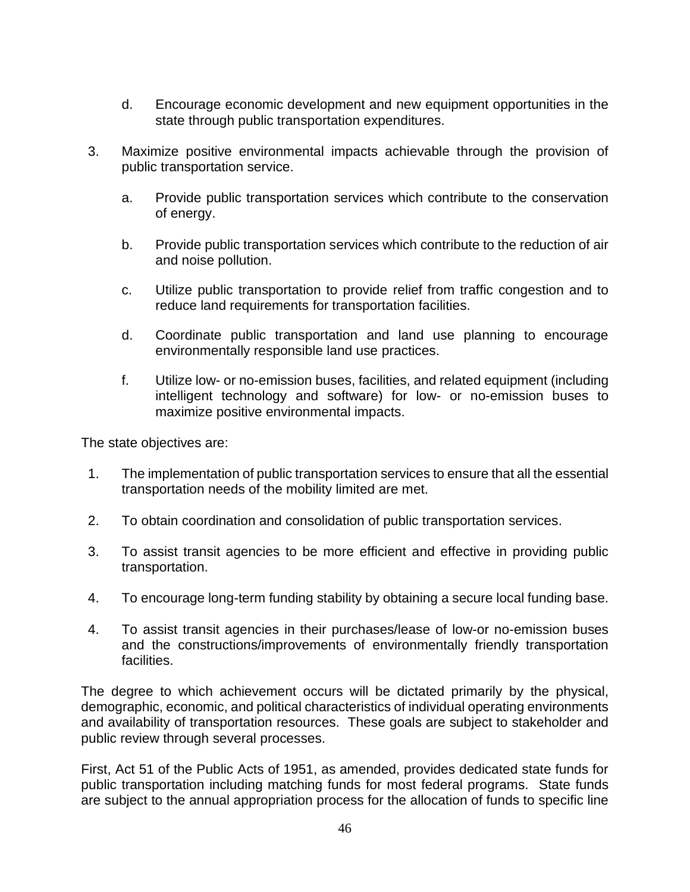- d. Encourage economic development and new equipment opportunities in the state through public transportation expenditures.
- 3. Maximize positive environmental impacts achievable through the provision of public transportation service.
	- a. Provide public transportation services which contribute to the conservation of energy.
	- b. Provide public transportation services which contribute to the reduction of air and noise pollution.
	- c. Utilize public transportation to provide relief from traffic congestion and to reduce land requirements for transportation facilities.
	- d. Coordinate public transportation and land use planning to encourage environmentally responsible land use practices.
	- f. Utilize low- or no-emission buses, facilities, and related equipment (including intelligent technology and software) for low- or no-emission buses to maximize positive environmental impacts.

The state objectives are:

- 1. The implementation of public transportation services to ensure that all the essential transportation needs of the mobility limited are met.
- 2. To obtain coordination and consolidation of public transportation services.
- 3. To assist transit agencies to be more efficient and effective in providing public transportation.
- 4. To encourage long-term funding stability by obtaining a secure local funding base.
- 4. To assist transit agencies in their purchases/lease of low-or no-emission buses and the constructions/improvements of environmentally friendly transportation facilities.

The degree to which achievement occurs will be dictated primarily by the physical, demographic, economic, and political characteristics of individual operating environments and availability of transportation resources. These goals are subject to stakeholder and public review through several processes.

First, Act 51 of the Public Acts of 1951, as amended, provides dedicated state funds for public transportation including matching funds for most federal programs. State funds are subject to the annual appropriation process for the allocation of funds to specific line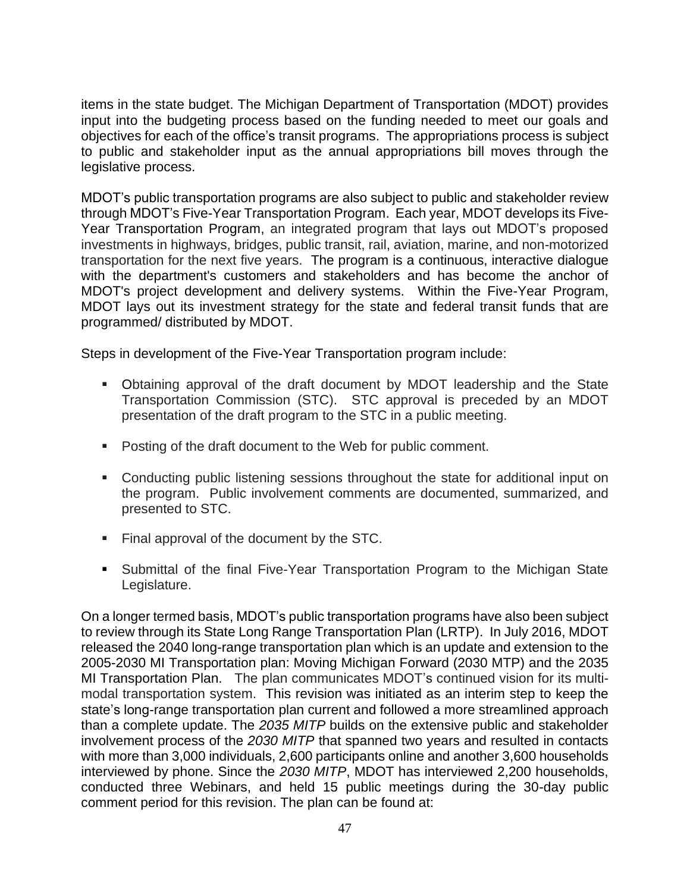items in the state budget. The Michigan Department of Transportation (MDOT) provides input into the budgeting process based on the funding needed to meet our goals and objectives for each of the office's transit programs. The appropriations process is subject to public and stakeholder input as the annual appropriations bill moves through the legislative process.

MDOT's public transportation programs are also subject to public and stakeholder review through MDOT's Five-Year Transportation Program. Each year, MDOT develops its Five-Year Transportation Program, an integrated program that lays out MDOT's proposed investments in highways, bridges, public transit, rail, aviation, marine, and non-motorized transportation for the next five years. The program is a continuous, interactive dialogue with the department's customers and stakeholders and has become the anchor of MDOT's project development and delivery systems. Within the Five-Year Program, MDOT lays out its investment strategy for the state and federal transit funds that are programmed/ distributed by MDOT.

Steps in development of the Five-Year Transportation program include:

- Obtaining approval of the draft document by MDOT leadership and the State Transportation Commission (STC). STC approval is preceded by an MDOT presentation of the draft program to the STC in a public meeting.
- Posting of the draft document to the Web for public comment.
- Conducting public listening sessions throughout the state for additional input on the program. Public involvement comments are documented, summarized, and presented to STC.
- Final approval of the document by the STC.
- Submittal of the final Five-Year Transportation Program to the Michigan State Legislature.

On a longer termed basis, MDOT's public transportation programs have also been subject to review through its State Long Range Transportation Plan (LRTP). In July 2016, MDOT released the 2040 long-range transportation plan which is an update and extension to the 2005-2030 MI Transportation plan: Moving Michigan Forward (2030 MTP) and the 2035 MI Transportation Plan. The plan communicates MDOT's continued vision for its multimodal transportation system. This revision was initiated as an interim step to keep the state's long-range transportation plan current and followed a more streamlined approach than a complete update. The *2035 MITP* builds on the extensive public and stakeholder involvement process of the *2030 MITP* that spanned two years and resulted in contacts with more than 3,000 individuals, 2,600 participants online and another 3,600 households interviewed by phone. Since the *2030 MITP*, MDOT has interviewed 2,200 households, conducted three Webinars, and held 15 public meetings during the 30-day public comment period for this revision. The plan can be found at: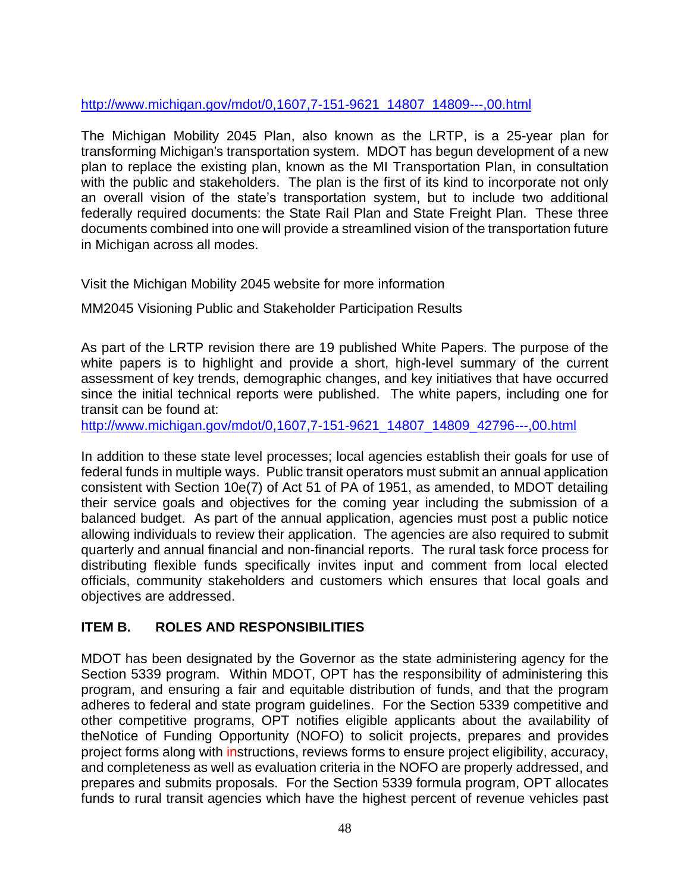# [http://www.michigan.gov/mdot/0,1607,7-151-9621\\_14807\\_14809---,00.html](http://www.michigan.gov/mdot/0,1607,7-151-9621_14807_14809---,00.html)

The Michigan Mobility 2045 Plan, also known as the LRTP, is a 25-year plan for transforming Michigan's transportation system. MDOT has begun development of a new plan to replace the existing plan, known as the MI Transportation Plan, in consultation with the public and stakeholders. The plan is the first of its kind to incorporate not only an overall vision of the state's transportation system, but to include two additional federally required documents: the State Rail Plan and State Freight Plan. These three documents combined into one will provide a streamlined vision of the transportation future in Michigan across all modes.

Visit the [Michigan Mobility 2045 website](http://michiganmobility.org/) for more information

MM2045 Visioning Public and [Stakeholder Participation Results](https://www.michigan.gov/documents/mdot/MM2045_Results_660819_7.pdf)

As part of the LRTP revision there are 19 published White Papers. The purpose of the white papers is to highlight and provide a short, high-level summary of the current assessment of key trends, demographic changes, and key initiatives that have occurred since the initial technical reports were published. The white papers, including one for transit can be found at:

[http://www.michigan.gov/mdot/0,1607,7-151-9621\\_14807\\_14809\\_42796---,00.html](http://www.michigan.gov/mdot/0,1607,7-151-9621_14807_14809_42796---,00.html)

In addition to these state level processes; local agencies establish their goals for use of federal funds in multiple ways. Public transit operators must submit an annual application consistent with Section 10e(7) of Act 51 of PA of 1951, as amended, to MDOT detailing their service goals and objectives for the coming year including the submission of a balanced budget. As part of the annual application, agencies must post a public notice allowing individuals to review their application. The agencies are also required to submit quarterly and annual financial and non-financial reports. The rural task force process for distributing flexible funds specifically invites input and comment from local elected officials, community stakeholders and customers which ensures that local goals and objectives are addressed.

# **ITEM B. ROLES AND RESPONSIBILITIES**

MDOT has been designated by the Governor as the state administering agency for the Section 5339 program. Within MDOT, OPT has the responsibility of administering this program, and ensuring a fair and equitable distribution of funds, and that the program adheres to federal and state program guidelines. For the Section 5339 competitive and other competitive programs, OPT notifies eligible applicants about the availability of theNotice of Funding Opportunity (NOFO) to solicit projects, prepares and provides project forms along with instructions, reviews forms to ensure project eligibility, accuracy, and completeness as well as evaluation criteria in the NOFO are properly addressed, and prepares and submits proposals. For the Section 5339 formula program, OPT allocates funds to rural transit agencies which have the highest percent of revenue vehicles past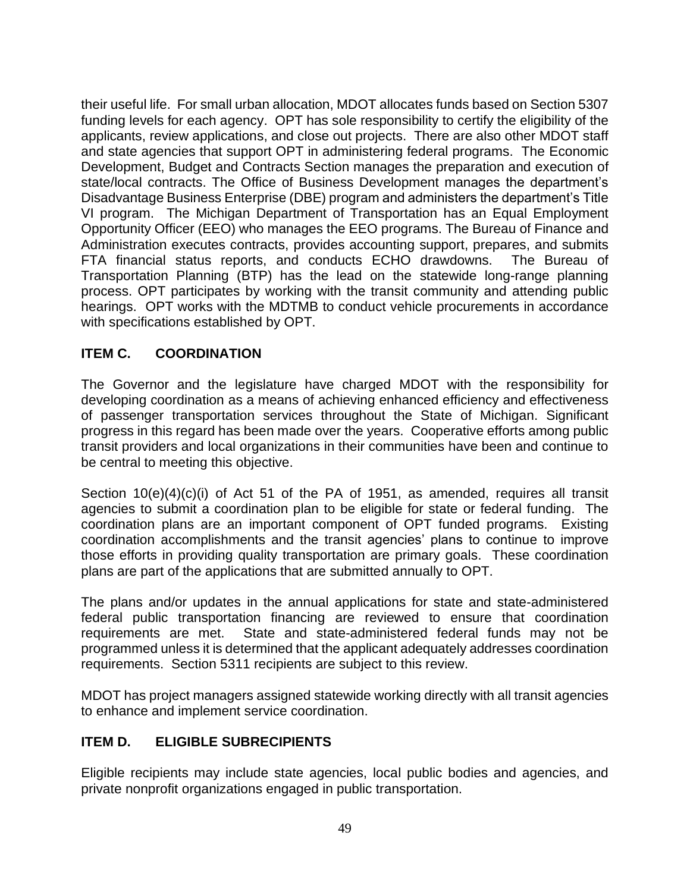their useful life. For small urban allocation, MDOT allocates funds based on Section 5307 funding levels for each agency. OPT has sole responsibility to certify the eligibility of the applicants, review applications, and close out projects. There are also other MDOT staff and state agencies that support OPT in administering federal programs. The Economic Development, Budget and Contracts Section manages the preparation and execution of state/local contracts. The Office of Business Development manages the department's Disadvantage Business Enterprise (DBE) program and administers the department's Title VI program. The Michigan Department of Transportation has an Equal Employment Opportunity Officer (EEO) who manages the EEO programs. The Bureau of Finance and Administration executes contracts, provides accounting support, prepares, and submits FTA financial status reports, and conducts ECHO drawdowns. The Bureau of Transportation Planning (BTP) has the lead on the statewide long-range planning process. OPT participates by working with the transit community and attending public hearings. OPT works with the MDTMB to conduct vehicle procurements in accordance with specifications established by OPT.

# **ITEM C. COORDINATION**

The Governor and the legislature have charged MDOT with the responsibility for developing coordination as a means of achieving enhanced efficiency and effectiveness of passenger transportation services throughout the State of Michigan. Significant progress in this regard has been made over the years. Cooperative efforts among public transit providers and local organizations in their communities have been and continue to be central to meeting this objective.

Section 10(e)(4)(c)(i) of Act 51 of the PA of 1951, as amended, requires all transit agencies to submit a coordination plan to be eligible for state or federal funding. The coordination plans are an important component of OPT funded programs. Existing coordination accomplishments and the transit agencies' plans to continue to improve those efforts in providing quality transportation are primary goals. These coordination plans are part of the applications that are submitted annually to OPT.

The plans and/or updates in the annual applications for state and state-administered federal public transportation financing are reviewed to ensure that coordination requirements are met. State and state-administered federal funds may not be programmed unless it is determined that the applicant adequately addresses coordination requirements. Section 5311 recipients are subject to this review.

MDOT has project managers assigned statewide working directly with all transit agencies to enhance and implement service coordination.

# **ITEM D. ELIGIBLE SUBRECIPIENTS**

Eligible recipients may include state agencies, local public bodies and agencies, and private nonprofit organizations engaged in public transportation.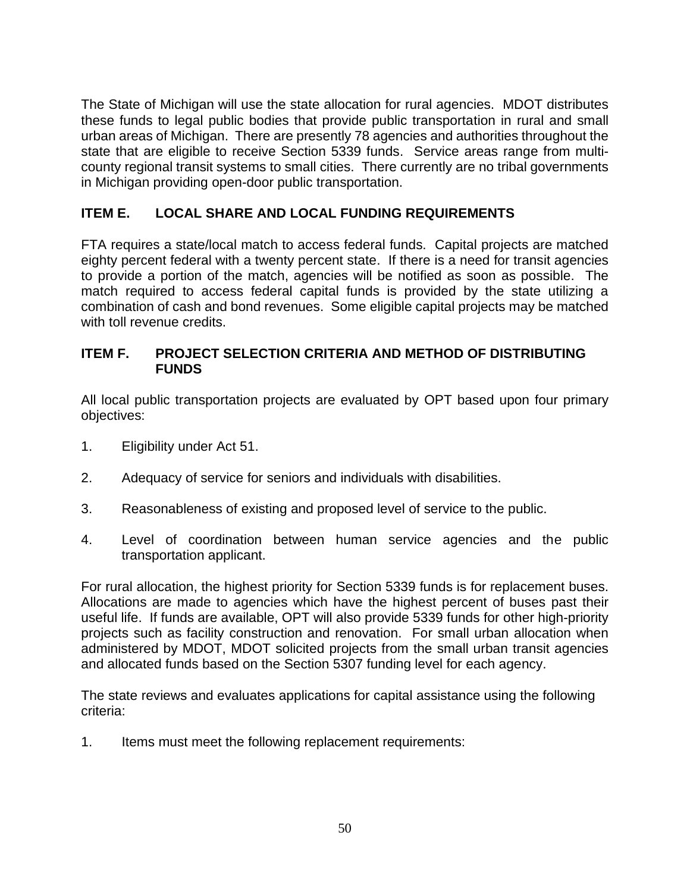The State of Michigan will use the state allocation for rural agencies. MDOT distributes these funds to legal public bodies that provide public transportation in rural and small urban areas of Michigan. There are presently 78 agencies and authorities throughout the state that are eligible to receive Section 5339 funds. Service areas range from multicounty regional transit systems to small cities. There currently are no tribal governments in Michigan providing open-door public transportation.

# **ITEM E. LOCAL SHARE AND LOCAL FUNDING REQUIREMENTS**

FTA requires a state/local match to access federal funds. Capital projects are matched eighty percent federal with a twenty percent state. If there is a need for transit agencies to provide a portion of the match, agencies will be notified as soon as possible. The match required to access federal capital funds is provided by the state utilizing a combination of cash and bond revenues. Some eligible capital projects may be matched with toll revenue credits.

#### **ITEM F. PROJECT SELECTION CRITERIA AND METHOD OF DISTRIBUTING FUNDS**

All local public transportation projects are evaluated by OPT based upon four primary objectives:

- 1. Eligibility under Act 51.
- 2. Adequacy of service for seniors and individuals with disabilities.
- 3. Reasonableness of existing and proposed level of service to the public.
- 4. Level of coordination between human service agencies and the public transportation applicant.

For rural allocation, the highest priority for Section 5339 funds is for replacement buses. Allocations are made to agencies which have the highest percent of buses past their useful life. If funds are available, OPT will also provide 5339 funds for other high-priority projects such as facility construction and renovation. For small urban allocation when administered by MDOT, MDOT solicited projects from the small urban transit agencies and allocated funds based on the Section 5307 funding level for each agency.

The state reviews and evaluates applications for capital assistance using the following criteria:

1. Items must meet the following replacement requirements: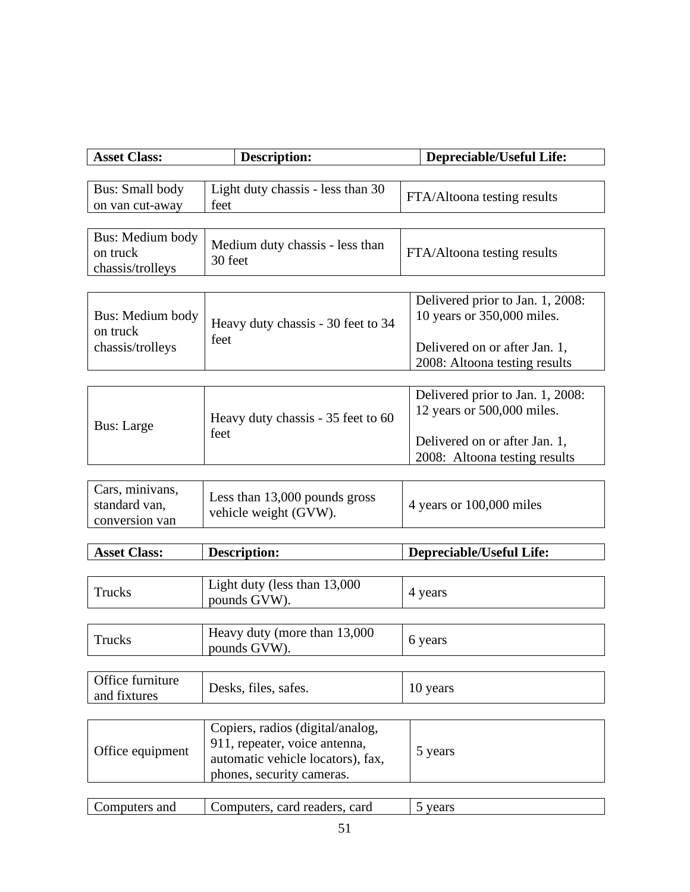| <b>Asset Class:</b>              | <b>Description:</b>                                            | Depreciable/Useful Life:         |
|----------------------------------|----------------------------------------------------------------|----------------------------------|
|                                  |                                                                |                                  |
| <b>Bus: Small body</b>           | Light duty chassis - less than 30                              | FTA/Altoona testing results      |
| on van cut-away                  | feet                                                           |                                  |
|                                  |                                                                |                                  |
| Bus: Medium body<br>on truck     | Medium duty chassis - less than                                | FTA/Altoona testing results      |
| chassis/trolleys                 | 30 feet                                                        |                                  |
|                                  |                                                                |                                  |
|                                  |                                                                | Delivered prior to Jan. 1, 2008: |
| Bus: Medium body                 | Heavy duty chassis - 30 feet to 34                             | 10 years or 350,000 miles.       |
| on truck                         | feet                                                           |                                  |
| chassis/trolleys                 |                                                                | Delivered on or after Jan. 1,    |
|                                  |                                                                | 2008: Altoona testing results    |
|                                  |                                                                | Delivered prior to Jan. 1, 2008: |
|                                  |                                                                | 12 years or 500,000 miles.       |
| <b>Bus: Large</b>                | Heavy duty chassis - 35 feet to 60                             |                                  |
|                                  | feet                                                           | Delivered on or after Jan. 1,    |
|                                  |                                                                | 2008: Altoona testing results    |
|                                  |                                                                |                                  |
| Cars, minivans,<br>standard van, | Less than 13,000 pounds gross                                  | 4 years or 100,000 miles         |
| conversion van                   | vehicle weight (GVW).                                          |                                  |
|                                  |                                                                |                                  |
| <b>Asset Class:</b>              | <b>Description:</b>                                            | <b>Depreciable/Useful Life:</b>  |
|                                  |                                                                |                                  |
| Trucks                           | Light duty (less than 13,000                                   | 4 years                          |
|                                  | pounds GVW).                                                   |                                  |
|                                  |                                                                |                                  |
| Trucks                           | Heavy duty (more than 13,000<br>pounds GVW).                   | 6 years                          |
|                                  |                                                                |                                  |
| Office furniture                 |                                                                |                                  |
| and fixtures                     | Desks, files, safes.                                           | 10 years                         |
|                                  |                                                                |                                  |
|                                  | Copiers, radios (digital/analog,                               |                                  |
| Office equipment                 | 911, repeater, voice antenna,                                  | 5 years                          |
|                                  | automatic vehicle locators), fax,<br>phones, security cameras. |                                  |
|                                  |                                                                |                                  |

| and | card<br>reade.<br>$-1$<br>$\alpha$ ard |  |
|-----|----------------------------------------|--|
|     |                                        |  |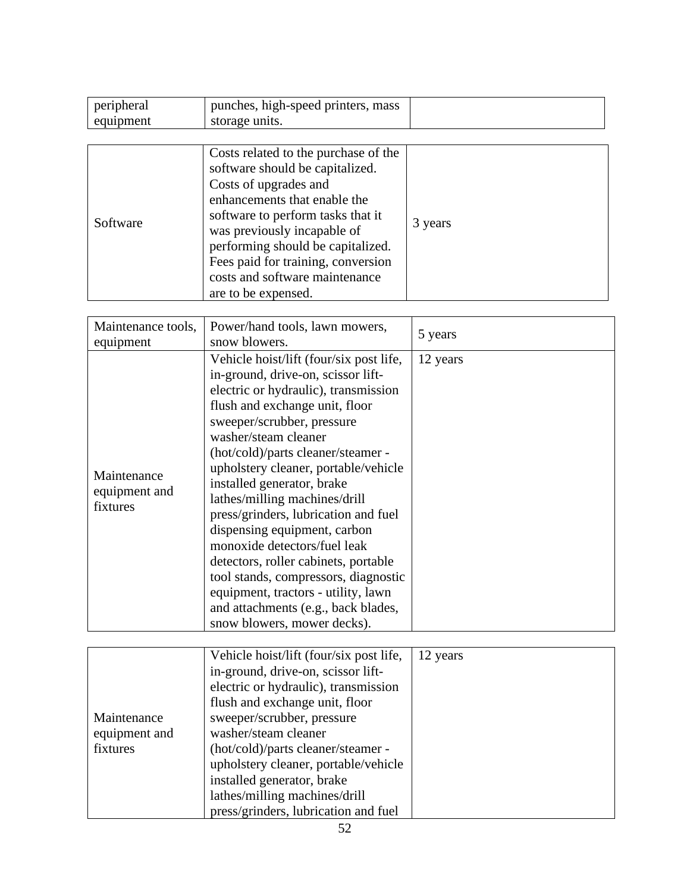| peripheral | punches, high-speed printers, mass |  |
|------------|------------------------------------|--|
| equipment  | storage units.                     |  |

| Software | Costs related to the purchase of the<br>software should be capitalized.<br>Costs of upgrades and<br>enhancements that enable the<br>software to perform tasks that it<br>was previously incapable of<br>performing should be capitalized.<br>Fees paid for training, conversion<br>costs and software maintenance<br>are to be expensed. | 3 years |
|----------|------------------------------------------------------------------------------------------------------------------------------------------------------------------------------------------------------------------------------------------------------------------------------------------------------------------------------------------|---------|
|----------|------------------------------------------------------------------------------------------------------------------------------------------------------------------------------------------------------------------------------------------------------------------------------------------------------------------------------------------|---------|

| Maintenance tools,<br>equipment          | Power/hand tools, lawn mowers,<br>snow blowers.                                                                                                                                                                                                                                                                                                                                                                                                                                                                                                                                                                                                                 | 5 years  |
|------------------------------------------|-----------------------------------------------------------------------------------------------------------------------------------------------------------------------------------------------------------------------------------------------------------------------------------------------------------------------------------------------------------------------------------------------------------------------------------------------------------------------------------------------------------------------------------------------------------------------------------------------------------------------------------------------------------------|----------|
| Maintenance<br>equipment and<br>fixtures | Vehicle hoist/lift (four/six post life,<br>in-ground, drive-on, scissor lift-<br>electric or hydraulic), transmission<br>flush and exchange unit, floor<br>sweeper/scrubber, pressure<br>washer/steam cleaner<br>(hot/cold)/parts cleaner/steamer -<br>upholstery cleaner, portable/vehicle<br>installed generator, brake<br>lathes/milling machines/drill<br>press/grinders, lubrication and fuel<br>dispensing equipment, carbon<br>monoxide detectors/fuel leak<br>detectors, roller cabinets, portable<br>tool stands, compressors, diagnostic<br>equipment, tractors - utility, lawn<br>and attachments (e.g., back blades,<br>snow blowers, mower decks). | 12 years |

|               | Vehicle hoist/lift (four/six post life, | 12 years |
|---------------|-----------------------------------------|----------|
|               | in-ground, drive-on, scissor lift-      |          |
|               | electric or hydraulic), transmission    |          |
|               | flush and exchange unit, floor          |          |
| Maintenance   | sweeper/scrubber, pressure              |          |
| equipment and | washer/steam cleaner                    |          |
| fixtures      | (hot/cold)/parts cleaner/steamer -      |          |
|               | upholstery cleaner, portable/vehicle    |          |
|               | installed generator, brake              |          |
|               | lathes/milling machines/drill           |          |
|               | press/grinders, lubrication and fuel    |          |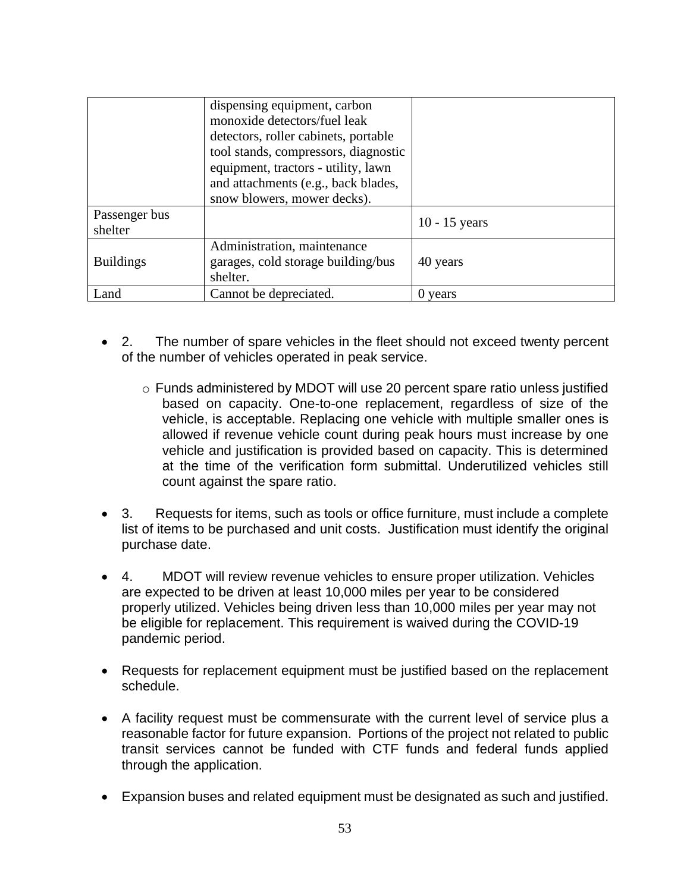|                          | dispensing equipment, carbon<br>monoxide detectors/fuel leak<br>detectors, roller cabinets, portable<br>tool stands, compressors, diagnostic<br>equipment, tractors - utility, lawn<br>and attachments (e.g., back blades,<br>snow blowers, mower decks). |                 |
|--------------------------|-----------------------------------------------------------------------------------------------------------------------------------------------------------------------------------------------------------------------------------------------------------|-----------------|
| Passenger bus<br>shelter |                                                                                                                                                                                                                                                           | $10 - 15$ years |
| <b>Buildings</b>         | Administration, maintenance<br>garages, cold storage building/bus<br>shelter.                                                                                                                                                                             | 40 years        |
| Land                     | Cannot be depreciated.                                                                                                                                                                                                                                    | 0 years         |

- 2. The number of spare vehicles in the fleet should not exceed twenty percent of the number of vehicles operated in peak service.
	- o Funds administered by MDOT will use 20 percent spare ratio unless justified based on capacity. One-to-one replacement, regardless of size of the vehicle, is acceptable. Replacing one vehicle with multiple smaller ones is allowed if revenue vehicle count during peak hours must increase by one vehicle and justification is provided based on capacity. This is determined at the time of the verification form submittal. Underutilized vehicles still count against the spare ratio.
- 3. Requests for items, such as tools or office furniture, must include a complete list of items to be purchased and unit costs. Justification must identify the original purchase date.
- 4. MDOT will review revenue vehicles to ensure proper utilization. Vehicles are expected to be driven at least 10,000 miles per year to be considered properly utilized. Vehicles being driven less than 10,000 miles per year may not be eligible for replacement. This requirement is waived during the COVID-19 pandemic period.
- Requests for replacement equipment must be justified based on the replacement schedule.
- A facility request must be commensurate with the current level of service plus a reasonable factor for future expansion. Portions of the project not related to public transit services cannot be funded with CTF funds and federal funds applied through the application.
- Expansion buses and related equipment must be designated as such and justified.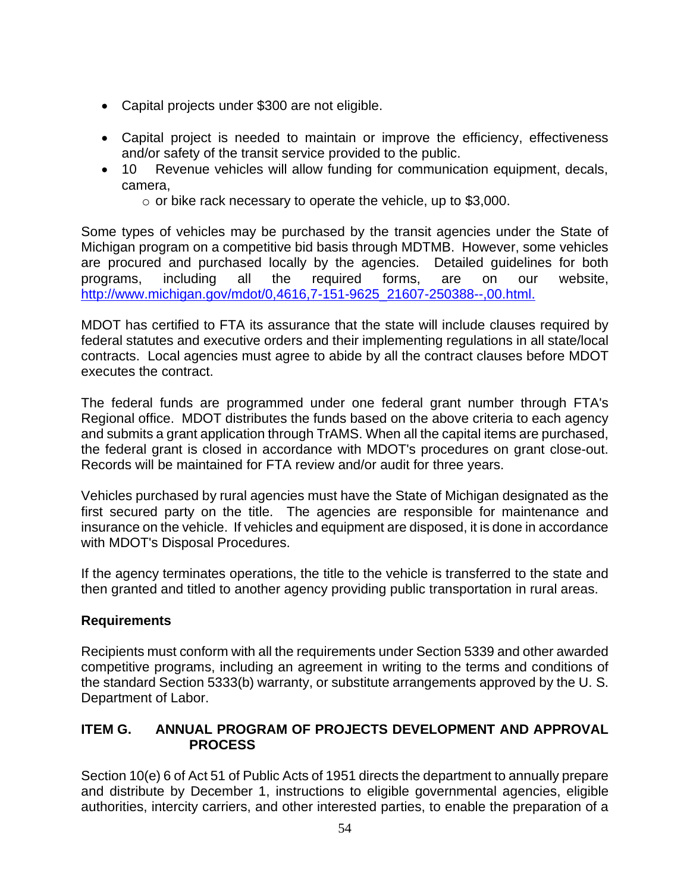- Capital projects under \$300 are not eligible.
- Capital project is needed to maintain or improve the efficiency, effectiveness and/or safety of the transit service provided to the public.
- 10 Revenue vehicles will allow funding for communication equipment, decals, camera,
	- $\circ$  or bike rack necessary to operate the vehicle, up to \$3,000.

Some types of vehicles may be purchased by the transit agencies under the State of Michigan program on a competitive bid basis through MDTMB. However, some vehicles are procured and purchased locally by the agencies. Detailed guidelines for both programs, including all the required forms, are on our website, [http://www.michigan.gov/mdot/0,4616,7-151-9625\\_21607-250388--,00.html.](http://www.michigan.gov/mdot/0,4616,7-151-9625_21607-250388--,00.html.) 

MDOT has certified to FTA its assurance that the state will include clauses required by federal statutes and executive orders and their implementing regulations in all state/local contracts. Local agencies must agree to abide by all the contract clauses before MDOT executes the contract.

The federal funds are programmed under one federal grant number through FTA's Regional office. MDOT distributes the funds based on the above criteria to each agency and submits a grant application through TrAMS. When all the capital items are purchased, the federal grant is closed in accordance with MDOT's procedures on grant close-out. Records will be maintained for FTA review and/or audit for three years.

Vehicles purchased by rural agencies must have the State of Michigan designated as the first secured party on the title. The agencies are responsible for maintenance and insurance on the vehicle. If vehicles and equipment are disposed, it is done in accordance with MDOT's Disposal Procedures.

If the agency terminates operations, the title to the vehicle is transferred to the state and then granted and titled to another agency providing public transportation in rural areas.

# **Requirements**

Recipients must conform with all the requirements under Section 5339 and other awarded competitive programs, including an agreement in writing to the terms and conditions of the standard Section 5333(b) warranty, or substitute arrangements approved by the U. S. Department of Labor.

# **ITEM G. ANNUAL PROGRAM OF PROJECTS DEVELOPMENT AND APPROVAL PROCESS**

Section 10(e) 6 of Act 51 of Public Acts of 1951 directs the department to annually prepare and distribute by December 1, instructions to eligible governmental agencies, eligible authorities, intercity carriers, and other interested parties, to enable the preparation of a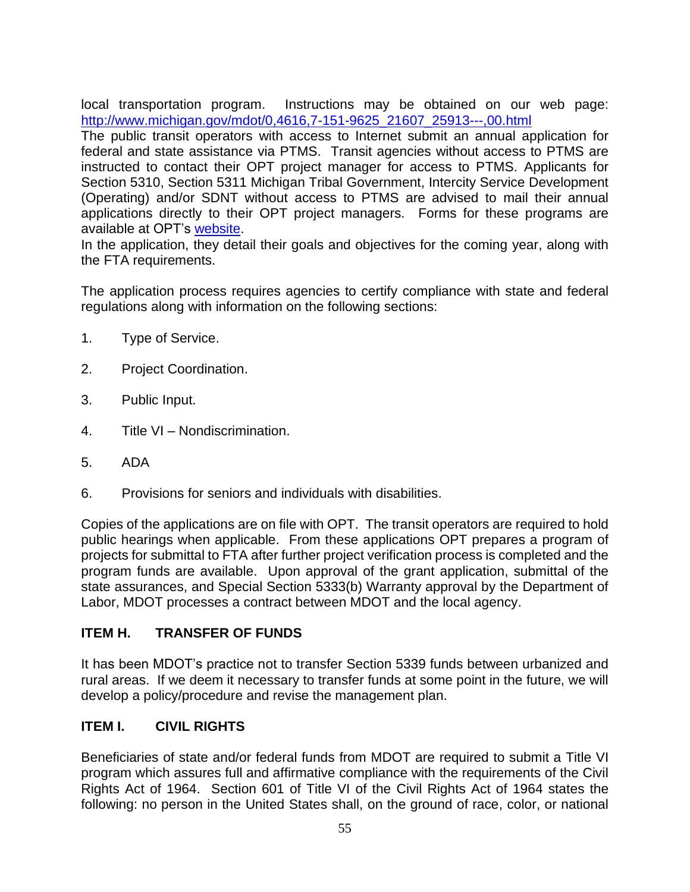local transportation program. Instructions may be obtained on our web page: [http://www.michigan.gov/mdot/0,4616,7-151-9625\\_21607\\_25913---,00.html](http://www.michigan.gov/mdot/0,4616,7-151-9625_21607_25913---,00.html) 

The public transit operators with access to Internet submit an annual application for federal and state assistance via PTMS. Transit agencies without access to PTMS are instructed to contact their OPT project manager for access to PTMS. Applicants for Section 5310, Section 5311 Michigan Tribal Government, Intercity Service Development (Operating) and/or SDNT without access to PTMS are advised to mail their annual applications directly to their OPT project managers. Forms for these programs are available at OPT's [website.](http://www.michigan.gov/mdot/0,4616,7-151-9625_21607_25913---,00.html)

In the application, they detail their goals and objectives for the coming year, along with the FTA requirements.

The application process requires agencies to certify compliance with state and federal regulations along with information on the following sections:

- 1. Type of Service.
- 2. Project Coordination.
- 3. Public Input.
- 4. Title VI Nondiscrimination.
- 5. ADA
- 6. Provisions for seniors and individuals with disabilities.

Copies of the applications are on file with OPT. The transit operators are required to hold public hearings when applicable. From these applications OPT prepares a program of projects for submittal to FTA after further project verification process is completed and the program funds are available. Upon approval of the grant application, submittal of the state assurances, and Special Section 5333(b) Warranty approval by the Department of Labor, MDOT processes a contract between MDOT and the local agency.

# **ITEM H. TRANSFER OF FUNDS**

It has been MDOT's practice not to transfer Section 5339 funds between urbanized and rural areas. If we deem it necessary to transfer funds at some point in the future, we will develop a policy/procedure and revise the management plan.

# **ITEM I. CIVIL RIGHTS**

Beneficiaries of state and/or federal funds from MDOT are required to submit a Title VI program which assures full and affirmative compliance with the requirements of the Civil Rights Act of 1964. Section 601 of Title VI of the Civil Rights Act of 1964 states the following: no person in the United States shall, on the ground of race, color, or national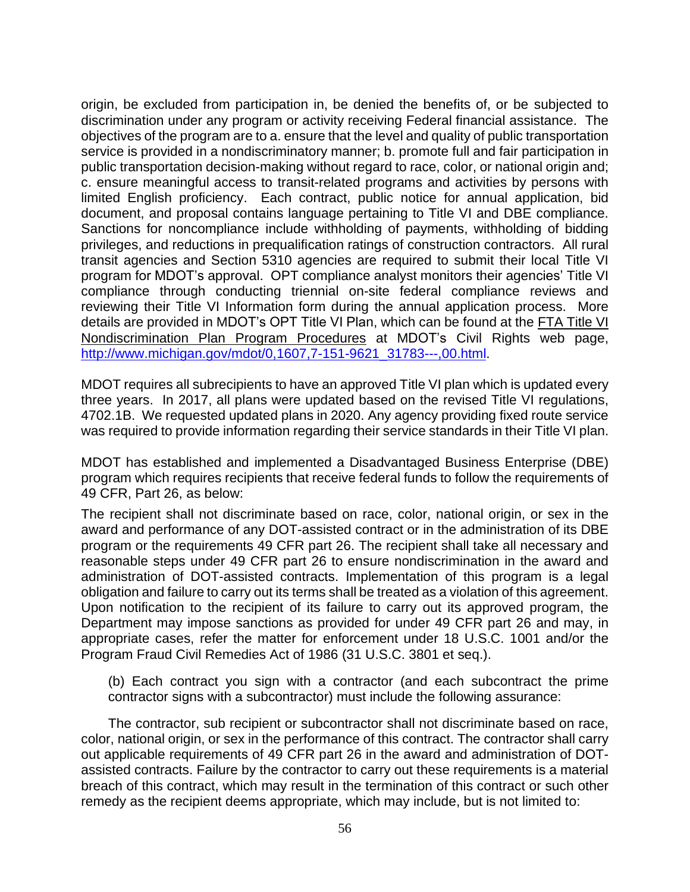origin, be excluded from participation in, be denied the benefits of, or be subjected to discrimination under any program or activity receiving Federal financial assistance. The objectives of the program are to a. ensure that the level and quality of public transportation service is provided in a nondiscriminatory manner; b. promote full and fair participation in public transportation decision-making without regard to race, color, or national origin and; c. ensure meaningful access to transit-related programs and activities by persons with limited English proficiency. Each contract, public notice for annual application, bid document, and proposal contains language pertaining to Title VI and DBE compliance. Sanctions for noncompliance include withholding of payments, withholding of bidding privileges, and reductions in prequalification ratings of construction contractors. All rural transit agencies and Section 5310 agencies are required to submit their local Title VI program for MDOT's approval. OPT compliance analyst monitors their agencies' Title VI compliance through conducting triennial on-site federal compliance reviews and reviewing their Title VI Information form during the annual application process. More details are provided in MDOT's OPT Title VI Plan, which can be found at the [FTA Title VI](http://www.michigan.gov/documents/mdot/mdot_FTA_Title_VI_Plan_Program_Procedures_362655_7.pdf?20140506112841)  [Nondiscrimination Plan Program Procedures](http://www.michigan.gov/documents/mdot/mdot_FTA_Title_VI_Plan_Program_Procedures_362655_7.pdf?20140506112841) at MDOT's Civil Rights web page, [http://www.michigan.gov/mdot/0,1607,7-151-9621\\_31783---,00.html.](http://www.michigan.gov/mdot/0,1607,7-151-9621_31783---,00.html)

MDOT requires all subrecipients to have an approved Title VI plan which is updated every three years. In 2017, all plans were updated based on the revised Title VI regulations, 4702.1B. We requested updated plans in 2020. Any agency providing fixed route service was required to provide information regarding their service standards in their Title VI plan.

MDOT has established and implemented a Disadvantaged Business Enterprise (DBE) program which requires recipients that receive federal funds to follow the requirements of 49 CFR, Part 26, as below:

The recipient shall not discriminate based on race, color, national origin, or sex in the award and performance of any DOT-assisted contract or in the administration of its DBE program or the requirements 49 CFR part 26. The recipient shall take all necessary and reasonable steps under 49 CFR part 26 to ensure nondiscrimination in the award and administration of DOT-assisted contracts. Implementation of this program is a legal obligation and failure to carry out its terms shall be treated as a violation of this agreement. Upon notification to the recipient of its failure to carry out its approved program, the Department may impose sanctions as provided for under 49 CFR part 26 and may, in appropriate cases, refer the matter for enforcement under 18 U.S.C. 1001 and/or the Program Fraud Civil Remedies Act of 1986 (31 U.S.C. 3801 et seq.).

(b) Each contract you sign with a contractor (and each subcontract the prime contractor signs with a subcontractor) must include the following assurance:

The contractor, sub recipient or subcontractor shall not discriminate based on race, color, national origin, or sex in the performance of this contract. The contractor shall carry out applicable requirements of 49 CFR part 26 in the award and administration of DOTassisted contracts. Failure by the contractor to carry out these requirements is a material breach of this contract, which may result in the termination of this contract or such other remedy as the recipient deems appropriate, which may include, but is not limited to: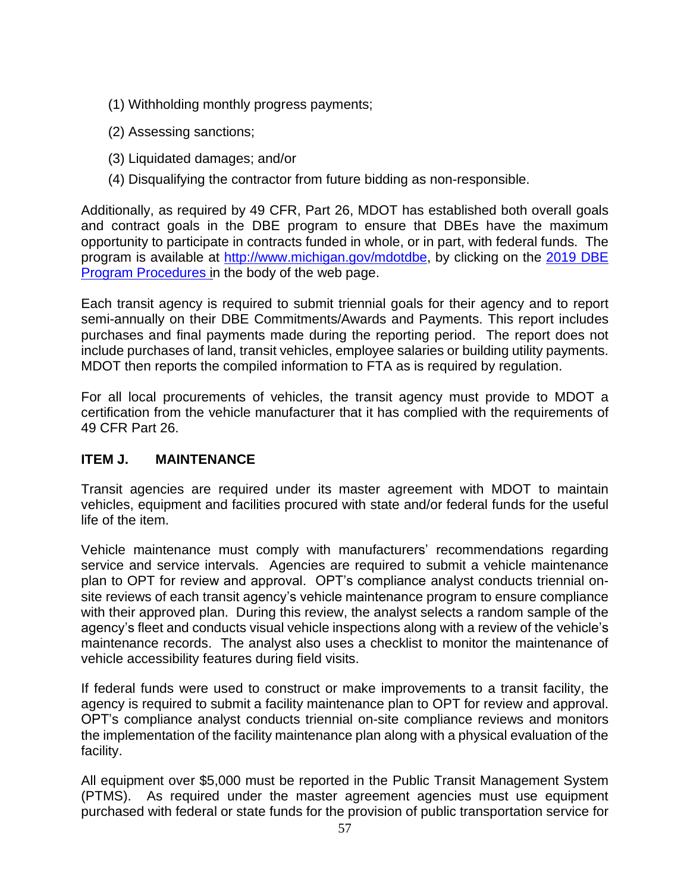- (1) Withholding monthly progress payments;
- (2) Assessing sanctions;
- (3) Liquidated damages; and/or
- (4) Disqualifying the contractor from future bidding as non-responsible.

Additionally, as required by 49 CFR, Part 26, MDOT has established both overall goals and contract goals in the DBE program to ensure that DBEs have the maximum opportunity to participate in contracts funded in whole, or in part, with federal funds. The program is available at [http://www.michigan.gov/mdotdbe,](http://www.michigan.gov/mdotdbe) by clicking on the [2019](http://www.michigan.gov/documents/mdot/MDOT_FY12_PROGRAM_PROC_FINAL_393921_7.pdf?20140506112413) DBE [Program Procedures](http://www.michigan.gov/documents/mdot/MDOT_FY12_PROGRAM_PROC_FINAL_393921_7.pdf?20140506112413) in the body of the web page.

Each transit agency is required to submit triennial goals for their agency and to report semi-annually on their DBE Commitments/Awards and Payments. This report includes purchases and final payments made during the reporting period. The report does not include purchases of land, transit vehicles, employee salaries or building utility payments. MDOT then reports the compiled information to FTA as is required by regulation.

For all local procurements of vehicles, the transit agency must provide to MDOT a certification from the vehicle manufacturer that it has complied with the requirements of 49 CFR Part 26.

#### **ITEM J. MAINTENANCE**

Transit agencies are required under its master agreement with MDOT to maintain vehicles, equipment and facilities procured with state and/or federal funds for the useful life of the item.

Vehicle maintenance must comply with manufacturers' recommendations regarding service and service intervals. Agencies are required to submit a vehicle maintenance plan to OPT for review and approval. OPT's compliance analyst conducts triennial onsite reviews of each transit agency's vehicle maintenance program to ensure compliance with their approved plan. During this review, the analyst selects a random sample of the agency's fleet and conducts visual vehicle inspections along with a review of the vehicle's maintenance records. The analyst also uses a checklist to monitor the maintenance of vehicle accessibility features during field visits.

If federal funds were used to construct or make improvements to a transit facility, the agency is required to submit a facility maintenance plan to OPT for review and approval. OPT's compliance analyst conducts triennial on-site compliance reviews and monitors the implementation of the facility maintenance plan along with a physical evaluation of the facility.

All equipment over \$5,000 must be reported in the Public Transit Management System (PTMS). As required under the master agreement agencies must use equipment purchased with federal or state funds for the provision of public transportation service for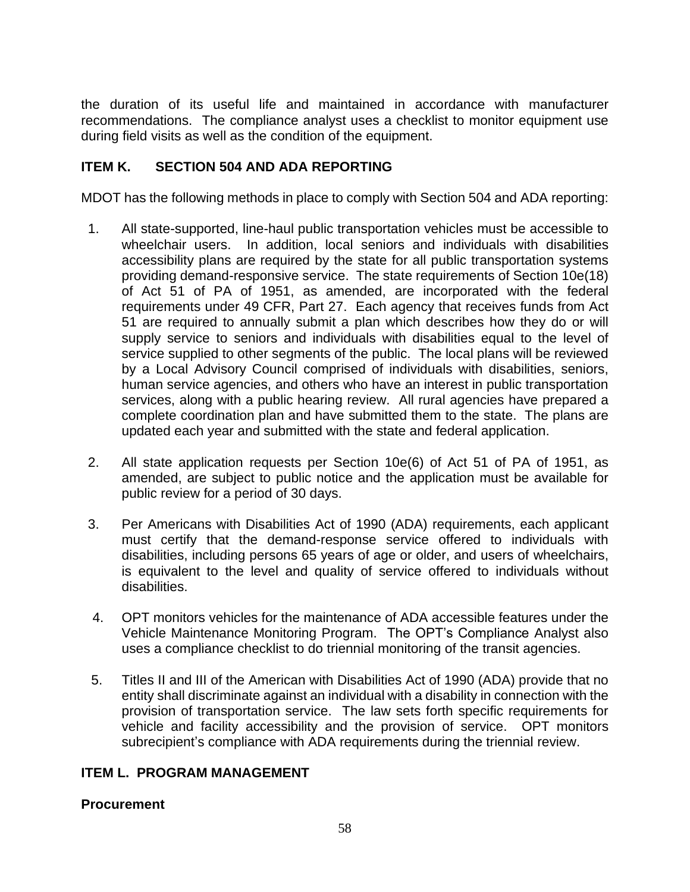the duration of its useful life and maintained in accordance with manufacturer recommendations. The compliance analyst uses a checklist to monitor equipment use during field visits as well as the condition of the equipment.

# **ITEM K. SECTION 504 AND ADA REPORTING**

MDOT has the following methods in place to comply with Section 504 and ADA reporting:

- 1. All state-supported, line-haul public transportation vehicles must be accessible to wheelchair users. In addition, local seniors and individuals with disabilities accessibility plans are required by the state for all public transportation systems providing demand-responsive service. The state requirements of Section 10e(18) of Act 51 of PA of 1951, as amended, are incorporated with the federal requirements under 49 CFR, Part 27. Each agency that receives funds from Act 51 are required to annually submit a plan which describes how they do or will supply service to seniors and individuals with disabilities equal to the level of service supplied to other segments of the public. The local plans will be reviewed by a Local Advisory Council comprised of individuals with disabilities, seniors, human service agencies, and others who have an interest in public transportation services, along with a public hearing review. All rural agencies have prepared a complete coordination plan and have submitted them to the state. The plans are updated each year and submitted with the state and federal application.
- 2. All state application requests per Section 10e(6) of Act 51 of PA of 1951, as amended, are subject to public notice and the application must be available for public review for a period of 30 days.
- 3. Per Americans with Disabilities Act of 1990 (ADA) requirements, each applicant must certify that the demand-response service offered to individuals with disabilities, including persons 65 years of age or older, and users of wheelchairs, is equivalent to the level and quality of service offered to individuals without disabilities.
- 4. OPT monitors vehicles for the maintenance of ADA accessible features under the Vehicle Maintenance Monitoring Program. The OPT's Compliance Analyst also uses a compliance checklist to do triennial monitoring of the transit agencies.
- 5. Titles II and III of the American with Disabilities Act of 1990 (ADA) provide that no entity shall discriminate against an individual with a disability in connection with the provision of transportation service. The law sets forth specific requirements for vehicle and facility accessibility and the provision of service. OPT monitors subrecipient's compliance with ADA requirements during the triennial review.

#### **ITEM L. PROGRAM MANAGEMENT**

#### **Procurement**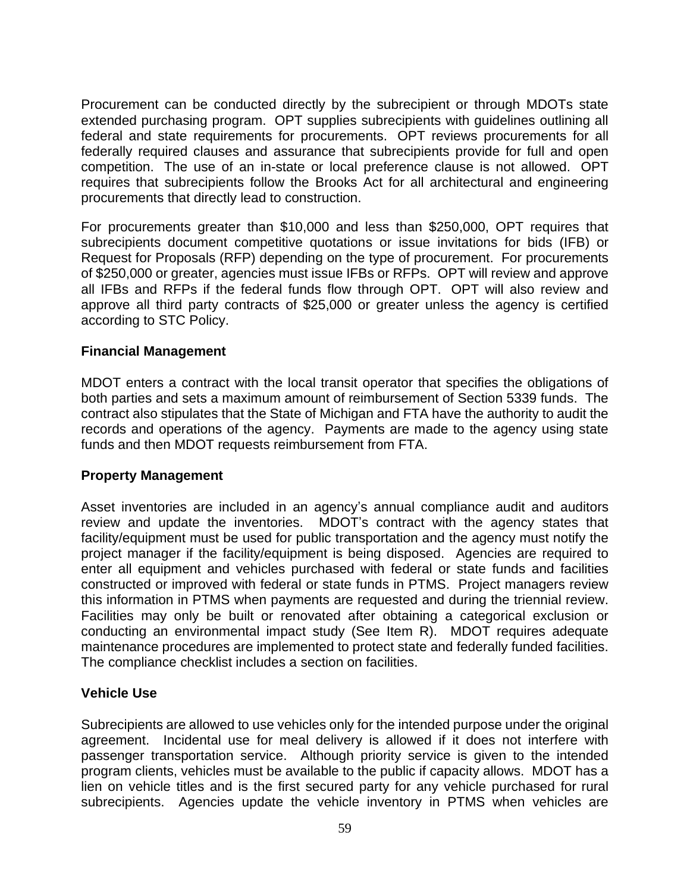Procurement can be conducted directly by the subrecipient or through MDOTs state extended purchasing program. OPT supplies subrecipients with guidelines outlining all federal and state requirements for procurements. OPT reviews procurements for all federally required clauses and assurance that subrecipients provide for full and open competition. The use of an in-state or local preference clause is not allowed. OPT requires that subrecipients follow the Brooks Act for all architectural and engineering procurements that directly lead to construction.

For procurements greater than \$10,000 and less than \$250,000, OPT requires that subrecipients document competitive quotations or issue invitations for bids (IFB) or Request for Proposals (RFP) depending on the type of procurement. For procurements of \$250,000 or greater, agencies must issue IFBs or RFPs. OPT will review and approve all IFBs and RFPs if the federal funds flow through OPT. OPT will also review and approve all third party contracts of \$25,000 or greater unless the agency is certified according to STC Policy.

## **Financial Management**

MDOT enters a contract with the local transit operator that specifies the obligations of both parties and sets a maximum amount of reimbursement of Section 5339 funds. The contract also stipulates that the State of Michigan and FTA have the authority to audit the records and operations of the agency. Payments are made to the agency using state funds and then MDOT requests reimbursement from FTA.

#### **Property Management**

Asset inventories are included in an agency's annual compliance audit and auditors review and update the inventories. MDOT's contract with the agency states that facility/equipment must be used for public transportation and the agency must notify the project manager if the facility/equipment is being disposed. Agencies are required to enter all equipment and vehicles purchased with federal or state funds and facilities constructed or improved with federal or state funds in PTMS. Project managers review this information in PTMS when payments are requested and during the triennial review. Facilities may only be built or renovated after obtaining a categorical exclusion or conducting an environmental impact study (See Item R). MDOT requires adequate maintenance procedures are implemented to protect state and federally funded facilities. The compliance checklist includes a section on facilities.

# **Vehicle Use**

Subrecipients are allowed to use vehicles only for the intended purpose under the original agreement. Incidental use for meal delivery is allowed if it does not interfere with passenger transportation service. Although priority service is given to the intended program clients, vehicles must be available to the public if capacity allows. MDOT has a lien on vehicle titles and is the first secured party for any vehicle purchased for rural subrecipients. Agencies update the vehicle inventory in PTMS when vehicles are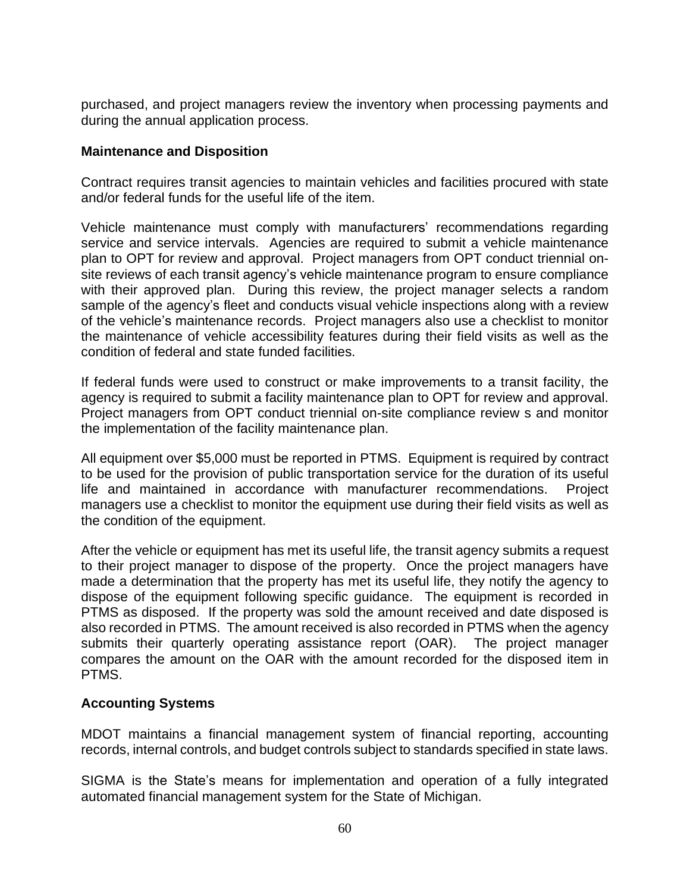purchased, and project managers review the inventory when processing payments and during the annual application process.

#### **Maintenance and Disposition**

Contract requires transit agencies to maintain vehicles and facilities procured with state and/or federal funds for the useful life of the item.

Vehicle maintenance must comply with manufacturers' recommendations regarding service and service intervals. Agencies are required to submit a vehicle maintenance plan to OPT for review and approval. Project managers from OPT conduct triennial onsite reviews of each transit agency's vehicle maintenance program to ensure compliance with their approved plan. During this review, the project manager selects a random sample of the agency's fleet and conducts visual vehicle inspections along with a review of the vehicle's maintenance records. Project managers also use a checklist to monitor the maintenance of vehicle accessibility features during their field visits as well as the condition of federal and state funded facilities.

If federal funds were used to construct or make improvements to a transit facility, the agency is required to submit a facility maintenance plan to OPT for review and approval. Project managers from OPT conduct triennial on-site compliance review s and monitor the implementation of the facility maintenance plan.

All equipment over \$5,000 must be reported in PTMS. Equipment is required by contract to be used for the provision of public transportation service for the duration of its useful life and maintained in accordance with manufacturer recommendations. Project managers use a checklist to monitor the equipment use during their field visits as well as the condition of the equipment.

After the vehicle or equipment has met its useful life, the transit agency submits a request to their project manager to dispose of the property. Once the project managers have made a determination that the property has met its useful life, they notify the agency to dispose of the equipment following specific guidance. The equipment is recorded in PTMS as disposed. If the property was sold the amount received and date disposed is also recorded in PTMS. The amount received is also recorded in PTMS when the agency submits their quarterly operating assistance report (OAR). The project manager compares the amount on the OAR with the amount recorded for the disposed item in PTMS.

# **Accounting Systems**

MDOT maintains a financial management system of financial reporting, accounting records, internal controls, and budget controls subject to standards specified in state laws.

SIGMA is the State's means for implementation and operation of a fully integrated automated financial management system for the State of Michigan.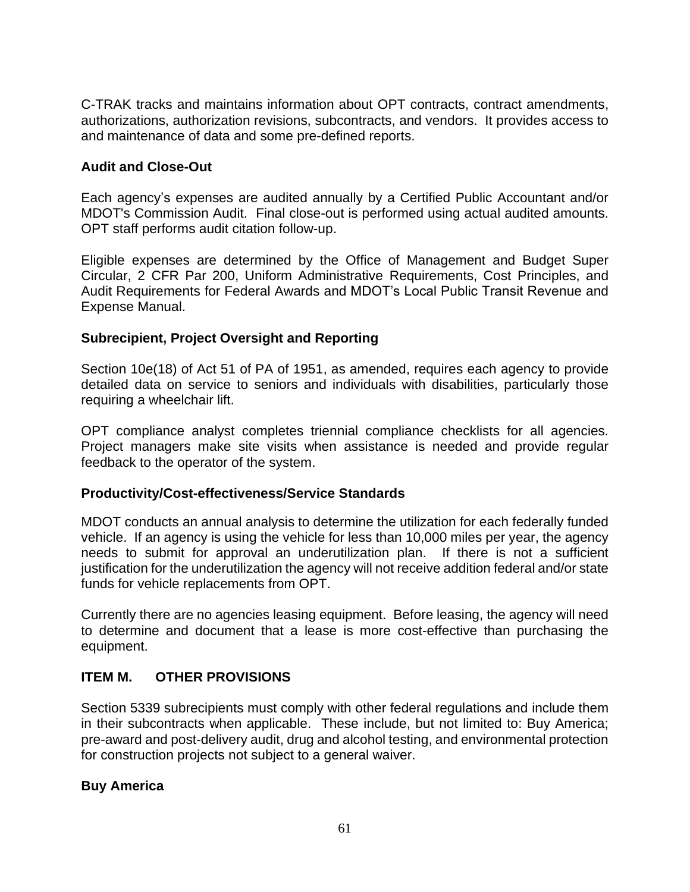C-TRAK tracks and maintains information about OPT contracts, contract amendments, authorizations, authorization revisions, subcontracts, and vendors. It provides access to and maintenance of data and some pre-defined reports.

# **Audit and Close-Out**

Each agency's expenses are audited annually by a Certified Public Accountant and/or MDOT's Commission Audit. Final close-out is performed using actual audited amounts. OPT staff performs audit citation follow-up.

Eligible expenses are determined by the Office of Management and Budget Super Circular, 2 CFR Par 200, Uniform Administrative Requirements, Cost Principles, and Audit Requirements for Federal Awards and MDOT's Local Public Transit Revenue and Expense Manual.

## **Subrecipient, Project Oversight and Reporting**

Section 10e(18) of Act 51 of PA of 1951, as amended, requires each agency to provide detailed data on service to seniors and individuals with disabilities, particularly those requiring a wheelchair lift.

OPT compliance analyst completes triennial compliance checklists for all agencies. Project managers make site visits when assistance is needed and provide regular feedback to the operator of the system.

#### **Productivity/Cost-effectiveness/Service Standards**

MDOT conducts an annual analysis to determine the utilization for each federally funded vehicle. If an agency is using the vehicle for less than 10,000 miles per year, the agency needs to submit for approval an underutilization plan. If there is not a sufficient justification for the underutilization the agency will not receive addition federal and/or state funds for vehicle replacements from OPT.

Currently there are no agencies leasing equipment. Before leasing, the agency will need to determine and document that a lease is more cost-effective than purchasing the equipment.

# **ITEM M. OTHER PROVISIONS**

Section 5339 subrecipients must comply with other federal regulations and include them in their subcontracts when applicable. These include, but not limited to: Buy America; pre-award and post-delivery audit, drug and alcohol testing, and environmental protection for construction projects not subject to a general waiver.

#### **Buy America**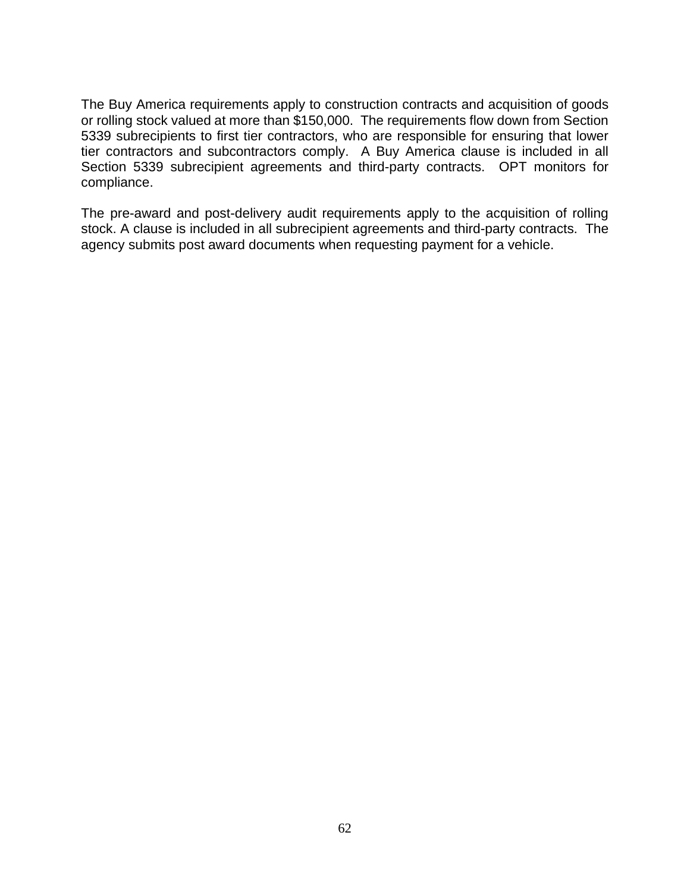The Buy America requirements apply to construction contracts and acquisition of goods or rolling stock valued at more than \$150,000. The requirements flow down from Section 5339 subrecipients to first tier contractors, who are responsible for ensuring that lower tier contractors and subcontractors comply. A Buy America clause is included in all Section 5339 subrecipient agreements and third-party contracts. OPT monitors for compliance.

The pre-award and post-delivery audit requirements apply to the acquisition of rolling stock. A clause is included in all subrecipient agreements and third-party contracts. The agency submits post award documents when requesting payment for a vehicle.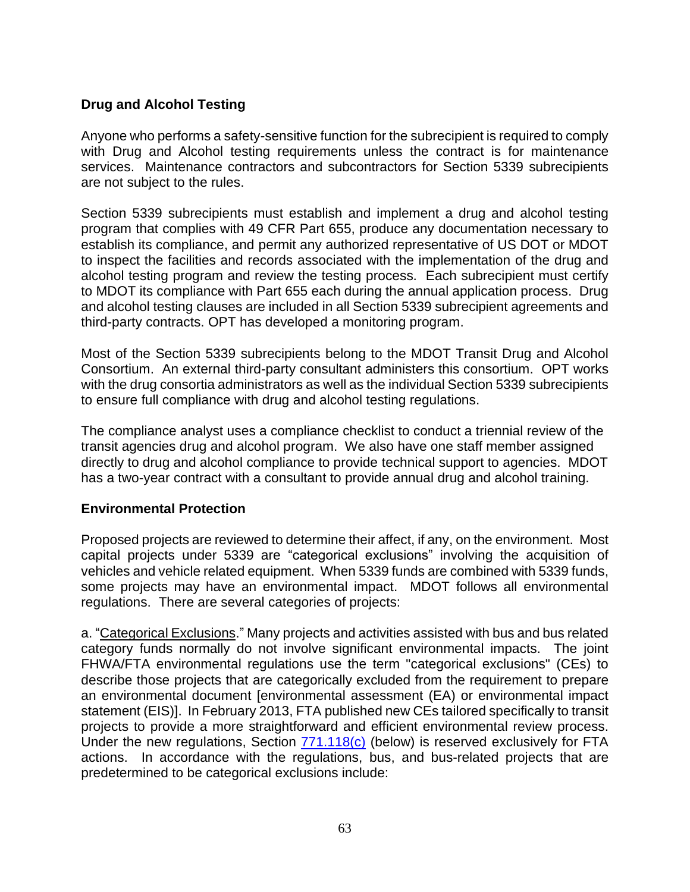# **Drug and Alcohol Testing**

Anyone who performs a safety-sensitive function for the subrecipient is required to comply with Drug and Alcohol testing requirements unless the contract is for maintenance services. Maintenance contractors and subcontractors for Section 5339 subrecipients are not subject to the rules.

Section 5339 subrecipients must establish and implement a drug and alcohol testing program that complies with 49 CFR Part 655, produce any documentation necessary to establish its compliance, and permit any authorized representative of US DOT or MDOT to inspect the facilities and records associated with the implementation of the drug and alcohol testing program and review the testing process. Each subrecipient must certify to MDOT its compliance with Part 655 each during the annual application process. Drug and alcohol testing clauses are included in all Section 5339 subrecipient agreements and third-party contracts. OPT has developed a monitoring program.

Most of the Section 5339 subrecipients belong to the MDOT Transit Drug and Alcohol Consortium. An external third-party consultant administers this consortium. OPT works with the drug consortia administrators as well as the individual Section 5339 subrecipients to ensure full compliance with drug and alcohol testing regulations.

The compliance analyst uses a compliance checklist to conduct a triennial review of the transit agencies drug and alcohol program. We also have one staff member assigned directly to drug and alcohol compliance to provide technical support to agencies. MDOT has a two-year contract with a consultant to provide annual drug and alcohol training.

#### **Environmental Protection**

Proposed projects are reviewed to determine their affect, if any, on the environment. Most capital projects under 5339 are "categorical exclusions" involving the acquisition of vehicles and vehicle related equipment. When 5339 funds are combined with 5339 funds, some projects may have an environmental impact. MDOT follows all environmental regulations. There are several categories of projects:

a. "Categorical Exclusions." Many projects and activities assisted with bus and bus related category funds normally do not involve significant environmental impacts. The joint FHWA/FTA environmental regulations use the term "categorical exclusions" (CEs) to describe those projects that are categorically excluded from the requirement to prepare an environmental document [environmental assessment (EA) or environmental impact statement (EIS)]. In February 2013, FTA published new CEs tailored specifically to transit projects to provide a more straightforward and efficient environmental review process. Under the new regulations, Section  $771.118(c)$  (below) is reserved exclusively for FTA actions. In accordance with the regulations, bus, and bus-related projects that are predetermined to be categorical exclusions include: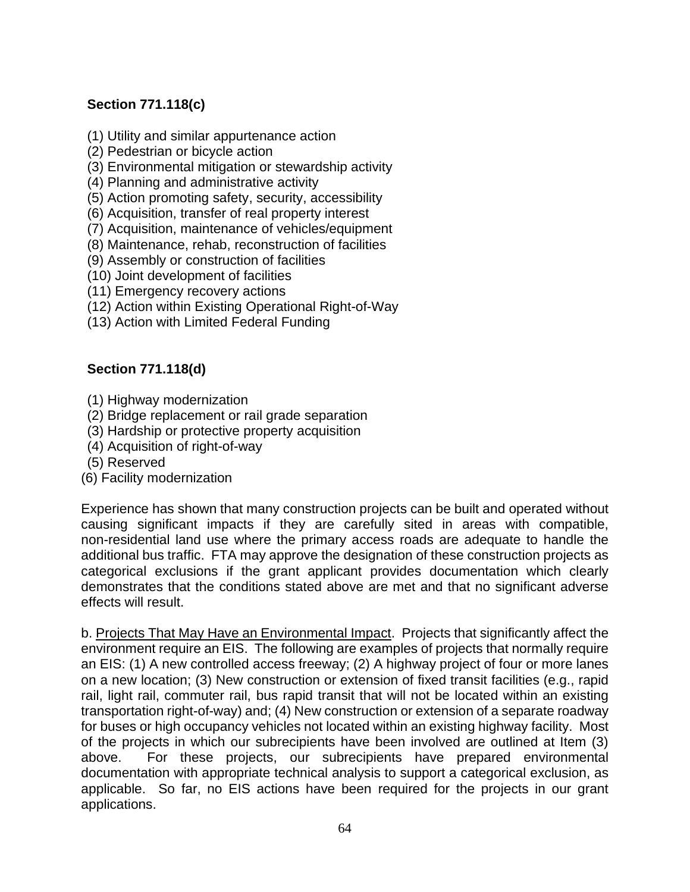# **Section 771.118(c)**

- (1) Utility and similar appurtenance action
- (2) Pedestrian or bicycle action
- (3) Environmental mitigation or stewardship activity
- (4) Planning and administrative activity
- (5) Action promoting safety, security, accessibility
- (6) Acquisition, transfer of real property interest
- (7) Acquisition, maintenance of vehicles/equipment
- (8) Maintenance, rehab, reconstruction of facilities
- (9) Assembly or construction of facilities
- (10) Joint development of facilities
- (11) Emergency recovery actions
- (12) Action within Existing Operational Right-of-Way
- (13) Action with Limited Federal Funding

# **Section 771.118(d)**

- (1) Highway modernization
- (2) Bridge replacement or rail grade separation
- (3) Hardship or protective property acquisition
- (4) Acquisition of right-of-way
- (5) Reserved
- (6) Facility modernization

Experience has shown that many construction projects can be built and operated without causing significant impacts if they are carefully sited in areas with compatible, non-residential land use where the primary access roads are adequate to handle the additional bus traffic. FTA may approve the designation of these construction projects as categorical exclusions if the grant applicant provides documentation which clearly demonstrates that the conditions stated above are met and that no significant adverse effects will result.

b. Projects That May Have an Environmental Impact. Projects that significantly affect the environment require an EIS. The following are examples of projects that normally require an EIS: (1) A new controlled access freeway; (2) A highway project of four or more lanes on a new location; (3) New construction or extension of fixed transit facilities (e.g., rapid rail, light rail, commuter rail, bus rapid transit that will not be located within an existing transportation right-of-way) and; (4) New construction or extension of a separate roadway for buses or high occupancy vehicles not located within an existing highway facility. Most of the projects in which our subrecipients have been involved are outlined at Item (3) above. For these projects, our subrecipients have prepared environmental documentation with appropriate technical analysis to support a categorical exclusion, as applicable. So far, no EIS actions have been required for the projects in our grant applications.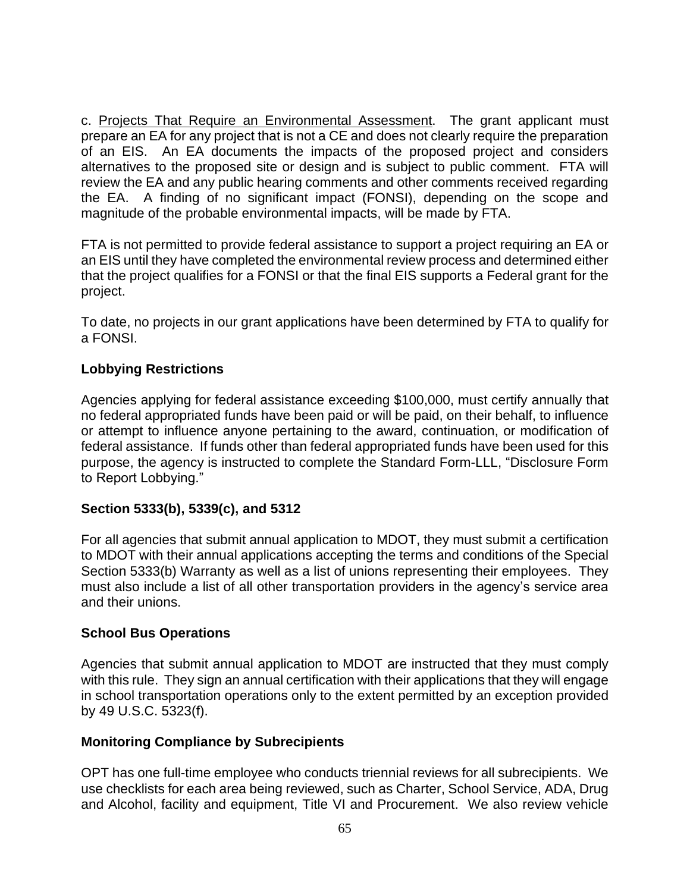c. Projects That Require an Environmental Assessment. The grant applicant must prepare an EA for any project that is not a CE and does not clearly require the preparation of an EIS. An EA documents the impacts of the proposed project and considers alternatives to the proposed site or design and is subject to public comment. FTA will review the EA and any public hearing comments and other comments received regarding the EA. A finding of no significant impact (FONSI), depending on the scope and magnitude of the probable environmental impacts, will be made by FTA.

FTA is not permitted to provide federal assistance to support a project requiring an EA or an EIS until they have completed the environmental review process and determined either that the project qualifies for a FONSI or that the final EIS supports a Federal grant for the project.

To date, no projects in our grant applications have been determined by FTA to qualify for a FONSI.

# **Lobbying Restrictions**

Agencies applying for federal assistance exceeding \$100,000, must certify annually that no federal appropriated funds have been paid or will be paid, on their behalf, to influence or attempt to influence anyone pertaining to the award, continuation, or modification of federal assistance. If funds other than federal appropriated funds have been used for this purpose, the agency is instructed to complete the Standard Form-LLL, "Disclosure Form to Report Lobbying."

# **Section 5333(b), 5339(c), and 5312**

For all agencies that submit annual application to MDOT, they must submit a certification to MDOT with their annual applications accepting the terms and conditions of the Special Section 5333(b) Warranty as well as a list of unions representing their employees. They must also include a list of all other transportation providers in the agency's service area and their unions.

# **School Bus Operations**

Agencies that submit annual application to MDOT are instructed that they must comply with this rule. They sign an annual certification with their applications that they will engage in school transportation operations only to the extent permitted by an exception provided by 49 U.S.C. 5323(f).

# **Monitoring Compliance by Subrecipients**

OPT has one full-time employee who conducts triennial reviews for all subrecipients. We use checklists for each area being reviewed, such as Charter, School Service, ADA, Drug and Alcohol, facility and equipment, Title VI and Procurement. We also review vehicle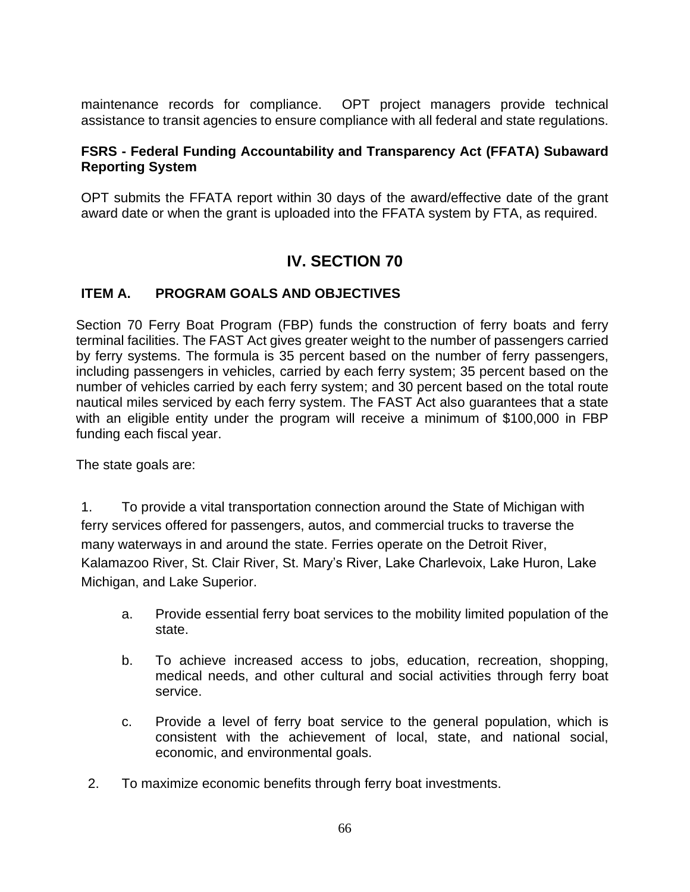maintenance records for compliance. OPT project managers provide technical assistance to transit agencies to ensure compliance with all federal and state regulations.

#### **FSRS - [Federal Funding Accountability and Transparency Act \(FFATA\) Subaward](https://gcc02.safelinks.protection.outlook.com/?url=https%3A%2F%2Fwww.fsrs.gov%2Findex%3F&data=05%7C01%7CBrushA%40michigan.gov%7C2ce302bd56c549119b2508da373134f5%7Cd5fb7087377742ad966a892ef47225d1%7C0%7C0%7C637882981716182416%7CUnknown%7CTWFpbGZsb3d8eyJWIjoiMC4wLjAwMDAiLCJQIjoiV2luMzIiLCJBTiI6Ik1haWwiLCJXVCI6Mn0%3D%7C3000%7C%7C%7C&sdata=nOFCUITdxlXmx5jdnIpT%2BJAE924ZiCfJbwZWsVtbaVw%3D&reserved=0)  [Reporting System](https://gcc02.safelinks.protection.outlook.com/?url=https%3A%2F%2Fwww.fsrs.gov%2Findex%3F&data=05%7C01%7CBrushA%40michigan.gov%7C2ce302bd56c549119b2508da373134f5%7Cd5fb7087377742ad966a892ef47225d1%7C0%7C0%7C637882981716182416%7CUnknown%7CTWFpbGZsb3d8eyJWIjoiMC4wLjAwMDAiLCJQIjoiV2luMzIiLCJBTiI6Ik1haWwiLCJXVCI6Mn0%3D%7C3000%7C%7C%7C&sdata=nOFCUITdxlXmx5jdnIpT%2BJAE924ZiCfJbwZWsVtbaVw%3D&reserved=0)**

OPT submits the FFATA report within 30 days of the award/effective date of the grant award date or when the grant is uploaded into the FFATA system by FTA, as required.

# **IV. SECTION 70**

# **ITEM A. PROGRAM GOALS AND OBJECTIVES**

Section 70 Ferry Boat Program (FBP) funds the construction of ferry boats and ferry terminal facilities. The FAST Act gives greater weight to the number of passengers carried by ferry systems. The formula is 35 percent based on the number of ferry passengers, including passengers in vehicles, carried by each ferry system; 35 percent based on the number of vehicles carried by each ferry system; and 30 percent based on the total route nautical miles serviced by each ferry system. The FAST Act also guarantees that a state with an eligible entity under the program will receive a minimum of \$100,000 in FBP funding each fiscal year.

The state goals are:

1. To provide a vital transportation connection around the State of Michigan with ferry services offered for passengers, autos, and commercial trucks to traverse the many waterways in and around the state. Ferries operate on the Detroit River, Kalamazoo River, St. Clair River, St. Mary's River, Lake Charlevoix, Lake Huron, Lake Michigan, and Lake Superior.

- a. Provide essential ferry boat services to the mobility limited population of the state.
- b. To achieve increased access to jobs, education, recreation, shopping, medical needs, and other cultural and social activities through ferry boat service.
- c. Provide a level of ferry boat service to the general population, which is consistent with the achievement of local, state, and national social, economic, and environmental goals.
- 2. To maximize economic benefits through ferry boat investments.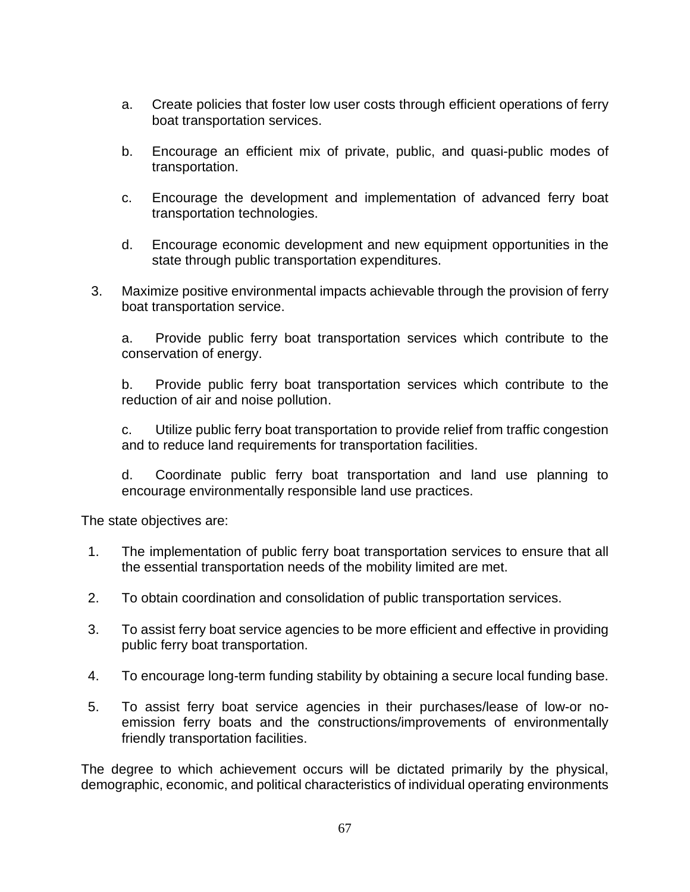- a. Create policies that foster low user costs through efficient operations of ferry boat transportation services.
- b. Encourage an efficient mix of private, public, and quasi-public modes of transportation.
- c. Encourage the development and implementation of advanced ferry boat transportation technologies.
- d. Encourage economic development and new equipment opportunities in the state through public transportation expenditures.
- 3. Maximize positive environmental impacts achievable through the provision of ferry boat transportation service.

a. Provide public ferry boat transportation services which contribute to the conservation of energy.

b. Provide public ferry boat transportation services which contribute to the reduction of air and noise pollution.

c. Utilize public ferry boat transportation to provide relief from traffic congestion and to reduce land requirements for transportation facilities.

d. Coordinate public ferry boat transportation and land use planning to encourage environmentally responsible land use practices.

The state objectives are:

- 1. The implementation of public ferry boat transportation services to ensure that all the essential transportation needs of the mobility limited are met.
- 2. To obtain coordination and consolidation of public transportation services.
- 3. To assist ferry boat service agencies to be more efficient and effective in providing public ferry boat transportation.
- 4. To encourage long-term funding stability by obtaining a secure local funding base.
- 5. To assist ferry boat service agencies in their purchases/lease of low-or noemission ferry boats and the constructions/improvements of environmentally friendly transportation facilities.

The degree to which achievement occurs will be dictated primarily by the physical, demographic, economic, and political characteristics of individual operating environments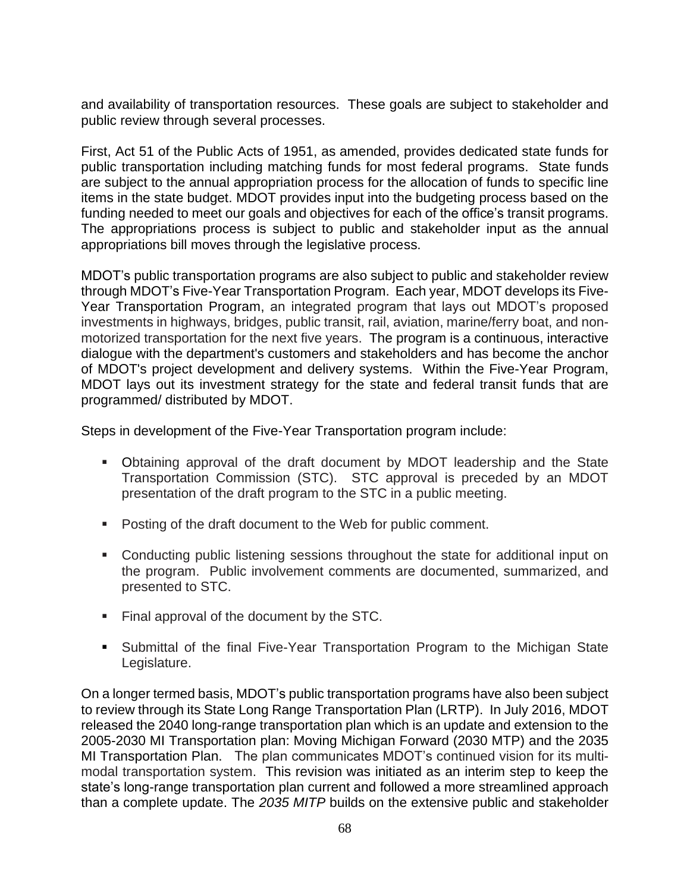and availability of transportation resources. These goals are subject to stakeholder and public review through several processes.

First, Act 51 of the Public Acts of 1951, as amended, provides dedicated state funds for public transportation including matching funds for most federal programs. State funds are subject to the annual appropriation process for the allocation of funds to specific line items in the state budget. MDOT provides input into the budgeting process based on the funding needed to meet our goals and objectives for each of the office's transit programs. The appropriations process is subject to public and stakeholder input as the annual appropriations bill moves through the legislative process.

MDOT's public transportation programs are also subject to public and stakeholder review through MDOT's Five-Year Transportation Program. Each year, MDOT develops its Five-Year Transportation Program, an integrated program that lays out MDOT's proposed investments in highways, bridges, public transit, rail, aviation, marine/ferry boat, and nonmotorized transportation for the next five years. The program is a continuous, interactive dialogue with the department's customers and stakeholders and has become the anchor of MDOT's project development and delivery systems. Within the Five-Year Program, MDOT lays out its investment strategy for the state and federal transit funds that are programmed/ distributed by MDOT.

Steps in development of the Five-Year Transportation program include:

- Obtaining approval of the draft document by MDOT leadership and the State Transportation Commission (STC). STC approval is preceded by an MDOT presentation of the draft program to the STC in a public meeting.
- Posting of the draft document to the Web for public comment.
- Conducting public listening sessions throughout the state for additional input on the program. Public involvement comments are documented, summarized, and presented to STC.
- Final approval of the document by the STC.
- Submittal of the final Five-Year Transportation Program to the Michigan State Legislature.

On a longer termed basis, MDOT's public transportation programs have also been subject to review through its State Long Range Transportation Plan (LRTP). In July 2016, MDOT released the 2040 long-range transportation plan which is an update and extension to the 2005-2030 MI Transportation plan: Moving Michigan Forward (2030 MTP) and the 2035 MI Transportation Plan. The plan communicates MDOT's continued vision for its multimodal transportation system. This revision was initiated as an interim step to keep the state's long-range transportation plan current and followed a more streamlined approach than a complete update. The *2035 MITP* builds on the extensive public and stakeholder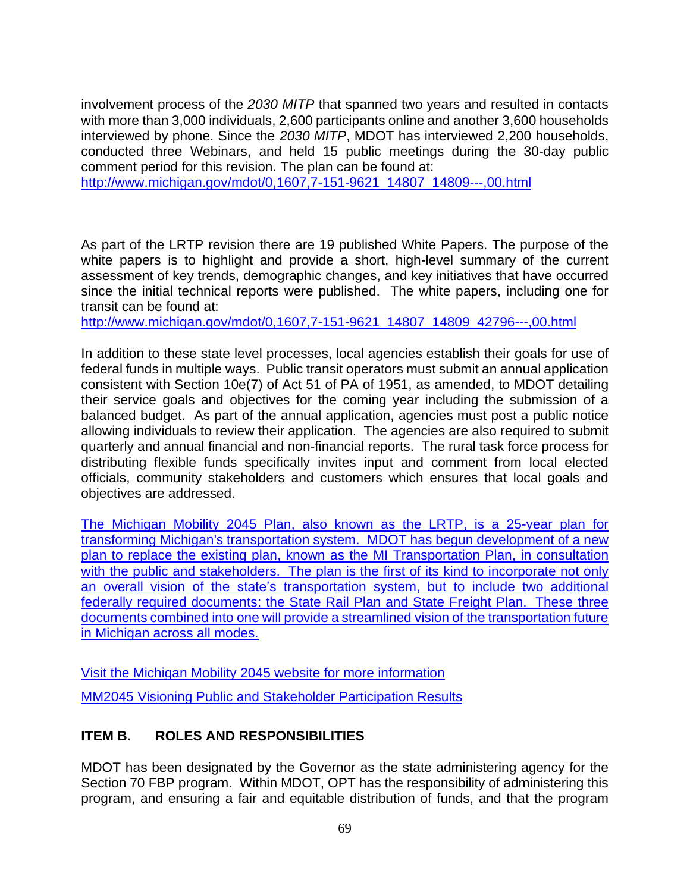involvement process of the *2030 MITP* that spanned two years and resulted in contacts with more than 3,000 individuals, 2,600 participants online and another 3,600 households interviewed by phone. Since the *2030 MITP*, MDOT has interviewed 2,200 households, conducted three Webinars, and held 15 public meetings during the 30-day public comment period for this revision. The plan can be found at:

[http://www.michigan.gov/mdot/0,1607,7-151-9621\\_14807\\_14809---,00.html](http://www.michigan.gov/mdot/0,1607,7-151-9621_14807_14809---,00.html)

As part of the LRTP revision there are 19 published White Papers. The purpose of the white papers is to highlight and provide a short, high-level summary of the current assessment of key trends, demographic changes, and key initiatives that have occurred since the initial technical reports were published. The white papers, including one for transit can be found at:

[http://www.michigan.gov/mdot/0,1607,7-151-9621\\_14807\\_14809\\_42796---,00.html](http://www.michigan.gov/mdot/0,1607,7-151-9621_14807_14809_42796---,00.html)

In addition to these state level processes, local agencies establish their goals for use of federal funds in multiple ways. Public transit operators must submit an annual application consistent with Section 10e(7) of Act 51 of PA of 1951, as amended, to MDOT detailing their service goals and objectives for the coming year including the submission of a balanced budget. As part of the annual application, agencies must post a public notice allowing individuals to review their application. The agencies are also required to submit quarterly and annual financial and non-financial reports. The rural task force process for distributing flexible funds specifically invites input and comment from local elected officials, community stakeholders and customers which ensures that local goals and objectives are addressed.

The Michigan Mobility 2045 Plan, also known as the LRTP, is a 25-year plan for transforming Michigan's transportation system. MDOT has begun development of a new plan to replace the existing plan, known as the MI Transportation Plan, in consultation with the public and stakeholders. The plan is the first of its kind to incorporate not only an overall vision of the state's transportation system, but to include two additional federally required documents: the State Rail Plan and State Freight Plan. These three documents combined into one will provide a streamlined vision of the transportation future in Michigan across all modes.

Visit the [Michigan Mobility 2045 website](http://michiganmobility.org/) for more information

MM2045 [Visioning Public and Stakeholder](https://www.michigan.gov/documents/mdot/MM2045_Results_660819_7.pdf) Participation Results

# **ITEM B. ROLES AND RESPONSIBILITIES**

MDOT has been designated by the Governor as the state administering agency for the Section 70 FBP program. Within MDOT, OPT has the responsibility of administering this program, and ensuring a fair and equitable distribution of funds, and that the program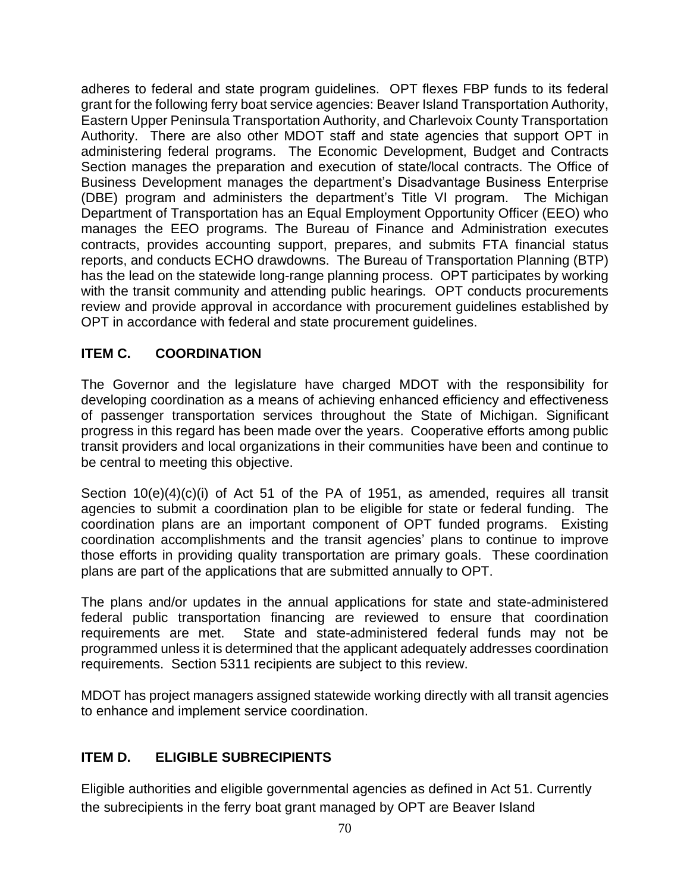adheres to federal and state program guidelines. OPT flexes FBP funds to its federal grant for the following ferry boat service agencies: Beaver Island Transportation Authority, Eastern Upper Peninsula Transportation Authority, and Charlevoix County Transportation Authority. There are also other MDOT staff and state agencies that support OPT in administering federal programs. The Economic Development, Budget and Contracts Section manages the preparation and execution of state/local contracts. The Office of Business Development manages the department's Disadvantage Business Enterprise (DBE) program and administers the department's Title VI program. The Michigan Department of Transportation has an Equal Employment Opportunity Officer (EEO) who manages the EEO programs. The Bureau of Finance and Administration executes contracts, provides accounting support, prepares, and submits FTA financial status reports, and conducts ECHO drawdowns. The Bureau of Transportation Planning (BTP) has the lead on the statewide long-range planning process. OPT participates by working with the transit community and attending public hearings. OPT conducts procurements review and provide approval in accordance with procurement guidelines established by OPT in accordance with federal and state procurement guidelines.

# **ITEM C. COORDINATION**

The Governor and the legislature have charged MDOT with the responsibility for developing coordination as a means of achieving enhanced efficiency and effectiveness of passenger transportation services throughout the State of Michigan. Significant progress in this regard has been made over the years. Cooperative efforts among public transit providers and local organizations in their communities have been and continue to be central to meeting this objective.

Section 10(e)(4)(c)(i) of Act 51 of the PA of 1951, as amended, requires all transit agencies to submit a coordination plan to be eligible for state or federal funding. The coordination plans are an important component of OPT funded programs. Existing coordination accomplishments and the transit agencies' plans to continue to improve those efforts in providing quality transportation are primary goals. These coordination plans are part of the applications that are submitted annually to OPT.

The plans and/or updates in the annual applications for state and state-administered federal public transportation financing are reviewed to ensure that coordination requirements are met. State and state-administered federal funds may not be programmed unless it is determined that the applicant adequately addresses coordination requirements. Section 5311 recipients are subject to this review.

MDOT has project managers assigned statewide working directly with all transit agencies to enhance and implement service coordination.

# **ITEM D. ELIGIBLE SUBRECIPIENTS**

Eligible authorities and eligible governmental agencies as defined in Act 51. Currently the subrecipients in the ferry boat grant managed by OPT are Beaver Island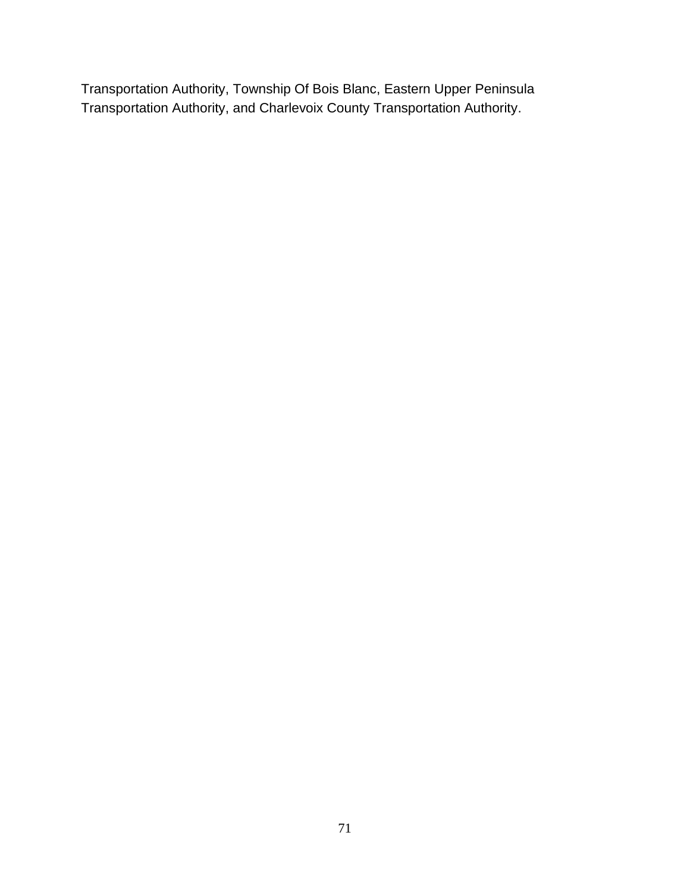Transportation Authority, Township Of Bois Blanc, Eastern Upper Peninsula Transportation Authority, and Charlevoix County Transportation Authority.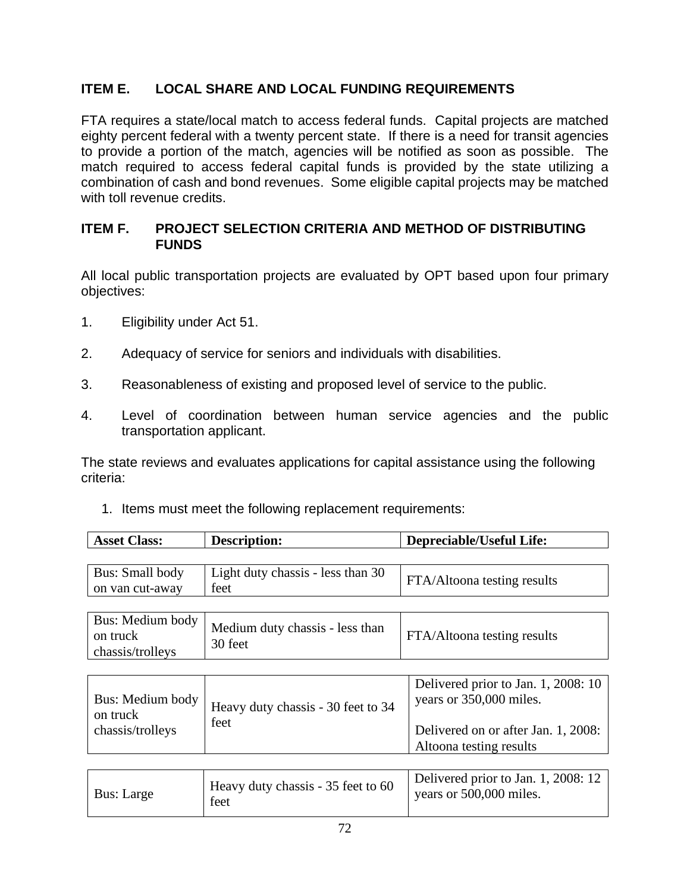# **ITEM E. LOCAL SHARE AND LOCAL FUNDING REQUIREMENTS**

FTA requires a state/local match to access federal funds. Capital projects are matched eighty percent federal with a twenty percent state. If there is a need for transit agencies to provide a portion of the match, agencies will be notified as soon as possible. The match required to access federal capital funds is provided by the state utilizing a combination of cash and bond revenues. Some eligible capital projects may be matched with toll revenue credits.

#### **ITEM F. PROJECT SELECTION CRITERIA AND METHOD OF DISTRIBUTING FUNDS**

All local public transportation projects are evaluated by OPT based upon four primary objectives:

- 1. Eligibility under Act 51.
- 2. Adequacy of service for seniors and individuals with disabilities.
- 3. Reasonableness of existing and proposed level of service to the public.
- 4. Level of coordination between human service agencies and the public transportation applicant.

The state reviews and evaluates applications for capital assistance using the following criteria:

1. Items must meet the following replacement requirements:

| <b>Asset Class:</b>                | <b>Description:</b>                       | Depreciable/Useful Life:           |
|------------------------------------|-------------------------------------------|------------------------------------|
|                                    |                                           |                                    |
| Bus: Small body<br>on van cut-away | Light duty chassis - less than 30<br>feet | <b>FTA/Altoona testing results</b> |

| on truck<br>chassis/trolleys | $\Delta$ us: Medium body   Medium duty chassis - less than<br>30 feet | FTA/Altoona testing results |
|------------------------------|-----------------------------------------------------------------------|-----------------------------|
|------------------------------|-----------------------------------------------------------------------|-----------------------------|

| Bus: Medium body<br>Heavy duty chassis - 30 feet to 34<br>on truck<br>feet<br>chassis/trolleys | Delivered prior to Jan. 1, 2008: 10<br>years or 350,000 miles.<br>Delivered on or after Jan. 1, 2008:<br>Altoona testing results |
|------------------------------------------------------------------------------------------------|----------------------------------------------------------------------------------------------------------------------------------|
|------------------------------------------------------------------------------------------------|----------------------------------------------------------------------------------------------------------------------------------|

| Heavy duty chassis - 35 feet to 60<br>Bus: Large<br>feet | Delivered prior to Jan. 1, 2008: 12<br>years or 500,000 miles. |
|----------------------------------------------------------|----------------------------------------------------------------|
|----------------------------------------------------------|----------------------------------------------------------------|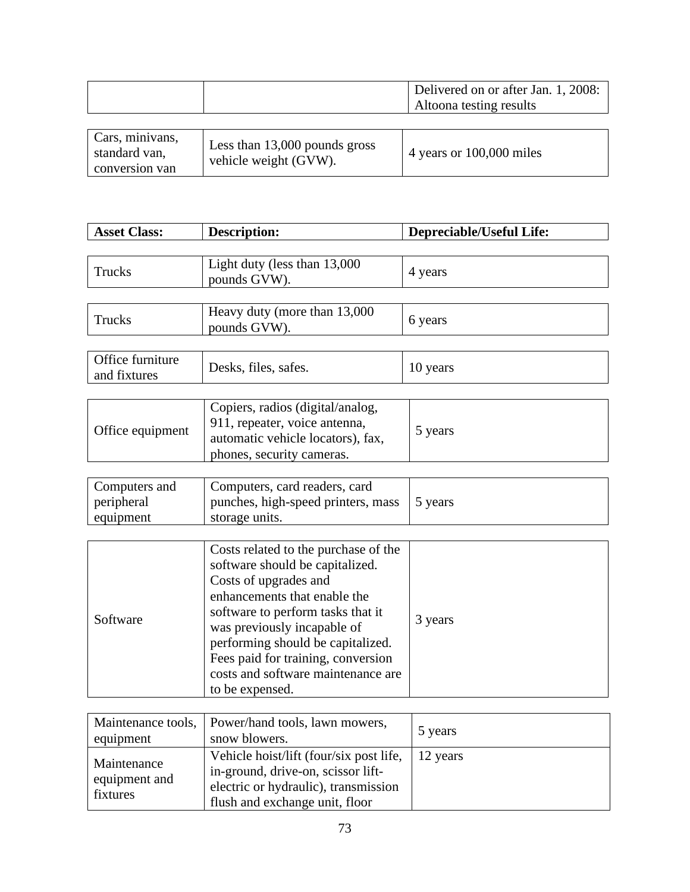|  | Delivered on or after Jan. 1, 2008: |
|--|-------------------------------------|
|  | Altoona testing results             |
|  |                                     |

| Cars, minivans,<br>standard van,<br>conversion van | Less than 13,000 pounds gross<br>vehicle weight (GVW). | 4 years or $100,000$ miles |
|----------------------------------------------------|--------------------------------------------------------|----------------------------|
|----------------------------------------------------|--------------------------------------------------------|----------------------------|

| <b>Asset Class:</b>                      | <b>Description:</b>                                                                                                                                                                                                                                                                                                                      | <b>Depreciable/Useful Life:</b> |
|------------------------------------------|------------------------------------------------------------------------------------------------------------------------------------------------------------------------------------------------------------------------------------------------------------------------------------------------------------------------------------------|---------------------------------|
|                                          |                                                                                                                                                                                                                                                                                                                                          |                                 |
| Trucks                                   | Light duty (less than 13,000<br>pounds GVW).                                                                                                                                                                                                                                                                                             | 4 years                         |
|                                          |                                                                                                                                                                                                                                                                                                                                          |                                 |
| Trucks                                   | Heavy duty (more than 13,000<br>pounds GVW).                                                                                                                                                                                                                                                                                             | 6 years                         |
|                                          |                                                                                                                                                                                                                                                                                                                                          |                                 |
| Office furniture<br>and fixtures         | Desks, files, safes.                                                                                                                                                                                                                                                                                                                     | 10 years                        |
|                                          |                                                                                                                                                                                                                                                                                                                                          |                                 |
| Office equipment                         | Copiers, radios (digital/analog,<br>911, repeater, voice antenna,<br>automatic vehicle locators), fax,<br>phones, security cameras.                                                                                                                                                                                                      | 5 years                         |
|                                          |                                                                                                                                                                                                                                                                                                                                          |                                 |
| Computers and<br>peripheral<br>equipment | Computers, card readers, card<br>punches, high-speed printers, mass<br>storage units.                                                                                                                                                                                                                                                    | 5 years                         |
|                                          |                                                                                                                                                                                                                                                                                                                                          |                                 |
| Software                                 | Costs related to the purchase of the<br>software should be capitalized.<br>Costs of upgrades and<br>enhancements that enable the<br>software to perform tasks that it<br>was previously incapable of<br>performing should be capitalized.<br>Fees paid for training, conversion<br>costs and software maintenance are<br>to be expensed. | 3 years                         |
|                                          |                                                                                                                                                                                                                                                                                                                                          |                                 |
| Maintenance tools,<br>equipment          | Power/hand tools, lawn mowers,<br>snow blowers.                                                                                                                                                                                                                                                                                          | 5 years                         |
| Maintenance<br>equipment and             | Vehicle hoist/lift (four/six post life,<br>in-ground, drive-on, scissor lift-<br>$\mathbf{1}$ and $\mathbf{1}$ are $\mathbf{1}$ and $\mathbf{1}$ and $\mathbf{1}$ are $\mathbf{1}$ and $\mathbf{1}$ are $\mathbf{1}$                                                                                                                     | 12 years                        |

electric or hydraulic), transmission flush and exchange unit, floor

fixtures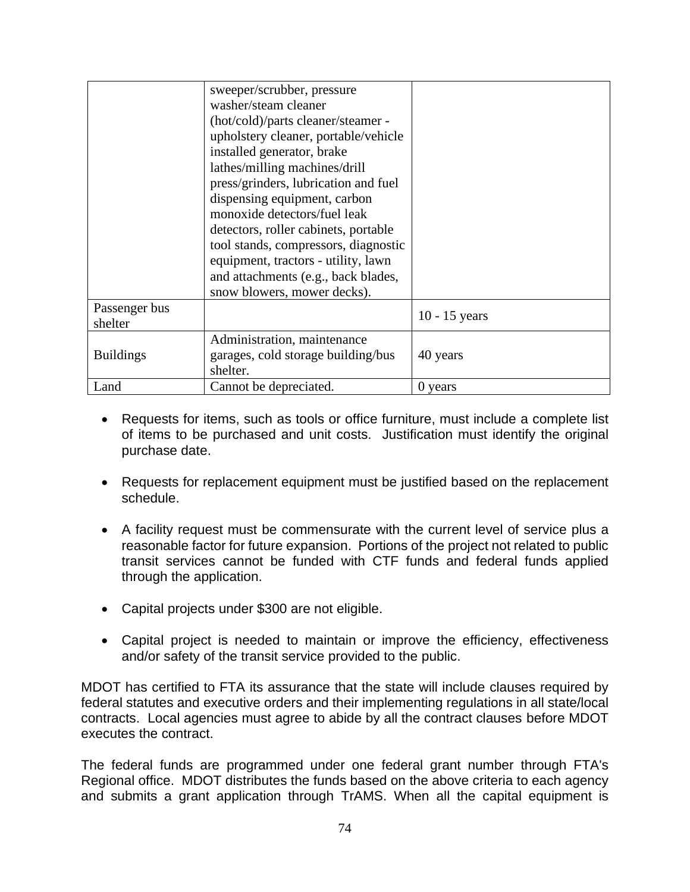|                  | sweeper/scrubber, pressure           |                 |
|------------------|--------------------------------------|-----------------|
|                  | washer/steam cleaner                 |                 |
|                  | (hot/cold)/parts cleaner/steamer -   |                 |
|                  | upholstery cleaner, portable/vehicle |                 |
|                  | installed generator, brake           |                 |
|                  | lathes/milling machines/drill        |                 |
|                  | press/grinders, lubrication and fuel |                 |
|                  | dispensing equipment, carbon         |                 |
|                  | monoxide detectors/fuel leak         |                 |
|                  | detectors, roller cabinets, portable |                 |
|                  | tool stands, compressors, diagnostic |                 |
|                  | equipment, tractors - utility, lawn  |                 |
|                  | and attachments (e.g., back blades,  |                 |
|                  | snow blowers, mower decks).          |                 |
| Passenger bus    |                                      | $10 - 15$ years |
| shelter          |                                      |                 |
|                  | Administration, maintenance          |                 |
| <b>Buildings</b> | garages, cold storage building/bus   | 40 years        |
|                  | shelter.                             |                 |
| Land             | Cannot be depreciated.               | 0 years         |

- Requests for items, such as tools or office furniture, must include a complete list of items to be purchased and unit costs. Justification must identify the original purchase date.
- Requests for replacement equipment must be justified based on the replacement schedule.
- A facility request must be commensurate with the current level of service plus a reasonable factor for future expansion. Portions of the project not related to public transit services cannot be funded with CTF funds and federal funds applied through the application.
- Capital projects under \$300 are not eligible.
- Capital project is needed to maintain or improve the efficiency, effectiveness and/or safety of the transit service provided to the public.

MDOT has certified to FTA its assurance that the state will include clauses required by federal statutes and executive orders and their implementing regulations in all state/local contracts. Local agencies must agree to abide by all the contract clauses before MDOT executes the contract.

The federal funds are programmed under one federal grant number through FTA's Regional office. MDOT distributes the funds based on the above criteria to each agency and submits a grant application through TrAMS. When all the capital equipment is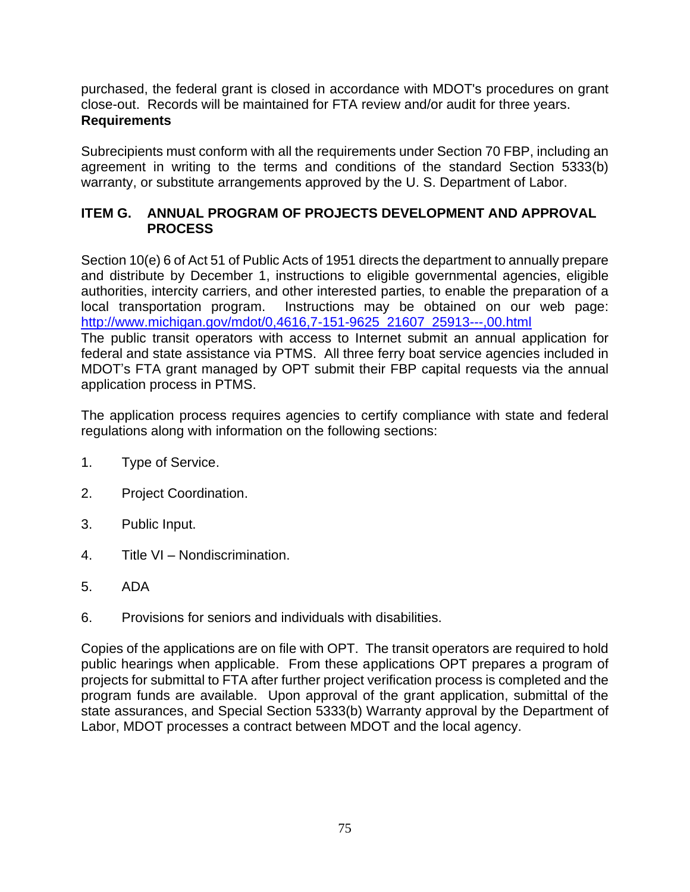purchased, the federal grant is closed in accordance with MDOT's procedures on grant close-out. Records will be maintained for FTA review and/or audit for three years. **Requirements**

Subrecipients must conform with all the requirements under Section 70 FBP, including an agreement in writing to the terms and conditions of the standard Section 5333(b) warranty, or substitute arrangements approved by the U.S. Department of Labor.

# **ITEM G. ANNUAL PROGRAM OF PROJECTS DEVELOPMENT AND APPROVAL PROCESS**

Section 10(e) 6 of Act 51 of Public Acts of 1951 directs the department to annually prepare and distribute by December 1, instructions to eligible governmental agencies, eligible authorities, intercity carriers, and other interested parties, to enable the preparation of a local transportation program. Instructions may be obtained on our web page: [http://www.michigan.gov/mdot/0,4616,7-151-9625\\_21607\\_25913---,00.html](http://www.michigan.gov/mdot/0,4616,7-151-9625_21607_25913---,00.html)  The public transit operators with access to Internet submit an annual application for federal and state assistance via PTMS. All three ferry boat service agencies included in MDOT's FTA grant managed by OPT submit their FBP capital requests via the annual application process in PTMS.

The application process requires agencies to certify compliance with state and federal regulations along with information on the following sections:

- 1. Type of Service.
- 2. Project Coordination.
- 3. Public Input.
- 4. Title VI Nondiscrimination.
- 5. ADA
- 6. Provisions for seniors and individuals with disabilities.

Copies of the applications are on file with OPT. The transit operators are required to hold public hearings when applicable. From these applications OPT prepares a program of projects for submittal to FTA after further project verification process is completed and the program funds are available. Upon approval of the grant application, submittal of the state assurances, and Special Section 5333(b) Warranty approval by the Department of Labor, MDOT processes a contract between MDOT and the local agency.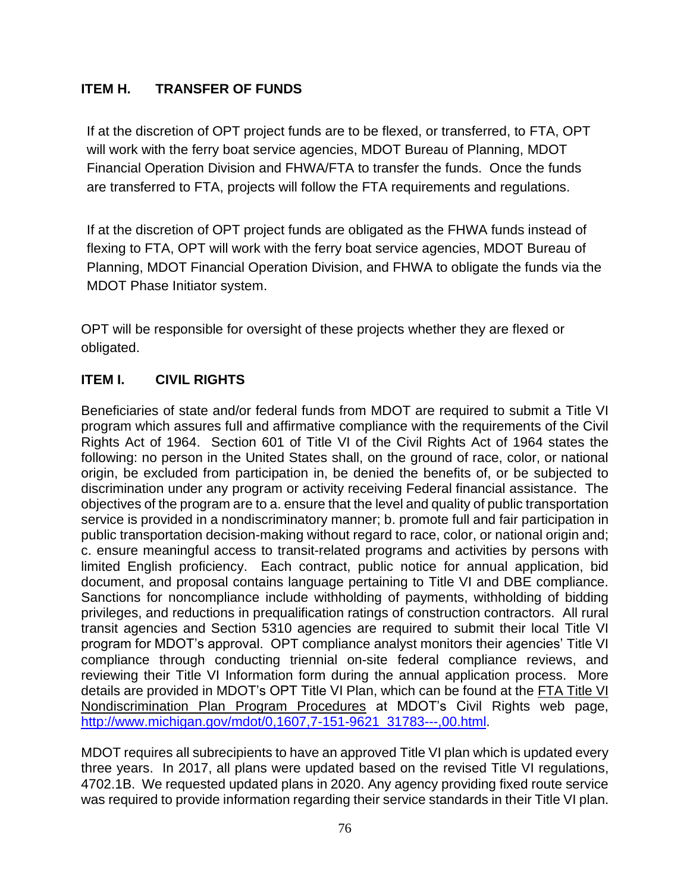# **ITEM H. TRANSFER OF FUNDS**

If at the discretion of OPT project funds are to be flexed, or transferred, to FTA, OPT will work with the ferry boat service agencies, MDOT Bureau of Planning, MDOT Financial Operation Division and FHWA/FTA to transfer the funds. Once the funds are transferred to FTA, projects will follow the FTA requirements and regulations.

If at the discretion of OPT project funds are obligated as the FHWA funds instead of flexing to FTA, OPT will work with the ferry boat service agencies, MDOT Bureau of Planning, MDOT Financial Operation Division, and FHWA to obligate the funds via the MDOT Phase Initiator system.

OPT will be responsible for oversight of these projects whether they are flexed or obligated.

# **ITEM I. CIVIL RIGHTS**

Beneficiaries of state and/or federal funds from MDOT are required to submit a Title VI program which assures full and affirmative compliance with the requirements of the Civil Rights Act of 1964. Section 601 of Title VI of the Civil Rights Act of 1964 states the following: no person in the United States shall, on the ground of race, color, or national origin, be excluded from participation in, be denied the benefits of, or be subjected to discrimination under any program or activity receiving Federal financial assistance. The objectives of the program are to a. ensure that the level and quality of public transportation service is provided in a nondiscriminatory manner; b. promote full and fair participation in public transportation decision-making without regard to race, color, or national origin and; c. ensure meaningful access to transit-related programs and activities by persons with limited English proficiency. Each contract, public notice for annual application, bid document, and proposal contains language pertaining to Title VI and DBE compliance. Sanctions for noncompliance include withholding of payments, withholding of bidding privileges, and reductions in prequalification ratings of construction contractors. All rural transit agencies and Section 5310 agencies are required to submit their local Title VI program for MDOT's approval. OPT compliance analyst monitors their agencies' Title VI compliance through conducting triennial on-site federal compliance reviews, and reviewing their Title VI Information form during the annual application process. More details are provided in MDOT's OPT Title VI Plan, which can be found at the FTA Title VI [Nondiscrimination Plan](http://www.michigan.gov/documents/mdot/mdot_FTA_Title_VI_Plan_Program_Procedures_362655_7.pdf?20140506112841) Program Procedures at MDOT's Civil Rights web page, [http://www.michigan.gov/mdot/0,1607,7-151-9621\\_31783---,00.html.](http://www.michigan.gov/mdot/0,1607,7-151-9621_31783---,00.html)

MDOT requires all subrecipients to have an approved Title VI plan which is updated every three years. In 2017, all plans were updated based on the revised Title VI regulations, 4702.1B. We requested updated plans in 2020. Any agency providing fixed route service was required to provide information regarding their service standards in their Title VI plan.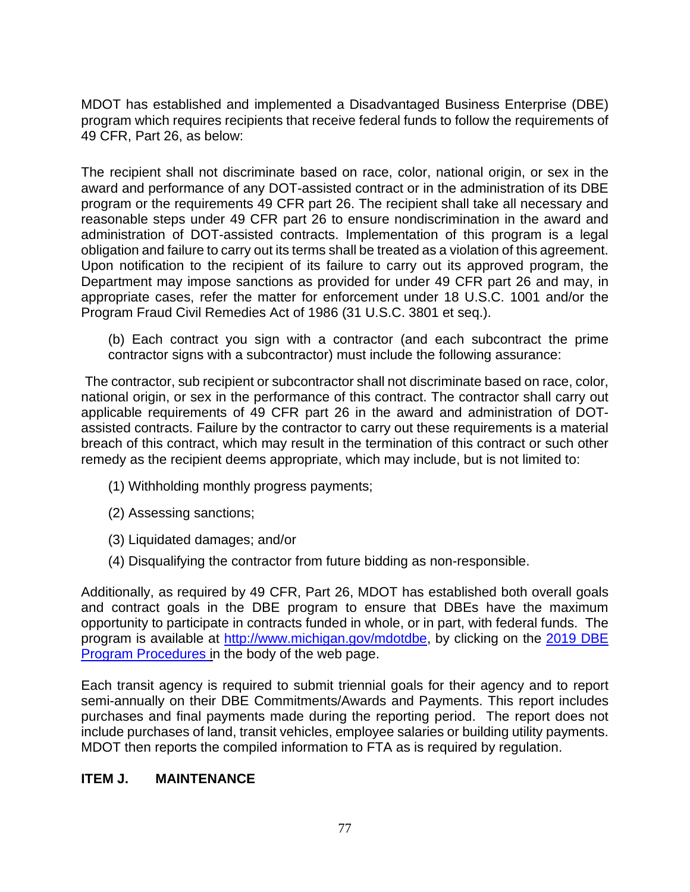MDOT has established and implemented a Disadvantaged Business Enterprise (DBE) program which requires recipients that receive federal funds to follow the requirements of 49 CFR, Part 26, as below:

The recipient shall not discriminate based on race, color, national origin, or sex in the award and performance of any DOT-assisted contract or in the administration of its DBE program or the requirements 49 CFR part 26. The recipient shall take all necessary and reasonable steps under 49 CFR part 26 to ensure nondiscrimination in the award and administration of DOT-assisted contracts. Implementation of this program is a legal obligation and failure to carry out its terms shall be treated as a violation of this agreement. Upon notification to the recipient of its failure to carry out its approved program, the Department may impose sanctions as provided for under 49 CFR part 26 and may, in appropriate cases, refer the matter for enforcement under 18 U.S.C. 1001 and/or the Program Fraud Civil Remedies Act of 1986 (31 U.S.C. 3801 et seq.).

(b) Each contract you sign with a contractor (and each subcontract the prime contractor signs with a subcontractor) must include the following assurance:

The contractor, sub recipient or subcontractor shall not discriminate based on race, color, national origin, or sex in the performance of this contract. The contractor shall carry out applicable requirements of 49 CFR part 26 in the award and administration of DOTassisted contracts. Failure by the contractor to carry out these requirements is a material breach of this contract, which may result in the termination of this contract or such other remedy as the recipient deems appropriate, which may include, but is not limited to:

- (1) Withholding monthly progress payments;
- (2) Assessing sanctions;
- (3) Liquidated damages; and/or
- (4) Disqualifying the contractor from future bidding as non-responsible.

Additionally, as required by 49 CFR, Part 26, MDOT has established both overall goals and contract goals in the DBE program to ensure that DBEs have the maximum opportunity to participate in contracts funded in whole, or in part, with federal funds. The program is available at [http://www.michigan.gov/mdotdbe,](http://www.michigan.gov/mdotdbe) by clicking on the [2019](http://www.michigan.gov/documents/mdot/MDOT_FY12_PROGRAM_PROC_FINAL_393921_7.pdf?20140506112413) DBE [Program Procedures](http://www.michigan.gov/documents/mdot/MDOT_FY12_PROGRAM_PROC_FINAL_393921_7.pdf?20140506112413) in the body of the web page.

Each transit agency is required to submit triennial goals for their agency and to report semi-annually on their DBE Commitments/Awards and Payments. This report includes purchases and final payments made during the reporting period. The report does not include purchases of land, transit vehicles, employee salaries or building utility payments. MDOT then reports the compiled information to FTA as is required by regulation.

#### **ITEM J. MAINTENANCE**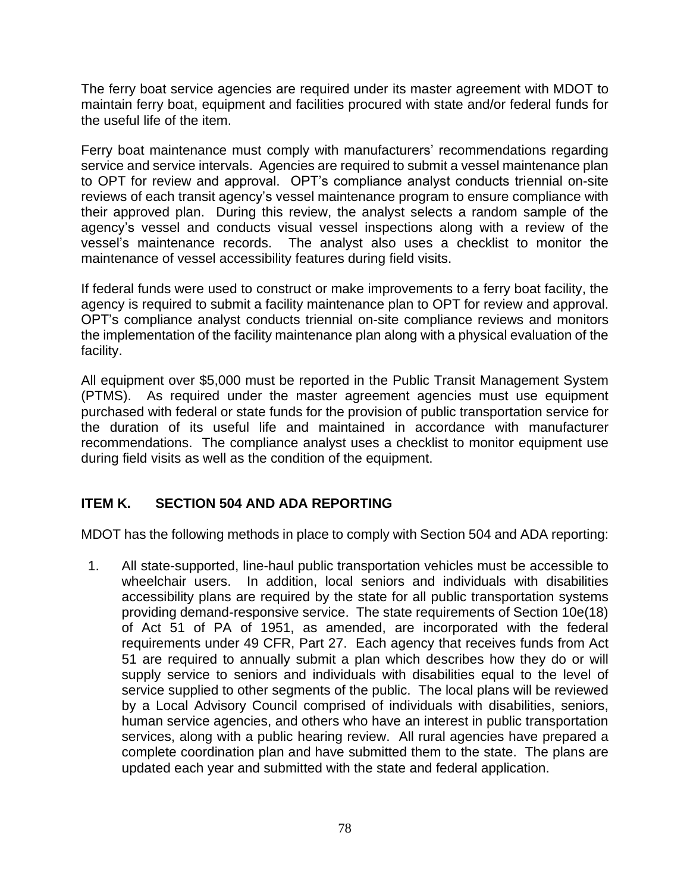The ferry boat service agencies are required under its master agreement with MDOT to maintain ferry boat, equipment and facilities procured with state and/or federal funds for the useful life of the item.

Ferry boat maintenance must comply with manufacturers' recommendations regarding service and service intervals. Agencies are required to submit a vessel maintenance plan to OPT for review and approval. OPT's compliance analyst conducts triennial on-site reviews of each transit agency's vessel maintenance program to ensure compliance with their approved plan. During this review, the analyst selects a random sample of the agency's vessel and conducts visual vessel inspections along with a review of the vessel's maintenance records. The analyst also uses a checklist to monitor the maintenance of vessel accessibility features during field visits.

If federal funds were used to construct or make improvements to a ferry boat facility, the agency is required to submit a facility maintenance plan to OPT for review and approval. OPT's compliance analyst conducts triennial on-site compliance reviews and monitors the implementation of the facility maintenance plan along with a physical evaluation of the facility.

All equipment over \$5,000 must be reported in the Public Transit Management System (PTMS). As required under the master agreement agencies must use equipment purchased with federal or state funds for the provision of public transportation service for the duration of its useful life and maintained in accordance with manufacturer recommendations. The compliance analyst uses a checklist to monitor equipment use during field visits as well as the condition of the equipment.

# **ITEM K. SECTION 504 AND ADA REPORTING**

MDOT has the following methods in place to comply with Section 504 and ADA reporting:

1. All state-supported, line-haul public transportation vehicles must be accessible to wheelchair users. In addition, local seniors and individuals with disabilities accessibility plans are required by the state for all public transportation systems providing demand-responsive service. The state requirements of Section 10e(18) of Act 51 of PA of 1951, as amended, are incorporated with the federal requirements under 49 CFR, Part 27. Each agency that receives funds from Act 51 are required to annually submit a plan which describes how they do or will supply service to seniors and individuals with disabilities equal to the level of service supplied to other segments of the public. The local plans will be reviewed by a Local Advisory Council comprised of individuals with disabilities, seniors, human service agencies, and others who have an interest in public transportation services, along with a public hearing review. All rural agencies have prepared a complete coordination plan and have submitted them to the state. The plans are updated each year and submitted with the state and federal application.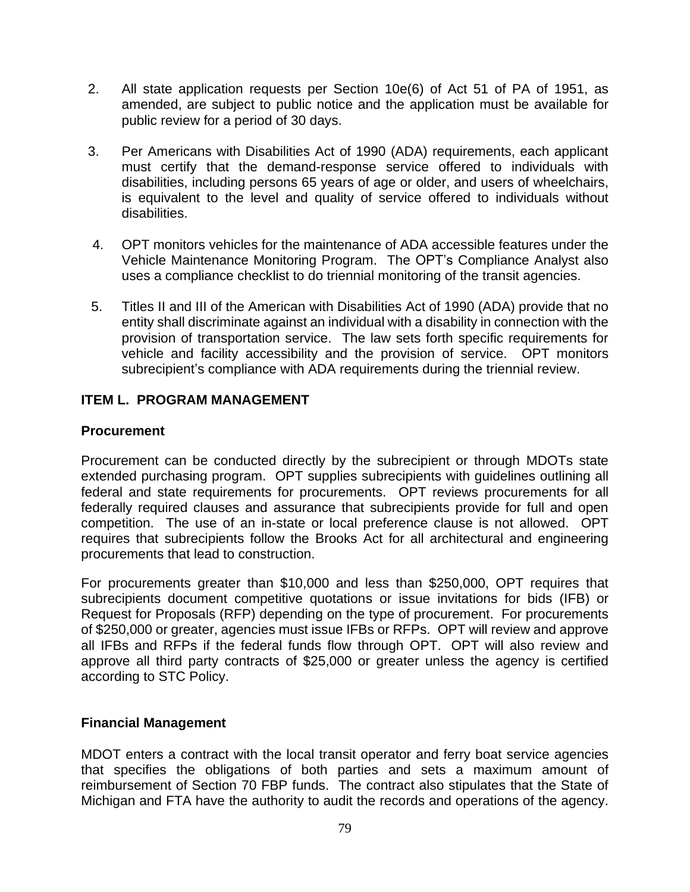- 2. All state application requests per Section 10e(6) of Act 51 of PA of 1951, as amended, are subject to public notice and the application must be available for public review for a period of 30 days.
- 3. Per Americans with Disabilities Act of 1990 (ADA) requirements, each applicant must certify that the demand-response service offered to individuals with disabilities, including persons 65 years of age or older, and users of wheelchairs, is equivalent to the level and quality of service offered to individuals without disabilities.
- 4. OPT monitors vehicles for the maintenance of ADA accessible features under the Vehicle Maintenance Monitoring Program. The OPT's Compliance Analyst also uses a compliance checklist to do triennial monitoring of the transit agencies.
- 5. Titles II and III of the American with Disabilities Act of 1990 (ADA) provide that no entity shall discriminate against an individual with a disability in connection with the provision of transportation service. The law sets forth specific requirements for vehicle and facility accessibility and the provision of service. OPT monitors subrecipient's compliance with ADA requirements during the triennial review.

### **ITEM L. PROGRAM MANAGEMENT**

#### **Procurement**

Procurement can be conducted directly by the subrecipient or through MDOTs state extended purchasing program. OPT supplies subrecipients with guidelines outlining all federal and state requirements for procurements. OPT reviews procurements for all federally required clauses and assurance that subrecipients provide for full and open competition. The use of an in-state or local preference clause is not allowed. OPT requires that subrecipients follow the Brooks Act for all architectural and engineering procurements that lead to construction.

For procurements greater than \$10,000 and less than \$250,000, OPT requires that subrecipients document competitive quotations or issue invitations for bids (IFB) or Request for Proposals (RFP) depending on the type of procurement. For procurements of \$250,000 or greater, agencies must issue IFBs or RFPs. OPT will review and approve all IFBs and RFPs if the federal funds flow through OPT. OPT will also review and approve all third party contracts of \$25,000 or greater unless the agency is certified according to STC Policy.

#### **Financial Management**

MDOT enters a contract with the local transit operator and ferry boat service agencies that specifies the obligations of both parties and sets a maximum amount of reimbursement of Section 70 FBP funds. The contract also stipulates that the State of Michigan and FTA have the authority to audit the records and operations of the agency.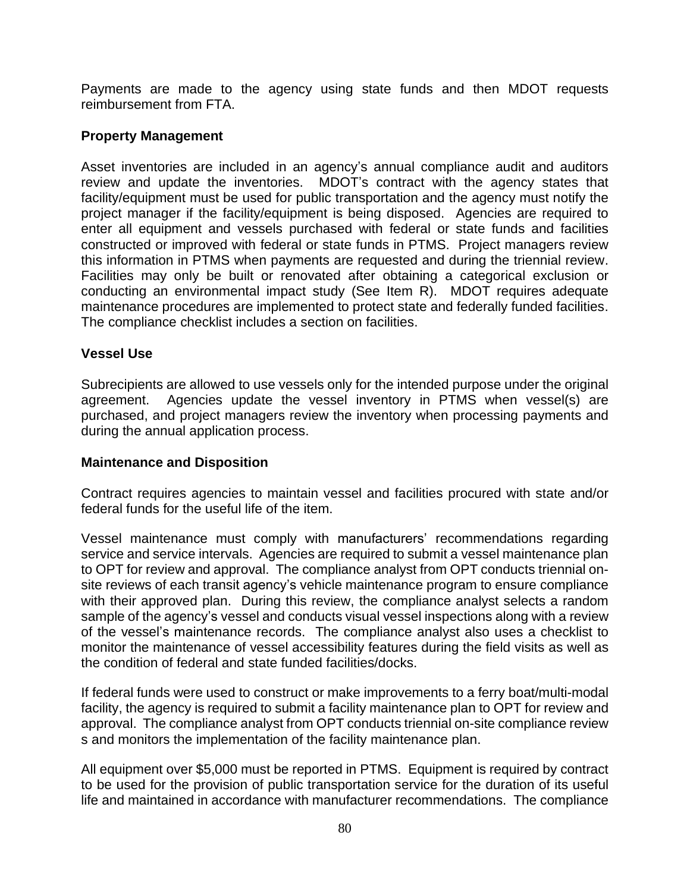Payments are made to the agency using state funds and then MDOT requests reimbursement from FTA.

#### **Property Management**

Asset inventories are included in an agency's annual compliance audit and auditors review and update the inventories. MDOT's contract with the agency states that facility/equipment must be used for public transportation and the agency must notify the project manager if the facility/equipment is being disposed. Agencies are required to enter all equipment and vessels purchased with federal or state funds and facilities constructed or improved with federal or state funds in PTMS. Project managers review this information in PTMS when payments are requested and during the triennial review. Facilities may only be built or renovated after obtaining a categorical exclusion or conducting an environmental impact study (See Item R). MDOT requires adequate maintenance procedures are implemented to protect state and federally funded facilities. The compliance checklist includes a section on facilities.

#### **Vessel Use**

Subrecipients are allowed to use vessels only for the intended purpose under the original agreement. Agencies update the vessel inventory in PTMS when vessel(s) are purchased, and project managers review the inventory when processing payments and during the annual application process.

#### **Maintenance and Disposition**

Contract requires agencies to maintain vessel and facilities procured with state and/or federal funds for the useful life of the item.

Vessel maintenance must comply with manufacturers' recommendations regarding service and service intervals. Agencies are required to submit a vessel maintenance plan to OPT for review and approval. The compliance analyst from OPT conducts triennial onsite reviews of each transit agency's vehicle maintenance program to ensure compliance with their approved plan. During this review, the compliance analyst selects a random sample of the agency's vessel and conducts visual vessel inspections along with a review of the vessel's maintenance records. The compliance analyst also uses a checklist to monitor the maintenance of vessel accessibility features during the field visits as well as the condition of federal and state funded facilities/docks.

If federal funds were used to construct or make improvements to a ferry boat/multi-modal facility, the agency is required to submit a facility maintenance plan to OPT for review and approval. The compliance analyst from OPT conducts triennial on-site compliance review s and monitors the implementation of the facility maintenance plan.

All equipment over \$5,000 must be reported in PTMS. Equipment is required by contract to be used for the provision of public transportation service for the duration of its useful life and maintained in accordance with manufacturer recommendations. The compliance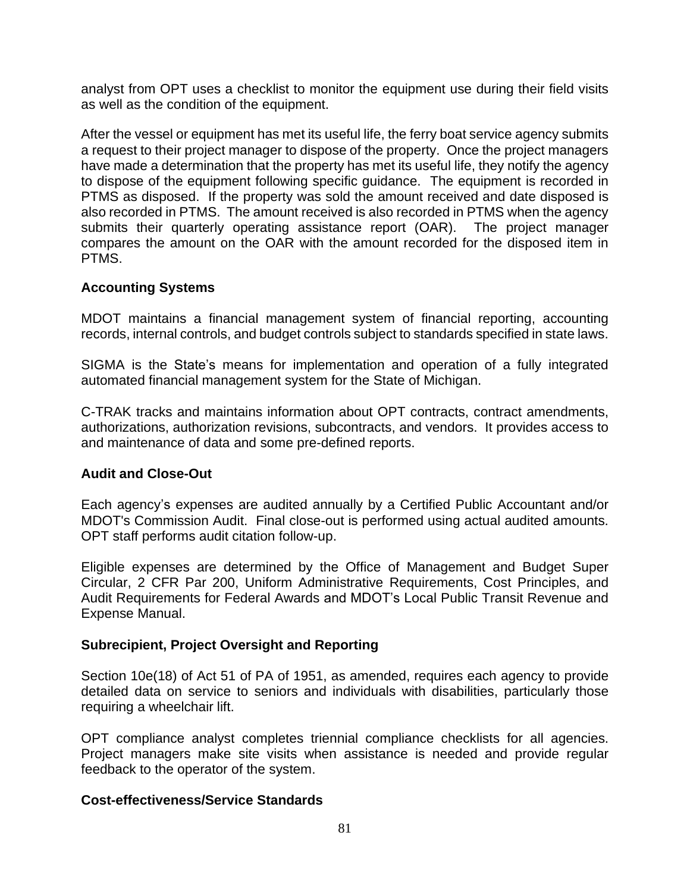analyst from OPT uses a checklist to monitor the equipment use during their field visits as well as the condition of the equipment.

After the vessel or equipment has met its useful life, the ferry boat service agency submits a request to their project manager to dispose of the property. Once the project managers have made a determination that the property has met its useful life, they notify the agency to dispose of the equipment following specific guidance. The equipment is recorded in PTMS as disposed. If the property was sold the amount received and date disposed is also recorded in PTMS. The amount received is also recorded in PTMS when the agency submits their quarterly operating assistance report (OAR). The project manager compares the amount on the OAR with the amount recorded for the disposed item in PTMS.

### **Accounting Systems**

MDOT maintains a financial management system of financial reporting, accounting records, internal controls, and budget controls subject to standards specified in state laws.

SIGMA is the State's means for implementation and operation of a fully integrated automated financial management system for the State of Michigan.

C-TRAK tracks and maintains information about OPT contracts, contract amendments, authorizations, authorization revisions, subcontracts, and vendors. It provides access to and maintenance of data and some pre-defined reports.

#### **Audit and Close-Out**

Each agency's expenses are audited annually by a Certified Public Accountant and/or MDOT's Commission Audit. Final close-out is performed using actual audited amounts. OPT staff performs audit citation follow-up.

Eligible expenses are determined by the Office of Management and Budget Super Circular, 2 CFR Par 200, Uniform Administrative Requirements, Cost Principles, and Audit Requirements for Federal Awards and MDOT's Local Public Transit Revenue and Expense Manual.

#### **Subrecipient, Project Oversight and Reporting**

Section 10e(18) of Act 51 of PA of 1951, as amended, requires each agency to provide detailed data on service to seniors and individuals with disabilities, particularly those requiring a wheelchair lift.

OPT compliance analyst completes triennial compliance checklists for all agencies. Project managers make site visits when assistance is needed and provide regular feedback to the operator of the system.

#### **Cost-effectiveness/Service Standards**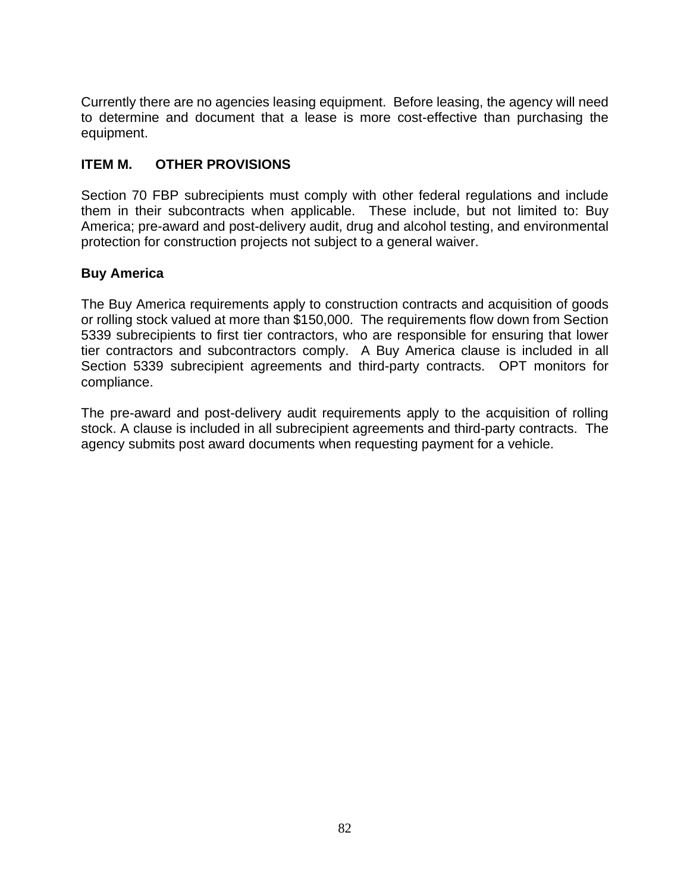Currently there are no agencies leasing equipment. Before leasing, the agency will need to determine and document that a lease is more cost-effective than purchasing the equipment.

# **ITEM M. OTHER PROVISIONS**

Section 70 FBP subrecipients must comply with other federal regulations and include them in their subcontracts when applicable. These include, but not limited to: Buy America; pre-award and post-delivery audit, drug and alcohol testing, and environmental protection for construction projects not subject to a general waiver.

# **Buy America**

The Buy America requirements apply to construction contracts and acquisition of goods or rolling stock valued at more than \$150,000. The requirements flow down from Section 5339 subrecipients to first tier contractors, who are responsible for ensuring that lower tier contractors and subcontractors comply. A Buy America clause is included in all Section 5339 subrecipient agreements and third-party contracts. OPT monitors for compliance.

The pre-award and post-delivery audit requirements apply to the acquisition of rolling stock. A clause is included in all subrecipient agreements and third-party contracts. The agency submits post award documents when requesting payment for a vehicle.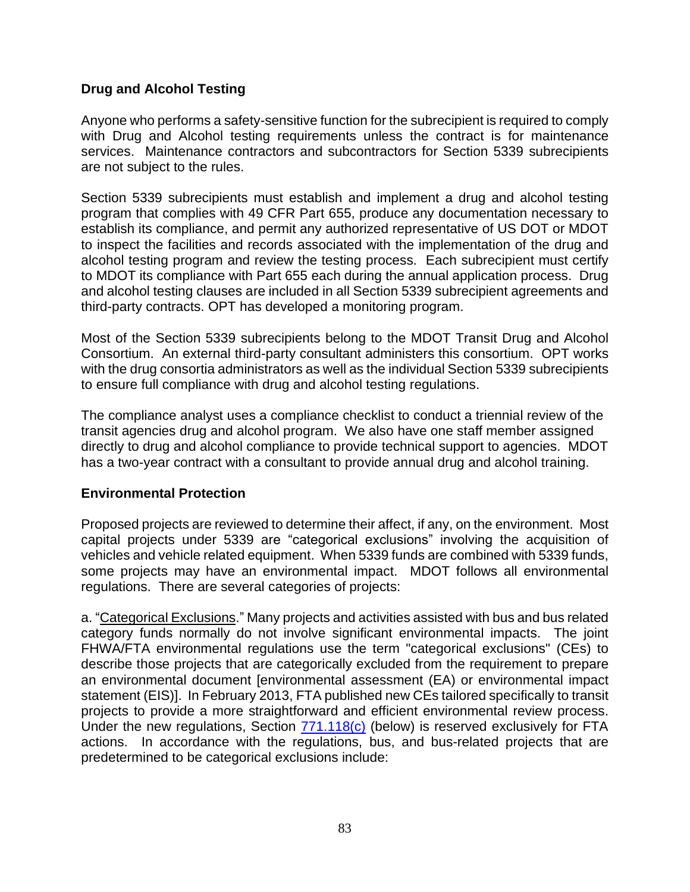### **Drug and Alcohol Testing**

Anyone who performs a safety-sensitive function for the subrecipient is required to comply with Drug and Alcohol testing requirements unless the contract is for maintenance services. Maintenance contractors and subcontractors for Section 5339 subrecipients are not subject to the rules.

Section 5339 subrecipients must establish and implement a drug and alcohol testing program that complies with 49 CFR Part 655, produce any documentation necessary to establish its compliance, and permit any authorized representative of US DOT or MDOT to inspect the facilities and records associated with the implementation of the drug and alcohol testing program and review the testing process. Each subrecipient must certify to MDOT its compliance with Part 655 each during the annual application process. Drug and alcohol testing clauses are included in all Section 5339 subrecipient agreements and third-party contracts. OPT has developed a monitoring program.

Most of the Section 5339 subrecipients belong to the MDOT Transit Drug and Alcohol Consortium. An external third-party consultant administers this consortium. OPT works with the drug consortia administrators as well as the individual Section 5339 subrecipients to ensure full compliance with drug and alcohol testing regulations.

The compliance analyst uses a compliance checklist to conduct a triennial review of the transit agencies drug and alcohol program. We also have one staff member assigned directly to drug and alcohol compliance to provide technical support to agencies. MDOT has a two-year contract with a consultant to provide annual drug and alcohol training.

#### **Environmental Protection**

Proposed projects are reviewed to determine their affect, if any, on the environment. Most capital projects under 5339 are "categorical exclusions" involving the acquisition of vehicles and vehicle related equipment. When 5339 funds are combined with 5339 funds, some projects may have an environmental impact. MDOT follows all environmental regulations. There are several categories of projects:

a. "Categorical Exclusions." Many projects and activities assisted with bus and bus related category funds normally do not involve significant environmental impacts. The joint FHWA/FTA environmental regulations use the term "categorical exclusions" (CEs) to describe those projects that are categorically excluded from the requirement to prepare an environmental document [environmental assessment (EA) or environmental impact statement (EIS)]. In February 2013, FTA published new CEs tailored specifically to transit projects to provide a more straightforward and efficient environmental review process. Under the new regulations, Section [771.118\(c\)](https://www.transit.dot.gov/sites/fta.dot.gov/files/docs/Section%20118%20Guidance-June%202016.pdf) (below) is reserved exclusively for FTA actions. In accordance with the regulations, bus, and bus-related projects that are predetermined to be categorical exclusions include: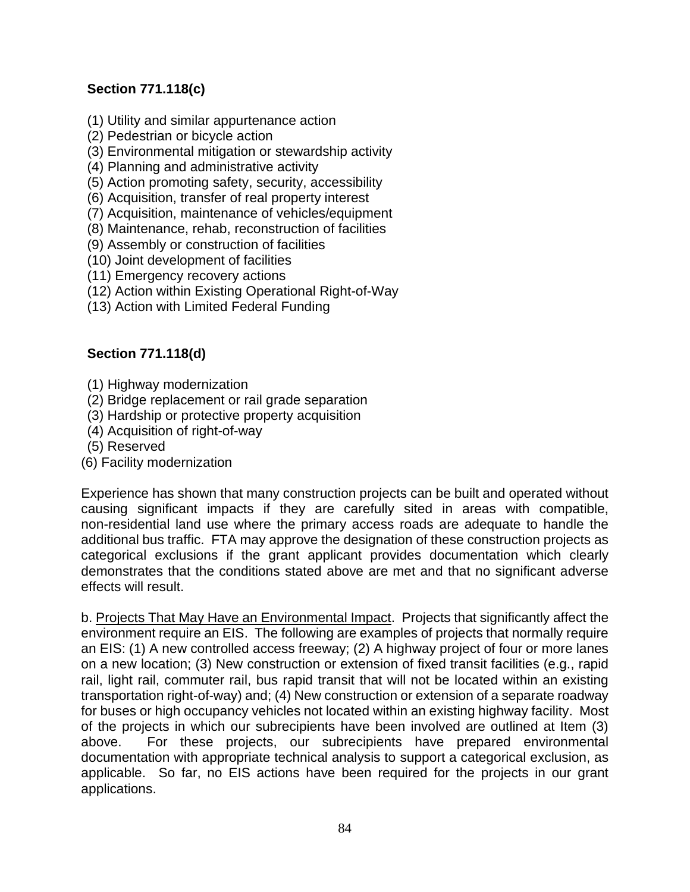# **Section 771.118(c)**

- (1) Utility and similar appurtenance action
- (2) Pedestrian or bicycle action
- (3) Environmental mitigation or stewardship activity
- (4) Planning and administrative activity
- (5) Action promoting safety, security, accessibility
- (6) Acquisition, transfer of real property interest
- (7) Acquisition, maintenance of vehicles/equipment
- (8) Maintenance, rehab, reconstruction of facilities
- (9) Assembly or construction of facilities
- (10) Joint development of facilities
- (11) Emergency recovery actions
- (12) Action within Existing Operational Right-of-Way
- (13) Action with Limited Federal Funding

# **Section 771.118(d)**

- (1) Highway modernization
- (2) Bridge replacement or rail grade separation
- (3) Hardship or protective property acquisition
- (4) Acquisition of right-of-way
- (5) Reserved
- (6) Facility modernization

Experience has shown that many construction projects can be built and operated without causing significant impacts if they are carefully sited in areas with compatible, non-residential land use where the primary access roads are adequate to handle the additional bus traffic. FTA may approve the designation of these construction projects as categorical exclusions if the grant applicant provides documentation which clearly demonstrates that the conditions stated above are met and that no significant adverse effects will result.

b. Projects That May Have an Environmental Impact. Projects that significantly affect the environment require an EIS. The following are examples of projects that normally require an EIS: (1) A new controlled access freeway; (2) A highway project of four or more lanes on a new location; (3) New construction or extension of fixed transit facilities (e.g., rapid rail, light rail, commuter rail, bus rapid transit that will not be located within an existing transportation right-of-way) and; (4) New construction or extension of a separate roadway for buses or high occupancy vehicles not located within an existing highway facility. Most of the projects in which our subrecipients have been involved are outlined at Item (3) above. For these projects, our subrecipients have prepared environmental documentation with appropriate technical analysis to support a categorical exclusion, as applicable. So far, no EIS actions have been required for the projects in our grant applications.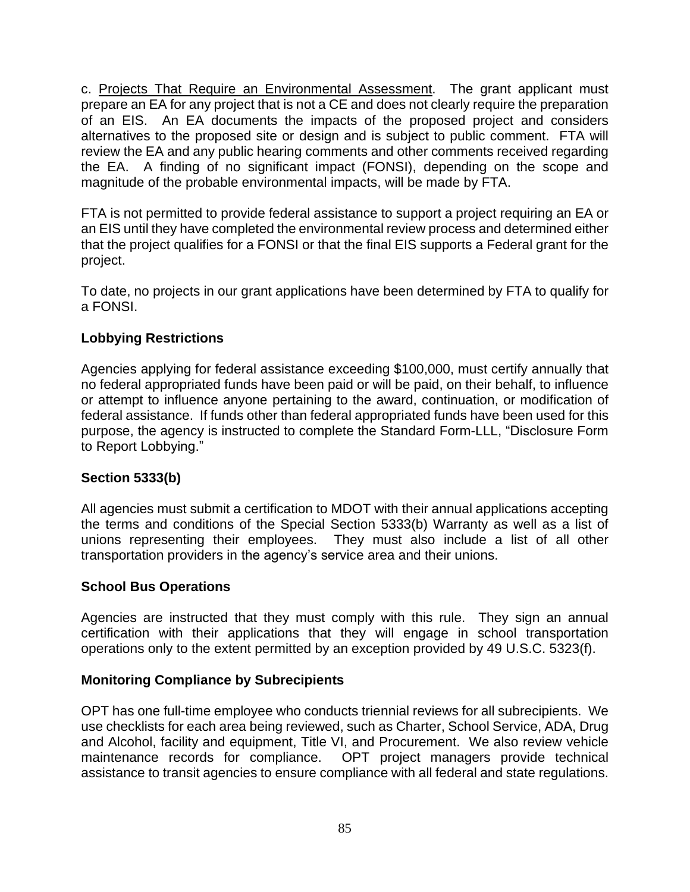c. Projects That Require an Environmental Assessment. The grant applicant must prepare an EA for any project that is not a CE and does not clearly require the preparation of an EIS. An EA documents the impacts of the proposed project and considers alternatives to the proposed site or design and is subject to public comment. FTA will review the EA and any public hearing comments and other comments received regarding the EA. A finding of no significant impact (FONSI), depending on the scope and magnitude of the probable environmental impacts, will be made by FTA.

FTA is not permitted to provide federal assistance to support a project requiring an EA or an EIS until they have completed the environmental review process and determined either that the project qualifies for a FONSI or that the final EIS supports a Federal grant for the project.

To date, no projects in our grant applications have been determined by FTA to qualify for a FONSI.

# **Lobbying Restrictions**

Agencies applying for federal assistance exceeding \$100,000, must certify annually that no federal appropriated funds have been paid or will be paid, on their behalf, to influence or attempt to influence anyone pertaining to the award, continuation, or modification of federal assistance. If funds other than federal appropriated funds have been used for this purpose, the agency is instructed to complete the Standard Form-LLL, "Disclosure Form to Report Lobbying."

# **Section 5333(b)**

All agencies must submit a certification to MDOT with their annual applications accepting the terms and conditions of the Special Section 5333(b) Warranty as well as a list of unions representing their employees. They must also include a list of all other transportation providers in the agency's service area and their unions.

#### **School Bus Operations**

Agencies are instructed that they must comply with this rule. They sign an annual certification with their applications that they will engage in school transportation operations only to the extent permitted by an exception provided by 49 U.S.C. 5323(f).

#### **Monitoring Compliance by Subrecipients**

OPT has one full-time employee who conducts triennial reviews for all subrecipients. We use checklists for each area being reviewed, such as Charter, School Service, ADA, Drug and Alcohol, facility and equipment, Title VI, and Procurement. We also review vehicle maintenance records for compliance. OPT project managers provide technical assistance to transit agencies to ensure compliance with all federal and state regulations.